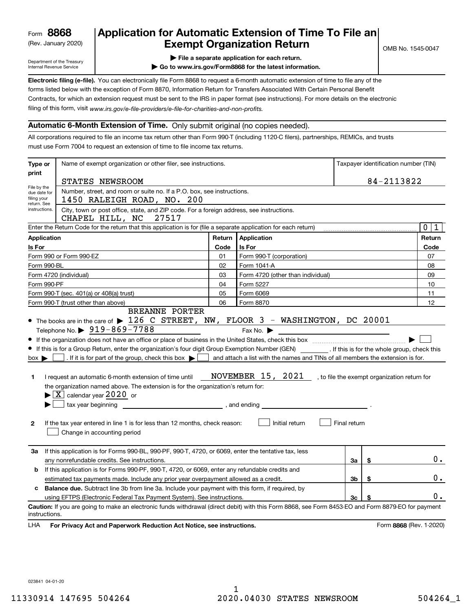(Rev. January 2020)

## **Application for Automatic Extension of Time To File an Exempt Organization Return**

Department of the Treasury Internal Revenue Service

**| File a separate application for each return.**

**| Go to www.irs.gov/Form8868 for the latest information.**

**Electronic filing (e-file).**  You can electronically file Form 8868 to request a 6-month automatic extension of time to file any of the filing of this form, visit www.irs.gov/e-file-providers/e-file-for-charities-and-non-profits. forms listed below with the exception of Form 8870, Information Return for Transfers Associated With Certain Personal Benefit Contracts, for which an extension request must be sent to the IRS in paper format (see instructions). For more details on the electronic

#### **Automatic 6-Month Extension of Time.** Only submit original (no copies needed).

All corporations required to file an income tax return other than Form 990-T (including 1120-C filers), partnerships, REMICs, and trusts must use Form 7004 to request an extension of time to file income tax returns.

| Type or                                                                                                                            | Name of exempt organization or other filer, see instructions.                                                                                                                                                                                                                                                                                                                                                                                                                                                                                                                                                                                                                                                                                                                                                                                                                                                                                                   |        |                                                                                                                                                                                                    |              | Taxpayer identification number (TIN) |                         |  |
|------------------------------------------------------------------------------------------------------------------------------------|-----------------------------------------------------------------------------------------------------------------------------------------------------------------------------------------------------------------------------------------------------------------------------------------------------------------------------------------------------------------------------------------------------------------------------------------------------------------------------------------------------------------------------------------------------------------------------------------------------------------------------------------------------------------------------------------------------------------------------------------------------------------------------------------------------------------------------------------------------------------------------------------------------------------------------------------------------------------|--------|----------------------------------------------------------------------------------------------------------------------------------------------------------------------------------------------------|--------------|--------------------------------------|-------------------------|--|
| print                                                                                                                              | STATES NEWSROOM                                                                                                                                                                                                                                                                                                                                                                                                                                                                                                                                                                                                                                                                                                                                                                                                                                                                                                                                                 |        |                                                                                                                                                                                                    |              | 84-2113822                           |                         |  |
| File by the<br>due date for                                                                                                        | Number, street, and room or suite no. If a P.O. box, see instructions.                                                                                                                                                                                                                                                                                                                                                                                                                                                                                                                                                                                                                                                                                                                                                                                                                                                                                          |        |                                                                                                                                                                                                    |              |                                      |                         |  |
| filing your<br>return. See                                                                                                         | 1450 RALEIGH ROAD, NO. 200                                                                                                                                                                                                                                                                                                                                                                                                                                                                                                                                                                                                                                                                                                                                                                                                                                                                                                                                      |        |                                                                                                                                                                                                    |              |                                      |                         |  |
| City, town or post office, state, and ZIP code. For a foreign address, see instructions.<br>instructions.<br>CHAPEL HILL, NC 27517 |                                                                                                                                                                                                                                                                                                                                                                                                                                                                                                                                                                                                                                                                                                                                                                                                                                                                                                                                                                 |        |                                                                                                                                                                                                    |              |                                      |                         |  |
|                                                                                                                                    | Enter the Return Code for the return that this application is for (file a separate application for each return)                                                                                                                                                                                                                                                                                                                                                                                                                                                                                                                                                                                                                                                                                                                                                                                                                                                 |        |                                                                                                                                                                                                    |              |                                      | $\mathbf 0$<br>1        |  |
| <b>Application</b>                                                                                                                 |                                                                                                                                                                                                                                                                                                                                                                                                                                                                                                                                                                                                                                                                                                                                                                                                                                                                                                                                                                 | Return | Application                                                                                                                                                                                        |              |                                      | Return                  |  |
| Is For                                                                                                                             |                                                                                                                                                                                                                                                                                                                                                                                                                                                                                                                                                                                                                                                                                                                                                                                                                                                                                                                                                                 | Code   | Is For                                                                                                                                                                                             |              |                                      | Code                    |  |
|                                                                                                                                    | Form 990 or Form 990-EZ                                                                                                                                                                                                                                                                                                                                                                                                                                                                                                                                                                                                                                                                                                                                                                                                                                                                                                                                         | 01     | Form 990-T (corporation)                                                                                                                                                                           |              |                                      | 07                      |  |
| Form 990-BL                                                                                                                        |                                                                                                                                                                                                                                                                                                                                                                                                                                                                                                                                                                                                                                                                                                                                                                                                                                                                                                                                                                 | 02     | Form 1041-A                                                                                                                                                                                        |              |                                      | 08                      |  |
|                                                                                                                                    | Form 4720 (individual)                                                                                                                                                                                                                                                                                                                                                                                                                                                                                                                                                                                                                                                                                                                                                                                                                                                                                                                                          | 03     | Form 4720 (other than individual)                                                                                                                                                                  |              |                                      | 09                      |  |
| Form 990-PF                                                                                                                        |                                                                                                                                                                                                                                                                                                                                                                                                                                                                                                                                                                                                                                                                                                                                                                                                                                                                                                                                                                 | 04     | Form 5227                                                                                                                                                                                          |              |                                      | 10                      |  |
|                                                                                                                                    | Form 990-T (sec. 401(a) or 408(a) trust)                                                                                                                                                                                                                                                                                                                                                                                                                                                                                                                                                                                                                                                                                                                                                                                                                                                                                                                        | 05     | Form 6069                                                                                                                                                                                          |              |                                      | 11                      |  |
|                                                                                                                                    | Form 990-T (trust other than above)<br><b>BREANNE PORTER</b>                                                                                                                                                                                                                                                                                                                                                                                                                                                                                                                                                                                                                                                                                                                                                                                                                                                                                                    | 06     | Form 8870                                                                                                                                                                                          |              |                                      | 12                      |  |
| $box \blacktriangleright$<br>1<br>$\mathbf{2}$                                                                                     | • The books are in the care of $\blacktriangleright$ 126 C STREET, NW, FLOOR 3 - WASHINGTON, DC 20001<br>Telephone No. $\triangleright$ 919-869-7788<br>• If this is for a Group Return, enter the organization's four digit Group Exemption Number (GEN) _________. If this is for the whole group, check this<br>. If it is for part of the group, check this box $\blacktriangleright$<br>I request an automatic 6-month extension of time until<br>the organization named above. The extension is for the organization's return for:<br>$\blacktriangleright$ $\boxed{\text{X}}$ calendar year 2020 or<br>tax year beginning <u>entitled</u> and the control of the control of the control of the control of the control of the control of the control of the control of the control of the control of the control of the control of the cont<br>If the tax year entered in line 1 is for less than 12 months, check reason:<br>Change in accounting period |        | Fax No. $\blacktriangleright$<br>and attach a list with the names and TINs of all members the extension is for.<br>NOVEMBER 15, 2021, to file the exempt organization return for<br>Initial return | Final return |                                      |                         |  |
| За                                                                                                                                 | If this application is for Forms 990-BL, 990-PF, 990-T, 4720, or 6069, enter the tentative tax, less<br>any nonrefundable credits. See instructions.                                                                                                                                                                                                                                                                                                                                                                                                                                                                                                                                                                                                                                                                                                                                                                                                            |        |                                                                                                                                                                                                    | За           | \$                                   | $0$ .                   |  |
| b                                                                                                                                  | If this application is for Forms 990-PF, 990-T, 4720, or 6069, enter any refundable credits and                                                                                                                                                                                                                                                                                                                                                                                                                                                                                                                                                                                                                                                                                                                                                                                                                                                                 |        |                                                                                                                                                                                                    |              |                                      |                         |  |
|                                                                                                                                    | estimated tax payments made. Include any prior year overpayment allowed as a credit.                                                                                                                                                                                                                                                                                                                                                                                                                                                                                                                                                                                                                                                                                                                                                                                                                                                                            |        |                                                                                                                                                                                                    | Зb           | \$                                   | 0.                      |  |
| c                                                                                                                                  | Balance due. Subtract line 3b from line 3a. Include your payment with this form, if required, by                                                                                                                                                                                                                                                                                                                                                                                                                                                                                                                                                                                                                                                                                                                                                                                                                                                                |        |                                                                                                                                                                                                    |              |                                      |                         |  |
|                                                                                                                                    | using EFTPS (Electronic Federal Tax Payment System). See instructions.                                                                                                                                                                                                                                                                                                                                                                                                                                                                                                                                                                                                                                                                                                                                                                                                                                                                                          |        |                                                                                                                                                                                                    | 3c           | \$                                   | 0.                      |  |
| instructions.<br>LHA                                                                                                               | Caution: If you are going to make an electronic funds withdrawal (direct debit) with this Form 8868, see Form 8453-EO and Form 8879-EO for payment<br>For Privacy Act and Paperwork Reduction Act Notice, see instructions.                                                                                                                                                                                                                                                                                                                                                                                                                                                                                                                                                                                                                                                                                                                                     |        |                                                                                                                                                                                                    |              |                                      | Form 8868 (Rev. 1-2020) |  |

023841 04-01-20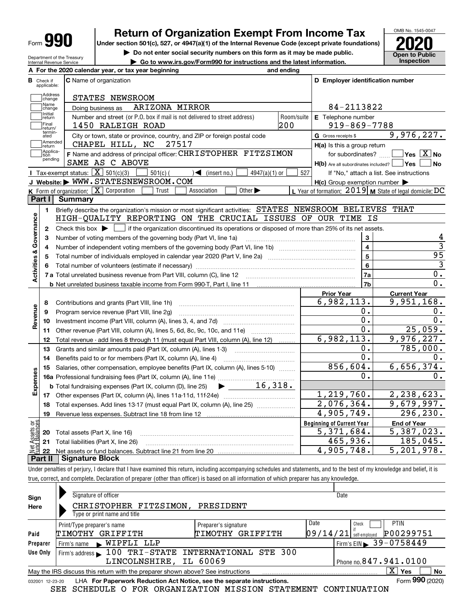| Form |
|------|
|------|

# **Return of Organization Exempt From Income Tax**

**Under section 501(c), 527, or 4947(a)(1) of the Internal Revenue Code (except private foundations) 2020**

**| Do not enter social security numbers on this form as it may be made public.**

**| Go to www.irs.gov/Form990 for instructions and the latest information. Inspection**



Department of the Treasury Internal Revenue Service

|                         |                         | A For the 2020 calendar year, or tax year beginning                                                                                                 | and ending     |                                                     |                                                           |
|-------------------------|-------------------------|-----------------------------------------------------------------------------------------------------------------------------------------------------|----------------|-----------------------------------------------------|-----------------------------------------------------------|
| В                       | Check if<br>applicable: | <b>C</b> Name of organization                                                                                                                       |                | D Employer identification number                    |                                                           |
|                         | Address<br>change       | STATES NEWSROOM                                                                                                                                     |                |                                                     |                                                           |
|                         | Name<br>change          | ARIZONA MIRROR<br>Doing business as                                                                                                                 | 84-2113822     |                                                     |                                                           |
|                         | Initial<br>return       | Number and street (or P.O. box if mail is not delivered to street address)                                                                          | Room/suite     | E Telephone number                                  |                                                           |
|                         | Final<br>return/        | 1450 RALEIGH ROAD                                                                                                                                   | 200            | $919 - 869 - 7788$                                  |                                                           |
|                         | termin-<br>ated         | City or town, state or province, country, and ZIP or foreign postal code                                                                            |                | G Gross receipts \$                                 | 9,976,227.                                                |
|                         | Amended<br>Ireturn      | 27517<br>CHAPEL HILL, NC                                                                                                                            |                | $H(a)$ is this a group return                       |                                                           |
|                         | Applica-<br>tion        | F Name and address of principal officer: CHRISTOPHER FITZSIMON                                                                                      |                | for subordinates?                                   | $\sqrt{}$ Yes $\sqrt{X}$ No                               |
|                         | pending                 | SAME AS C ABOVE                                                                                                                                     |                | $H(b)$ Are all subordinates included? $\Box$ Yes    | No                                                        |
|                         |                         | <b>I</b> Tax-exempt status: $\overline{X}$ 501(c)(3) [<br>$501(c)$ (<br>$\rightarrow$ (insert no.)<br>$4947(a)(1)$ or                               | 527            |                                                     | If "No," attach a list. See instructions                  |
|                         |                         | J Website: WWW.STATESNEWSROOM.COM                                                                                                                   |                | $H(c)$ Group exemption number $\blacktriangleright$ |                                                           |
|                         |                         | K Form of organization: $\boxed{\mathbf{X}}$ Corporation<br>Trust<br>Other $\blacktriangleright$<br>Association                                     |                |                                                     | L Year of formation: $2019$ M State of legal domicile: DC |
|                         | Part I                  | Summary                                                                                                                                             |                |                                                     |                                                           |
|                         | 1.                      | Briefly describe the organization's mission or most significant activities: STATES NEWSROOM BELIEVES THAT                                           |                |                                                     |                                                           |
|                         |                         | HIGH-QUALITY REPORTING ON THE CRUCIAL ISSUES OF OUR TIME IS                                                                                         |                |                                                     |                                                           |
| Activities & Governance | $\mathbf{2}$            | Check this box $\blacktriangleright$ $\blacksquare$ if the organization discontinued its operations or disposed of more than 25% of its net assets. |                |                                                     |                                                           |
|                         | 3                       | Number of voting members of the governing body (Part VI, line 1a)                                                                                   |                | 3                                                   | 4                                                         |
|                         | 4                       |                                                                                                                                                     |                | $\overline{\mathbf{4}}$                             | $\overline{3}$                                            |
|                         | 5                       |                                                                                                                                                     | $\overline{5}$ | $\overline{95}$                                     |                                                           |
|                         |                         |                                                                                                                                                     |                | 6                                                   | $\overline{3}$                                            |
|                         |                         |                                                                                                                                                     |                | 7a                                                  | $0$ .                                                     |
|                         |                         |                                                                                                                                                     |                | 7 <sub>b</sub>                                      | 0.                                                        |
|                         |                         |                                                                                                                                                     |                | <b>Prior Year</b>                                   | <b>Current Year</b>                                       |
|                         | 8                       | Contributions and grants (Part VIII, line 1h)                                                                                                       |                | 6,982,113.                                          | 9,951,168.                                                |
| Revenue                 | 9                       | Program service revenue (Part VIII, line 2g)                                                                                                        |                | 0.                                                  | 0.                                                        |
|                         | 10                      |                                                                                                                                                     |                | 0.                                                  | $\overline{0}$ .                                          |
|                         | 11                      | Other revenue (Part VIII, column (A), lines 5, 6d, 8c, 9c, 10c, and 11e)                                                                            |                | 0.                                                  | 25,059.                                                   |
|                         | 12                      | Total revenue - add lines 8 through 11 (must equal Part VIII, column (A), line 12)                                                                  |                | 6,982,113.                                          | 9,976,227.                                                |
|                         | 13                      | Grants and similar amounts paid (Part IX, column (A), lines 1-3)                                                                                    |                | 0.                                                  | 785,000.                                                  |
|                         | 14                      | Benefits paid to or for members (Part IX, column (A), line 4)                                                                                       |                | $0$ .                                               | 0.                                                        |
|                         | 15                      | Salaries, other compensation, employee benefits (Part IX, column (A), lines 5-10)                                                                   |                | 856,604.                                            | 6,656,374.                                                |
|                         |                         |                                                                                                                                                     |                | 0.                                                  | 0.                                                        |
| Expenses                |                         | 16,318.<br>$\blacktriangleright$ and $\blacktriangleright$<br><b>b</b> Total fundraising expenses (Part IX, column (D), line 25)                    |                |                                                     |                                                           |
|                         |                         |                                                                                                                                                     |                | 1,219,760.                                          | 2,238,623.                                                |
|                         | 18                      | Total expenses. Add lines 13-17 (must equal Part IX, column (A), line 25)                                                                           |                | 2,076,364.                                          | 9,679,997.                                                |
|                         | 19                      |                                                                                                                                                     |                | 4,905,749.                                          | 296, 230.                                                 |
| ăğ                      |                         |                                                                                                                                                     |                | <b>Beginning of Current Year</b>                    | <b>End of Year</b>                                        |
|                         | 20                      | Total assets (Part X, line 16)                                                                                                                      |                | 5,371,684.                                          | 5,387,023.                                                |
|                         | 21                      | Total liabilities (Part X, line 26)                                                                                                                 |                | 465,936.                                            | 185,045.                                                  |
|                         | 22                      |                                                                                                                                                     |                | 4,905,748.                                          | $\overline{5,201},978.$                                   |
|                         | Part II                 | <b>Signature Block</b>                                                                                                                              |                |                                                     |                                                           |

Under penalties of perjury, I declare that I have examined this return, including accompanying schedules and statements, and to the best of my knowledge and belief, it is true, correct, and complete. Declaration of preparer (other than officer) is based on all information of which preparer has any knowledge.

| Sign     | Signature of officer                                                                                               |                                     | Date     |                            |  |  |  |  |  |
|----------|--------------------------------------------------------------------------------------------------------------------|-------------------------------------|----------|----------------------------|--|--|--|--|--|
| Here     | CHRISTOPHER FITZSIMON,                                                                                             | PRESIDENT                           |          |                            |  |  |  |  |  |
|          | Type or print name and title                                                                                       |                                     |          |                            |  |  |  |  |  |
|          | Print/Type preparer's name                                                                                         | Preparer's signature                | Date     | <b>PTIN</b><br>Check       |  |  |  |  |  |
| Paid     | GRIFFITH<br>TIMOTHY                                                                                                | GRIFFITH<br>ПІМОТНҮ                 | 09/14/21 | P00299751<br>self-emploved |  |  |  |  |  |
| Preparer | NIPFLI LLP<br>Firm's name                                                                                          |                                     |          | Firm's EIN 39-0758449      |  |  |  |  |  |
| Use Only | Firm's address $\blacktriangleright$                                                                               | 100 TRI-STATE INTERNATIONAL STE 300 |          |                            |  |  |  |  |  |
|          | Phone no. $847.941.0100$<br>LINCOLNSHIRE, IL 60069                                                                 |                                     |          |                            |  |  |  |  |  |
|          | $\overline{X}$ Yes<br><b>No</b><br>May the IRS discuss this return with the preparer shown above? See instructions |                                     |          |                            |  |  |  |  |  |
|          | Form 990 (2020)<br>LHA For Paperwork Reduction Act Notice, see the separate instructions.<br>032001 12-23-20       |                                     |          |                            |  |  |  |  |  |

SEE SCHEDULE O FOR ORGANIZATION MISSION STATEMENT CONTINUATION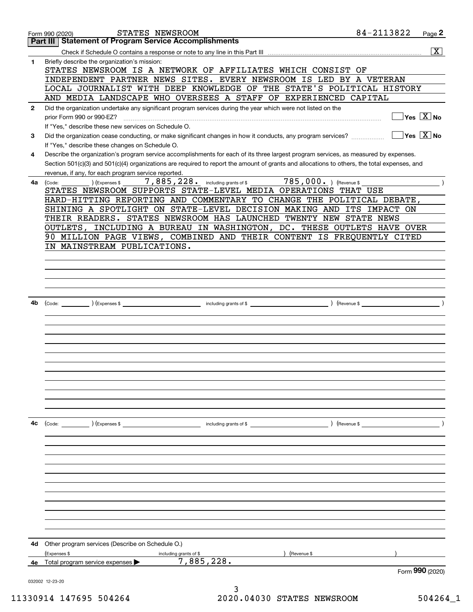|              | STATES NEWSROOM<br>Form 990 (2020)                                                                                                                                                                  | 84-2113822                                                                                                           | Page 2                                          |
|--------------|-----------------------------------------------------------------------------------------------------------------------------------------------------------------------------------------------------|----------------------------------------------------------------------------------------------------------------------|-------------------------------------------------|
|              | <b>Statement of Program Service Accomplishments</b><br>Part III                                                                                                                                     |                                                                                                                      |                                                 |
|              |                                                                                                                                                                                                     |                                                                                                                      | $\overline{\mathbf{x}}$                         |
| 1            | Briefly describe the organization's mission:<br>STATES NEWSROOM IS A NETWORK OF AFFILIATES WHICH CONSIST OF                                                                                         |                                                                                                                      |                                                 |
|              | INDEPENDENT PARTNER NEWS SITES. EVERY NEWSROOM IS LED BY A VETERAN                                                                                                                                  |                                                                                                                      |                                                 |
|              | LOCAL JOURNALIST WITH DEEP KNOWLEDGE OF THE STATE'S POLITICAL HISTORY                                                                                                                               |                                                                                                                      |                                                 |
|              | AND MEDIA LANDSCAPE WHO OVERSEES A STAFF OF EXPERIENCED CAPITAL                                                                                                                                     |                                                                                                                      |                                                 |
| $\mathbf{2}$ | Did the organization undertake any significant program services during the year which were not listed on the<br>prior Form 990 or 990-EZ?                                                           |                                                                                                                      | $\overline{\ }$ Yes $\overline{\phantom{X}}$ No |
|              | If "Yes," describe these new services on Schedule O.                                                                                                                                                |                                                                                                                      |                                                 |
| 3            | Did the organization cease conducting, or make significant changes in how it conducts, any program services?<br>If "Yes," describe these changes on Schedule O.                                     |                                                                                                                      | $\sqrt{}$ Yes $\sqrt{}$ X $\sqrt{}$ No          |
| 4            | Describe the organization's program service accomplishments for each of its three largest program services, as measured by expenses.                                                                |                                                                                                                      |                                                 |
|              | Section 501(c)(3) and 501(c)(4) organizations are required to report the amount of grants and allocations to others, the total expenses, and<br>revenue, if any, for each program service reported. |                                                                                                                      |                                                 |
| 4a           | 785,000. ) (Revenue \$<br>$7,885,228.$ including grants of \$<br>(Expenses \$<br>(Code:                                                                                                             |                                                                                                                      |                                                 |
|              | STATES NEWSROOM SUPPORTS STATE-LEVEL MEDIA OPERATIONS THAT USE                                                                                                                                      |                                                                                                                      |                                                 |
|              | HARD-HITTING REPORTING AND COMMENTARY TO CHANGE THE POLITICAL DEBATE,                                                                                                                               |                                                                                                                      |                                                 |
|              | SHINING A SPOTLIGHT ON STATE-LEVEL DECISION MAKING AND ITS IMPACT ON                                                                                                                                |                                                                                                                      |                                                 |
|              | THEIR READERS. STATES NEWSROOM HAS LAUNCHED TWENTY NEW STATE NEWS                                                                                                                                   |                                                                                                                      |                                                 |
|              | OUTLETS, INCLUDING A BUREAU IN WASHINGTON, DC. THESE OUTLETS HAVE OVER                                                                                                                              |                                                                                                                      |                                                 |
|              | 90 MILLION PAGE VIEWS, COMBINED AND THEIR CONTENT IS FREQUENTLY CITED                                                                                                                               |                                                                                                                      |                                                 |
|              | IN MAINSTREAM PUBLICATIONS.                                                                                                                                                                         |                                                                                                                      |                                                 |
|              |                                                                                                                                                                                                     |                                                                                                                      |                                                 |
|              |                                                                                                                                                                                                     |                                                                                                                      |                                                 |
|              |                                                                                                                                                                                                     |                                                                                                                      |                                                 |
|              |                                                                                                                                                                                                     |                                                                                                                      |                                                 |
| 4b           |                                                                                                                                                                                                     | $\overline{\phantom{a}}$ $\overline{\phantom{a}}$ $\overline{\phantom{a}}$ $\overline{\phantom{a}}$<br>) (Revenue \$ |                                                 |
|              |                                                                                                                                                                                                     |                                                                                                                      |                                                 |
|              |                                                                                                                                                                                                     |                                                                                                                      |                                                 |
|              |                                                                                                                                                                                                     |                                                                                                                      |                                                 |
|              |                                                                                                                                                                                                     |                                                                                                                      |                                                 |
|              |                                                                                                                                                                                                     |                                                                                                                      |                                                 |
|              |                                                                                                                                                                                                     |                                                                                                                      |                                                 |
|              |                                                                                                                                                                                                     |                                                                                                                      |                                                 |
|              |                                                                                                                                                                                                     |                                                                                                                      |                                                 |
|              |                                                                                                                                                                                                     |                                                                                                                      |                                                 |
|              |                                                                                                                                                                                                     |                                                                                                                      |                                                 |
|              |                                                                                                                                                                                                     |                                                                                                                      |                                                 |
| 4c           | (Code: ) (Expenses \$<br>including grants of \$                                                                                                                                                     | $($ Revenue \$ $\qquad \qquad$                                                                                       |                                                 |
|              |                                                                                                                                                                                                     |                                                                                                                      |                                                 |
|              |                                                                                                                                                                                                     |                                                                                                                      |                                                 |
|              |                                                                                                                                                                                                     |                                                                                                                      |                                                 |
|              |                                                                                                                                                                                                     |                                                                                                                      |                                                 |
|              |                                                                                                                                                                                                     |                                                                                                                      |                                                 |
|              |                                                                                                                                                                                                     |                                                                                                                      |                                                 |
|              |                                                                                                                                                                                                     |                                                                                                                      |                                                 |
|              |                                                                                                                                                                                                     |                                                                                                                      |                                                 |
|              |                                                                                                                                                                                                     |                                                                                                                      |                                                 |
|              |                                                                                                                                                                                                     |                                                                                                                      |                                                 |
|              |                                                                                                                                                                                                     |                                                                                                                      |                                                 |
| 4d           | Other program services (Describe on Schedule O.)                                                                                                                                                    |                                                                                                                      |                                                 |
|              | (Expenses \$<br>(Revenue \$<br>including grants of \$                                                                                                                                               |                                                                                                                      |                                                 |
| 4е           | 7,885,228.<br>Total program service expenses                                                                                                                                                        |                                                                                                                      |                                                 |
|              | 032002 12-23-20                                                                                                                                                                                     |                                                                                                                      | Form 990 (2020)                                 |

3 11330914 147695 504264 2020.04030 STATES NEWSROOM 504264\_1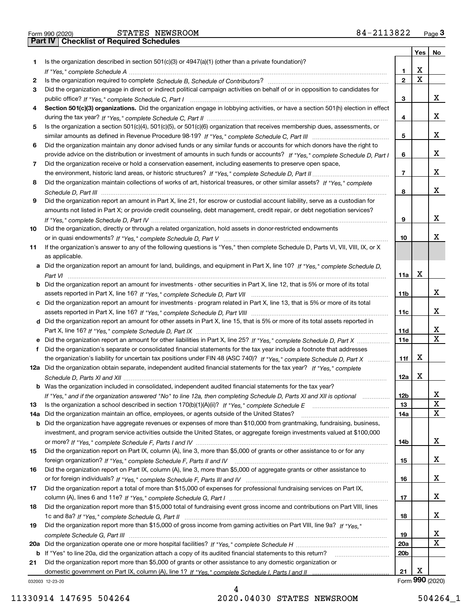|  | Form 990 (2020) |
|--|-----------------|
|  |                 |

|     |                                                                                                                                             |                 | Yes | No              |
|-----|---------------------------------------------------------------------------------------------------------------------------------------------|-----------------|-----|-----------------|
| 1.  | Is the organization described in section $501(c)(3)$ or $4947(a)(1)$ (other than a private foundation)?                                     |                 |     |                 |
|     |                                                                                                                                             | 1               | х   |                 |
| 2   |                                                                                                                                             | $\mathbf{2}$    | X   |                 |
| 3   | Did the organization engage in direct or indirect political campaign activities on behalf of or in opposition to candidates for             |                 |     |                 |
|     |                                                                                                                                             | 3               |     | х               |
| 4   | Section 501(c)(3) organizations. Did the organization engage in lobbying activities, or have a section 501(h) election in effect            |                 |     |                 |
|     |                                                                                                                                             | 4               |     | х               |
| 5   | Is the organization a section 501(c)(4), 501(c)(5), or 501(c)(6) organization that receives membership dues, assessments, or                |                 |     |                 |
|     |                                                                                                                                             | 5               |     | х               |
| 6   | Did the organization maintain any donor advised funds or any similar funds or accounts for which donors have the right to                   |                 |     |                 |
|     | provide advice on the distribution or investment of amounts in such funds or accounts? If "Yes," complete Schedule D, Part I                | 6               |     | х               |
| 7   | Did the organization receive or hold a conservation easement, including easements to preserve open space,                                   |                 |     |                 |
|     |                                                                                                                                             | 7               |     | х               |
| 8   | Did the organization maintain collections of works of art, historical treasures, or other similar assets? If "Yes," complete                |                 |     |                 |
|     |                                                                                                                                             | 8               |     | x               |
| 9   | Did the organization report an amount in Part X, line 21, for escrow or custodial account liability, serve as a custodian for               |                 |     |                 |
|     | amounts not listed in Part X; or provide credit counseling, debt management, credit repair, or debt negotiation services?                   |                 |     |                 |
|     |                                                                                                                                             | 9               |     | x               |
| 10  | Did the organization, directly or through a related organization, hold assets in donor-restricted endowments                                |                 |     |                 |
|     |                                                                                                                                             | 10              |     | х               |
| 11  | If the organization's answer to any of the following questions is "Yes," then complete Schedule D, Parts VI, VII, VIII, IX, or X            |                 |     |                 |
|     | as applicable.                                                                                                                              |                 |     |                 |
|     | a Did the organization report an amount for land, buildings, and equipment in Part X, line 10? If "Yes," complete Schedule D,               |                 | x   |                 |
|     |                                                                                                                                             | 11a             |     |                 |
|     | <b>b</b> Did the organization report an amount for investments - other securities in Part X, line 12, that is 5% or more of its total       | 11b             |     | х               |
|     | c Did the organization report an amount for investments - program related in Part X, line 13, that is 5% or more of its total               |                 |     |                 |
|     |                                                                                                                                             | 11c             |     | х               |
|     | d Did the organization report an amount for other assets in Part X, line 15, that is 5% or more of its total assets reported in             |                 |     |                 |
|     |                                                                                                                                             | 11d             |     | x               |
|     |                                                                                                                                             | 11e             |     | X               |
| f   | Did the organization's separate or consolidated financial statements for the tax year include a footnote that addresses                     |                 |     |                 |
|     | the organization's liability for uncertain tax positions under FIN 48 (ASC 740)? If "Yes," complete Schedule D, Part X                      | 11f             | х   |                 |
|     | 12a Did the organization obtain separate, independent audited financial statements for the tax year? If "Yes," complete                     |                 |     |                 |
|     |                                                                                                                                             | 12a             | х   |                 |
|     | <b>b</b> Was the organization included in consolidated, independent audited financial statements for the tax year?                          |                 |     |                 |
|     | If "Yes," and if the organization answered "No" to line 12a, then completing Schedule D, Parts XI and XII is optional ( <i>merrominim</i> ) | 12 <sub>b</sub> |     |                 |
| 13  | Is the organization a school described in section $170(b)(1)(A)(ii)?$ If "Yes," complete Schedule E                                         | 13              |     | X               |
| 14a | Did the organization maintain an office, employees, or agents outside of the United States?                                                 | 14a             |     | x               |
|     | <b>b</b> Did the organization have aggregate revenues or expenses of more than \$10,000 from grantmaking, fundraising, business,            |                 |     |                 |
|     | investment, and program service activities outside the United States, or aggregate foreign investments valued at \$100,000                  |                 |     |                 |
|     |                                                                                                                                             | 14b             |     | x               |
| 15  | Did the organization report on Part IX, column (A), line 3, more than \$5,000 of grants or other assistance to or for any                   |                 |     |                 |
|     |                                                                                                                                             | 15              |     | x               |
| 16  | Did the organization report on Part IX, column (A), line 3, more than \$5,000 of aggregate grants or other assistance to                    |                 |     |                 |
|     |                                                                                                                                             | 16              |     | x               |
| 17  | Did the organization report a total of more than \$15,000 of expenses for professional fundraising services on Part IX,                     |                 |     |                 |
|     |                                                                                                                                             | 17              |     | x               |
| 18  | Did the organization report more than \$15,000 total of fundraising event gross income and contributions on Part VIII, lines                |                 |     |                 |
|     |                                                                                                                                             | 18              |     | x               |
| 19  | Did the organization report more than \$15,000 of gross income from gaming activities on Part VIII, line 9a? If "Yes."                      |                 |     |                 |
|     |                                                                                                                                             | 19              |     | х               |
|     |                                                                                                                                             | 20a             |     | X               |
|     | b If "Yes" to line 20a, did the organization attach a copy of its audited financial statements to this return?                              | 20 <sub>b</sub> |     |                 |
| 21  | Did the organization report more than \$5,000 of grants or other assistance to any domestic organization or                                 |                 |     |                 |
|     |                                                                                                                                             | 21              | x   |                 |
|     | 032003 12-23-20                                                                                                                             |                 |     | Form 990 (2020) |

032003 12-23-20

4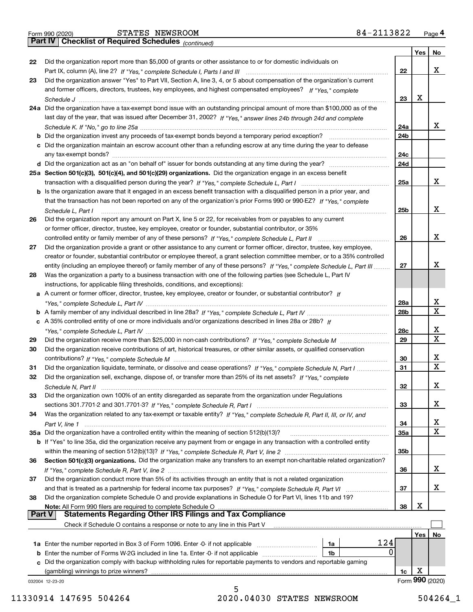|  | Form 990 (2020) |
|--|-----------------|
|  |                 |

*(continued)*

|               |                                                                                                                                                                                                                                                       |            | Yes | No              |
|---------------|-------------------------------------------------------------------------------------------------------------------------------------------------------------------------------------------------------------------------------------------------------|------------|-----|-----------------|
| 22            | Did the organization report more than \$5,000 of grants or other assistance to or for domestic individuals on                                                                                                                                         |            |     |                 |
|               |                                                                                                                                                                                                                                                       | 22         |     | х               |
| 23            | Did the organization answer "Yes" to Part VII, Section A, line 3, 4, or 5 about compensation of the organization's current                                                                                                                            |            |     |                 |
|               | and former officers, directors, trustees, key employees, and highest compensated employees? If "Yes," complete                                                                                                                                        |            |     |                 |
|               |                                                                                                                                                                                                                                                       | 23         | x   |                 |
|               | 24a Did the organization have a tax-exempt bond issue with an outstanding principal amount of more than \$100,000 as of the                                                                                                                           |            |     |                 |
|               | last day of the year, that was issued after December 31, 2002? If "Yes," answer lines 24b through 24d and complete                                                                                                                                    |            |     |                 |
|               |                                                                                                                                                                                                                                                       | 24a        |     | х               |
|               | b Did the organization invest any proceeds of tax-exempt bonds beyond a temporary period exception?                                                                                                                                                   | 24b        |     |                 |
|               | c Did the organization maintain an escrow account other than a refunding escrow at any time during the year to defease                                                                                                                                |            |     |                 |
|               |                                                                                                                                                                                                                                                       | 24c        |     |                 |
|               |                                                                                                                                                                                                                                                       | 24d        |     |                 |
|               | 25a Section 501(c)(3), 501(c)(4), and 501(c)(29) organizations. Did the organization engage in an excess benefit                                                                                                                                      |            |     | х               |
|               |                                                                                                                                                                                                                                                       | 25a        |     |                 |
|               | b Is the organization aware that it engaged in an excess benefit transaction with a disqualified person in a prior year, and<br>that the transaction has not been reported on any of the organization's prior Forms 990 or 990-EZ? If "Yes," complete |            |     |                 |
|               |                                                                                                                                                                                                                                                       | 25b        |     | х               |
| 26            | Schedule L, Part I<br>Did the organization report any amount on Part X, line 5 or 22, for receivables from or payables to any current                                                                                                                 |            |     |                 |
|               | or former officer, director, trustee, key employee, creator or founder, substantial contributor, or 35%                                                                                                                                               |            |     |                 |
|               |                                                                                                                                                                                                                                                       | 26         |     | х               |
| 27            | Did the organization provide a grant or other assistance to any current or former officer, director, trustee, key employee,                                                                                                                           |            |     |                 |
|               | creator or founder, substantial contributor or employee thereof, a grant selection committee member, or to a 35% controlled                                                                                                                           |            |     |                 |
|               | entity (including an employee thereof) or family member of any of these persons? If "Yes," complete Schedule L, Part III                                                                                                                              | 27         |     | x               |
| 28            | Was the organization a party to a business transaction with one of the following parties (see Schedule L, Part IV                                                                                                                                     |            |     |                 |
|               | instructions, for applicable filing thresholds, conditions, and exceptions):                                                                                                                                                                          |            |     |                 |
|               | a A current or former officer, director, trustee, key employee, creator or founder, or substantial contributor? If                                                                                                                                    |            |     |                 |
|               |                                                                                                                                                                                                                                                       | 28a        |     | х               |
|               |                                                                                                                                                                                                                                                       | 28b        |     | $\mathbf x$     |
|               | c A 35% controlled entity of one or more individuals and/or organizations described in lines 28a or 28b? If                                                                                                                                           |            |     |                 |
|               |                                                                                                                                                                                                                                                       | 28c        |     | х               |
| 29            |                                                                                                                                                                                                                                                       | 29         |     | X               |
| 30            | Did the organization receive contributions of art, historical treasures, or other similar assets, or qualified conservation                                                                                                                           |            |     |                 |
|               |                                                                                                                                                                                                                                                       | 30         |     | х               |
| 31            | Did the organization liquidate, terminate, or dissolve and cease operations? If "Yes," complete Schedule N, Part I                                                                                                                                    | 31         |     | X               |
| 32            | Did the organization sell, exchange, dispose of, or transfer more than 25% of its net assets? If "Yes," complete                                                                                                                                      |            |     |                 |
|               |                                                                                                                                                                                                                                                       | 32         |     | х               |
| 33            | Did the organization own 100% of an entity disregarded as separate from the organization under Regulations                                                                                                                                            |            |     |                 |
|               |                                                                                                                                                                                                                                                       | 33         |     | х               |
| 34            | Was the organization related to any tax-exempt or taxable entity? If "Yes," complete Schedule R, Part II, III, or IV, and                                                                                                                             |            |     |                 |
|               |                                                                                                                                                                                                                                                       | 34         |     | х               |
|               | 35a Did the organization have a controlled entity within the meaning of section 512(b)(13)?                                                                                                                                                           | <b>35a</b> |     | X               |
|               | <b>b</b> If "Yes" to line 35a, did the organization receive any payment from or engage in any transaction with a controlled entity                                                                                                                    |            |     |                 |
|               |                                                                                                                                                                                                                                                       | 35b        |     |                 |
| 36            | Section 501(c)(3) organizations. Did the organization make any transfers to an exempt non-charitable related organization?                                                                                                                            |            |     |                 |
|               |                                                                                                                                                                                                                                                       | 36         |     | x               |
| 37            | Did the organization conduct more than 5% of its activities through an entity that is not a related organization                                                                                                                                      |            |     | x               |
|               | and that is treated as a partnership for federal income tax purposes? If "Yes," complete Schedule R, Part VI                                                                                                                                          | 37         |     |                 |
| 38            | Did the organization complete Schedule O and provide explanations in Schedule O for Part VI, lines 11b and 19?<br>Note: All Form 990 filers are required to complete Schedule O                                                                       | 38         | х   |                 |
| <b>Part V</b> | <b>Statements Regarding Other IRS Filings and Tax Compliance</b>                                                                                                                                                                                      |            |     |                 |
|               | Check if Schedule O contains a response or note to any line in this Part V                                                                                                                                                                            |            |     |                 |
|               |                                                                                                                                                                                                                                                       |            | Yes | No              |
|               | 124<br>1a Enter the number reported in Box 3 of Form 1096. Enter -0- if not applicable<br>1a                                                                                                                                                          |            |     |                 |
|               | 0<br>1b                                                                                                                                                                                                                                               |            |     |                 |
|               | c Did the organization comply with backup withholding rules for reportable payments to vendors and reportable gaming                                                                                                                                  |            |     |                 |
|               | (gambling) winnings to prize winners?                                                                                                                                                                                                                 | 1c         | х   |                 |
|               | 032004 12-23-20                                                                                                                                                                                                                                       |            |     | Form 990 (2020) |
|               |                                                                                                                                                                                                                                                       |            |     |                 |

5 11330914 147695 504264 2020.04030 STATES NEWSROOM 504264\_1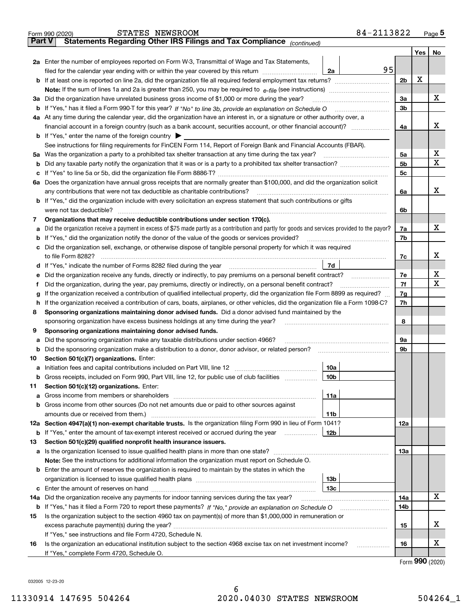|               | 84-2113822<br>STATES NEWSROOM<br>Form 990 (2020)                                                                                                                                                                                     |                |         | <u>Page</u> 5 |
|---------------|--------------------------------------------------------------------------------------------------------------------------------------------------------------------------------------------------------------------------------------|----------------|---------|---------------|
| <b>Part V</b> | Statements Regarding Other IRS Filings and Tax Compliance (continued)                                                                                                                                                                |                |         |               |
|               |                                                                                                                                                                                                                                      |                | Yes $ $ | No            |
|               | 2a Enter the number of employees reported on Form W-3, Transmittal of Wage and Tax Statements,                                                                                                                                       |                |         |               |
|               | 95<br>filed for the calendar year ending with or within the year covered by this return <i>manumumumum</i><br>2a                                                                                                                     |                |         |               |
|               |                                                                                                                                                                                                                                      | 2 <sub>b</sub> | х       |               |
|               |                                                                                                                                                                                                                                      |                |         |               |
|               | 3a Did the organization have unrelated business gross income of \$1,000 or more during the year?                                                                                                                                     | 3a             |         | x             |
|               |                                                                                                                                                                                                                                      | 3b             |         |               |
|               | 4a At any time during the calendar year, did the organization have an interest in, or a signature or other authority over, a                                                                                                         |                |         |               |
|               |                                                                                                                                                                                                                                      | 4a             |         | х             |
|               | <b>b</b> If "Yes," enter the name of the foreign country $\blacktriangleright$                                                                                                                                                       |                |         |               |
|               | See instructions for filing requirements for FinCEN Form 114, Report of Foreign Bank and Financial Accounts (FBAR).                                                                                                                  |                |         |               |
|               | 5a Was the organization a party to a prohibited tax shelter transaction at any time during the tax year?                                                                                                                             | 5a             |         | X             |
| b             |                                                                                                                                                                                                                                      | 5 <sub>b</sub> |         | х             |
|               |                                                                                                                                                                                                                                      | 5c             |         |               |
|               | 6a Does the organization have annual gross receipts that are normally greater than \$100,000, and did the organization solicit                                                                                                       |                |         |               |
|               |                                                                                                                                                                                                                                      | 6a             |         | х             |
|               | <b>b</b> If "Yes," did the organization include with every solicitation an express statement that such contributions or gifts                                                                                                        |                |         |               |
|               | were not tax deductible?                                                                                                                                                                                                             | 6b             |         |               |
| 7             | Organizations that may receive deductible contributions under section 170(c).                                                                                                                                                        |                |         |               |
| а             | Did the organization receive a payment in excess of \$75 made partly as a contribution and partly for goods and services provided to the payor?                                                                                      | 7a             |         | х             |
|               | <b>b</b> If "Yes," did the organization notify the donor of the value of the goods or services provided?                                                                                                                             | 7b             |         |               |
|               | c Did the organization sell, exchange, or otherwise dispose of tangible personal property for which it was required                                                                                                                  |                |         |               |
|               |                                                                                                                                                                                                                                      | 7с             |         | х             |
|               | 7d<br>d If "Yes," indicate the number of Forms 8282 filed during the year [11] [11] No. 2010 [12] Henry Marian Marian Marian Marian Marian Marian Marian Marian Marian Marian Marian Marian Marian Marian Marian Marian Marian Maria |                |         |               |
| е             | Did the organization receive any funds, directly or indirectly, to pay premiums on a personal benefit contract?                                                                                                                      | 7e             |         | х             |
| f             | Did the organization, during the year, pay premiums, directly or indirectly, on a personal benefit contract?                                                                                                                         |                |         |               |
| g             | If the organization received a contribution of qualified intellectual property, did the organization file Form 8899 as required?                                                                                                     |                |         |               |
| h.            | If the organization received a contribution of cars, boats, airplanes, or other vehicles, did the organization file a Form 1098-C?                                                                                                   | 7h             |         |               |
| 8             | Sponsoring organizations maintaining donor advised funds. Did a donor advised fund maintained by the                                                                                                                                 |                |         |               |
|               | sponsoring organization have excess business holdings at any time during the year?                                                                                                                                                   | 8              |         |               |
| 9             | Sponsoring organizations maintaining donor advised funds.                                                                                                                                                                            |                |         |               |
| а             | Did the sponsoring organization make any taxable distributions under section 4966?                                                                                                                                                   | 9а             |         |               |
|               | <b>b</b> Did the sponsoring organization make a distribution to a donor, donor advisor, or related person?                                                                                                                           | 9b             |         |               |
| 10            | Section 501(c)(7) organizations. Enter:                                                                                                                                                                                              |                |         |               |
|               | 10a                                                                                                                                                                                                                                  |                |         |               |
|               | 10b <br>Gross receipts, included on Form 990, Part VIII, line 12, for public use of club facilities                                                                                                                                  |                |         |               |
| 11            | Section 501(c)(12) organizations. Enter:                                                                                                                                                                                             |                |         |               |
|               | <b>a</b> Gross income from members or shareholders<br>11a                                                                                                                                                                            |                |         |               |
|               | b Gross income from other sources (Do not net amounts due or paid to other sources against                                                                                                                                           |                |         |               |
|               | 11b                                                                                                                                                                                                                                  |                |         |               |
|               | 12a Section 4947(a)(1) non-exempt charitable trusts. Is the organization filing Form 990 in lieu of Form 1041?                                                                                                                       | 12a            |         |               |
|               | 12b<br><b>b</b> If "Yes," enter the amount of tax-exempt interest received or accrued during the year <i>manument</i>                                                                                                                |                |         |               |
| 13            | Section 501(c)(29) qualified nonprofit health insurance issuers.                                                                                                                                                                     |                |         |               |
|               | a Is the organization licensed to issue qualified health plans in more than one state?                                                                                                                                               | 13а            |         |               |
|               | Note: See the instructions for additional information the organization must report on Schedule O.                                                                                                                                    |                |         |               |
|               | <b>b</b> Enter the amount of reserves the organization is required to maintain by the states in which the                                                                                                                            |                |         |               |
|               | 13b                                                                                                                                                                                                                                  |                |         |               |
|               | 13с                                                                                                                                                                                                                                  |                |         |               |
| 14a           | Did the organization receive any payments for indoor tanning services during the tax year?                                                                                                                                           | 14a            |         | x             |
|               | <b>b</b> If "Yes," has it filed a Form 720 to report these payments? If "No," provide an explanation on Schedule O                                                                                                                   | 14b            |         |               |
| 15            | Is the organization subject to the section 4960 tax on payment(s) of more than \$1,000,000 in remuneration or                                                                                                                        |                |         |               |
|               |                                                                                                                                                                                                                                      | 15             |         | x             |
|               | If "Yes," see instructions and file Form 4720, Schedule N.                                                                                                                                                                           |                |         |               |
| 16            | Is the organization an educational institution subject to the section 4968 excise tax on net investment income?                                                                                                                      | 16             |         | х             |
|               | If "Yes," complete Form 4720, Schedule O.                                                                                                                                                                                            |                |         |               |

Form (2020) **990**

032005 12-23-20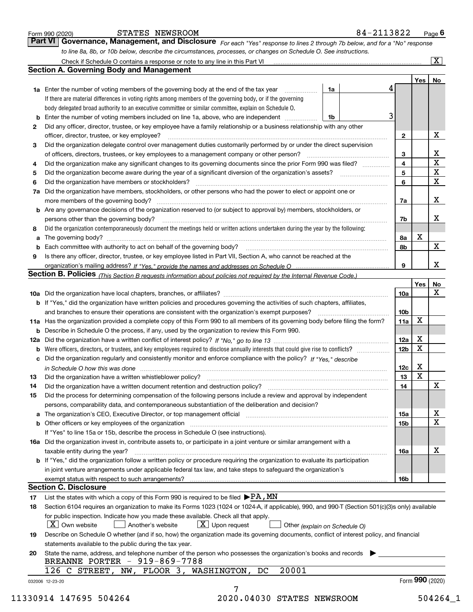|    |                                                                                                                                                                                                                                |                 |                 | $\mathbf{X}$            |
|----|--------------------------------------------------------------------------------------------------------------------------------------------------------------------------------------------------------------------------------|-----------------|-----------------|-------------------------|
|    | <b>Section A. Governing Body and Management</b>                                                                                                                                                                                |                 |                 |                         |
|    | 4                                                                                                                                                                                                                              |                 | Yes             | No.                     |
|    | 1a Enter the number of voting members of the governing body at the end of the tax year<br>1a                                                                                                                                   |                 |                 |                         |
|    | If there are material differences in voting rights among members of the governing body, or if the governing                                                                                                                    |                 |                 |                         |
|    | body delegated broad authority to an executive committee or similar committee, explain on Schedule O.                                                                                                                          |                 |                 |                         |
|    | 3<br><b>b</b> Enter the number of voting members included on line 1a, above, who are independent <i>manumum</i><br>1b                                                                                                          |                 |                 |                         |
| 2  | Did any officer, director, trustee, or key employee have a family relationship or a business relationship with any other                                                                                                       |                 |                 |                         |
|    | officer, director, trustee, or key employee?                                                                                                                                                                                   | $\mathbf{2}$    |                 | X                       |
| З  | Did the organization delegate control over management duties customarily performed by or under the direct supervision                                                                                                          |                 |                 |                         |
|    |                                                                                                                                                                                                                                | 3               |                 | X                       |
| 4  | Did the organization make any significant changes to its governing documents since the prior Form 990 was filed?                                                                                                               | 4               |                 | $\overline{\mathtt{x}}$ |
| 5  |                                                                                                                                                                                                                                | 5               |                 | $\overline{\mathbf{x}}$ |
| 6  | Did the organization have members or stockholders?                                                                                                                                                                             | 6               |                 | $\overline{\mathbf{x}}$ |
|    | 7a Did the organization have members, stockholders, or other persons who had the power to elect or appoint one or                                                                                                              |                 |                 |                         |
|    |                                                                                                                                                                                                                                |                 |                 | X                       |
|    | more members of the governing body?                                                                                                                                                                                            | 7a              |                 |                         |
|    | b Are any governance decisions of the organization reserved to (or subject to approval by) members, stockholders, or                                                                                                           |                 |                 |                         |
|    | persons other than the governing body?                                                                                                                                                                                         | 7b              |                 | х                       |
| 8  | Did the organization contemporaneously document the meetings held or written actions undertaken during the year by the following:                                                                                              |                 |                 |                         |
| a  |                                                                                                                                                                                                                                | 8а              | X               |                         |
|    |                                                                                                                                                                                                                                | 8b              |                 | X                       |
| 9  | Is there any officer, director, trustee, or key employee listed in Part VII, Section A, who cannot be reached at the                                                                                                           |                 |                 |                         |
|    |                                                                                                                                                                                                                                | 9               |                 | X                       |
|    | Section B. Policies (This Section B requests information about policies not required by the Internal Revenue Code.)                                                                                                            |                 |                 |                         |
|    |                                                                                                                                                                                                                                |                 | Yes             | No                      |
|    |                                                                                                                                                                                                                                | 10a             |                 | X                       |
|    | <b>b</b> If "Yes," did the organization have written policies and procedures governing the activities of such chapters, affiliates,                                                                                            |                 |                 |                         |
|    |                                                                                                                                                                                                                                | 10 <sub>b</sub> |                 |                         |
|    | 11a Has the organization provided a complete copy of this Form 990 to all members of its governing body before filing the form?                                                                                                | 11a             | x               |                         |
|    |                                                                                                                                                                                                                                |                 |                 |                         |
|    | <b>b</b> Describe in Schedule O the process, if any, used by the organization to review this Form 990.                                                                                                                         |                 | X               |                         |
|    |                                                                                                                                                                                                                                | 12a             | X               |                         |
|    | <b>b</b> Were officers, directors, or trustees, and key employees required to disclose annually interests that could give rise to conflicts?                                                                                   | 12 <sub>b</sub> |                 |                         |
|    | c Did the organization regularly and consistently monitor and enforce compliance with the policy? If "Yes." describe                                                                                                           |                 |                 |                         |
|    | in Schedule O how this was done manufactured and continuum control of the Schedule O how this was done manufactured and control of the Schedule O how this was done                                                            | 12c             | X               |                         |
| 13 |                                                                                                                                                                                                                                | 13              | $\mathbf X$     |                         |
| 14 | Did the organization have a written document retention and destruction policy?                                                                                                                                                 | 14              |                 | $\mathbf X$             |
| 15 | Did the process for determining compensation of the following persons include a review and approval by independent                                                                                                             |                 |                 |                         |
|    | persons, comparability data, and contemporaneous substantiation of the deliberation and decision?                                                                                                                              |                 |                 |                         |
|    | a The organization's CEO, Executive Director, or top management official [11] [12] The organization's CEO, Executive Director, or top management official [12] [12] [12] [12] The organization's CEO, Executive Director, or t | 15a             |                 | Х                       |
|    |                                                                                                                                                                                                                                | 15b             |                 | X                       |
|    | If "Yes" to line 15a or 15b, describe the process in Schedule O (see instructions).                                                                                                                                            |                 |                 |                         |
|    | 16a Did the organization invest in, contribute assets to, or participate in a joint venture or similar arrangement with a                                                                                                      |                 |                 |                         |
|    | taxable entity during the year?                                                                                                                                                                                                | 16a             |                 | х                       |
|    | <b>b</b> If "Yes," did the organization follow a written policy or procedure requiring the organization to evaluate its participation                                                                                          |                 |                 |                         |
|    | in joint venture arrangements under applicable federal tax law, and take steps to safeguard the organization's                                                                                                                 |                 |                 |                         |
|    |                                                                                                                                                                                                                                | 16b             |                 |                         |
|    | <b>Section C. Disclosure</b>                                                                                                                                                                                                   |                 |                 |                         |
| 17 | List the states with which a copy of this Form 990 is required to be filed $\blacktriangleright$ PA, MN                                                                                                                        |                 |                 |                         |
|    | Section 6104 requires an organization to make its Forms 1023 (1024 or 1024-A, if applicable), 990, and 990-T (Section 501(c)(3)s only) available                                                                               |                 |                 |                         |
| 18 |                                                                                                                                                                                                                                |                 |                 |                         |
|    | for public inspection. Indicate how you made these available. Check all that apply.                                                                                                                                            |                 |                 |                         |
|    | $X$ Upon request<br>$X$ Own website<br>Another's website<br>Other (explain on Schedule O)                                                                                                                                      |                 |                 |                         |
| 19 | Describe on Schedule O whether (and if so, how) the organization made its governing documents, conflict of interest policy, and financial                                                                                      |                 |                 |                         |
|    | statements available to the public during the tax year.                                                                                                                                                                        |                 |                 |                         |
| 20 | State the name, address, and telephone number of the person who possesses the organization's books and records                                                                                                                 |                 |                 |                         |
|    | BREANNE PORTER - 919-869-7788                                                                                                                                                                                                  |                 |                 |                         |
|    | 20001<br>126 C STREET, NW, FLOOR 3, WASHINGTON, DC                                                                                                                                                                             |                 |                 |                         |
|    |                                                                                                                                                                                                                                |                 | Form 990 (2020) |                         |

| Form 990 (2020) | STATES NEWSROOM | 84-2113822                                                                                                              | Page |
|-----------------|-----------------|-------------------------------------------------------------------------------------------------------------------------|------|
|                 |                 | <b>Part VI Governance Management and Disclosure</b> France West weepers to live 2 through 7h below and fave HAG weepers |      |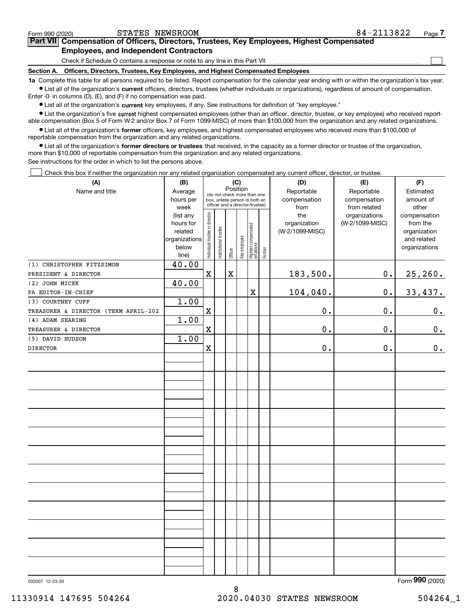| Form 990 (2020) | STATES NEWSROOM                                                                                                                                            | 84-2113822 | Page |  |  |  |  |  |  |  |
|-----------------|------------------------------------------------------------------------------------------------------------------------------------------------------------|------------|------|--|--|--|--|--|--|--|
|                 | Part VII Compensation of Officers, Directors, Trustees, Key Employees, Highest Compensated                                                                 |            |      |  |  |  |  |  |  |  |
|                 | <b>Employees, and Independent Contractors</b>                                                                                                              |            |      |  |  |  |  |  |  |  |
|                 | Check if Schedule O contains a response or note to any line in this Part VII                                                                               |            |      |  |  |  |  |  |  |  |
| Section A.      | Officers, Directors, Trustees, Key Employees, and Highest Compensated Employees                                                                            |            |      |  |  |  |  |  |  |  |
|                 | 1a Complete this table for all persons required to be listed. Report compensation for the calendar year ending with or within the organization's tay year. |            |      |  |  |  |  |  |  |  |

**1a •** List all of the organization's current officers, directors, trustees (whether individuals or organizations), regardless of amount of compensation. all persons required to be listed. Report compensation for the calendar year ending with or within the orga Enter -0- in columns (D), (E), and (F) if no compensation was paid.

 $\bullet$  List all of the organization's  $\,$ current key employees, if any. See instructions for definition of "key employee."

**•** List the organization's five current highest compensated employees (other than an officer, director, trustee, or key employee) who received reportable compensation (Box 5 of Form W-2 and/or Box 7 of Form 1099-MISC) of more than \$100,000 from the organization and any related organizations.

**•** List all of the organization's former officers, key employees, and highest compensated employees who received more than \$100,000 of reportable compensation from the organization and any related organizations.

**former directors or trustees**  ¥ List all of the organization's that received, in the capacity as a former director or trustee of the organization, more than \$10,000 of reportable compensation from the organization and any related organizations.

See instructions for the order in which to list the persons above.

Check this box if neither the organization nor any related organization compensated any current officer, director, or trustee.  $\mathcal{L}^{\text{max}}$ 

| (A)                                  | (B)                    |                                |                       |             | (C)          |                                                                  |        | (D)             | (E)                              | (F)                      |
|--------------------------------------|------------------------|--------------------------------|-----------------------|-------------|--------------|------------------------------------------------------------------|--------|-----------------|----------------------------------|--------------------------|
| Name and title                       | Average                |                                |                       | Position    |              | (do not check more than one                                      |        | Reportable      | Reportable                       | Estimated                |
|                                      | hours per              |                                |                       |             |              | box, unless person is both an<br>officer and a director/trustee) |        | compensation    | compensation                     | amount of                |
|                                      | week                   |                                |                       |             |              |                                                                  |        | from<br>the     | from related                     | other                    |
|                                      | (list any<br>hours for | Individual trustee or director |                       |             |              |                                                                  |        | organization    | organizations<br>(W-2/1099-MISC) | compensation<br>from the |
|                                      | related                |                                |                       |             |              |                                                                  |        | (W-2/1099-MISC) |                                  | organization             |
|                                      | organizations          |                                |                       |             |              |                                                                  |        |                 |                                  | and related              |
|                                      | below                  |                                |                       |             |              |                                                                  |        |                 |                                  | organizations            |
|                                      | line)                  |                                | Institutional trustee | Officer     | Key employee | Highest compensated<br>employee                                  | Former |                 |                                  |                          |
| (1) CHRISTOPHER FITZSIMON            | 40.00                  |                                |                       |             |              |                                                                  |        |                 |                                  |                          |
| PRESIDENT & DIRECTOR                 |                        | $\mathbf X$                    |                       | $\mathbf X$ |              |                                                                  |        | 183,500.        | $\mathbf 0$ .                    | 25, 260.                 |
| (2) JOHN MICEK                       | 40.00                  |                                |                       |             |              |                                                                  |        |                 |                                  |                          |
| PA EDITOR-IN-CHIEF                   |                        |                                |                       |             |              | $\mathbf X$                                                      |        | 104,040.        | $0$ .                            | 33,437.                  |
| (3) COURTNEY CUFF                    | 1.00                   |                                |                       |             |              |                                                                  |        |                 |                                  |                          |
| TREASURER & DIRECTOR (TERM APRIL-202 |                        | $\mathbf X$                    |                       |             |              |                                                                  |        | $\mathbf 0$ .   | 0.                               | 0.                       |
| (4) ADAM SEARING                     | 1.00                   |                                |                       |             |              |                                                                  |        |                 |                                  |                          |
| TREASURER & DIRECTOR                 |                        | $\mathbf X$                    |                       |             |              |                                                                  |        | $\mathbf 0$ .   | 0.                               | 0.                       |
| (5) DAVID HUDSON                     | 1.00                   |                                |                       |             |              |                                                                  |        |                 |                                  |                          |
| <b>DIRECTOR</b>                      |                        | $\mathbf X$                    |                       |             |              |                                                                  |        | $\mathbf 0$ .   | 0.                               | 0.                       |
|                                      |                        |                                |                       |             |              |                                                                  |        |                 |                                  |                          |
|                                      |                        |                                |                       |             |              |                                                                  |        |                 |                                  |                          |
|                                      |                        |                                |                       |             |              |                                                                  |        |                 |                                  |                          |
|                                      |                        |                                |                       |             |              |                                                                  |        |                 |                                  |                          |
|                                      |                        |                                |                       |             |              |                                                                  |        |                 |                                  |                          |
|                                      |                        |                                |                       |             |              |                                                                  |        |                 |                                  |                          |
|                                      |                        |                                |                       |             |              |                                                                  |        |                 |                                  |                          |
|                                      |                        |                                |                       |             |              |                                                                  |        |                 |                                  |                          |
|                                      |                        |                                |                       |             |              |                                                                  |        |                 |                                  |                          |
|                                      |                        |                                |                       |             |              |                                                                  |        |                 |                                  |                          |
|                                      |                        |                                |                       |             |              |                                                                  |        |                 |                                  |                          |
|                                      |                        |                                |                       |             |              |                                                                  |        |                 |                                  |                          |
|                                      |                        |                                |                       |             |              |                                                                  |        |                 |                                  |                          |
|                                      |                        |                                |                       |             |              |                                                                  |        |                 |                                  |                          |
|                                      |                        |                                |                       |             |              |                                                                  |        |                 |                                  |                          |
|                                      |                        |                                |                       |             |              |                                                                  |        |                 |                                  |                          |
|                                      |                        |                                |                       |             |              |                                                                  |        |                 |                                  |                          |
|                                      |                        |                                |                       |             |              |                                                                  |        |                 |                                  |                          |
|                                      |                        |                                |                       |             |              |                                                                  |        |                 |                                  |                          |
|                                      |                        |                                |                       |             |              |                                                                  |        |                 |                                  |                          |
|                                      |                        |                                |                       |             |              |                                                                  |        |                 |                                  |                          |
|                                      |                        |                                |                       |             |              |                                                                  |        |                 |                                  |                          |
|                                      |                        |                                |                       |             |              |                                                                  |        |                 |                                  |                          |
|                                      |                        |                                |                       |             |              |                                                                  |        |                 |                                  |                          |

8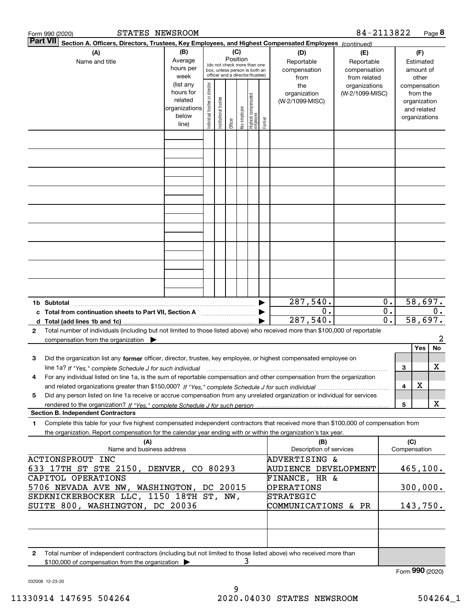|                 | STATES NEWSROOM<br>Form 990 (2020)                                                                                                                                                                                                                                       |                                                                      |                                |                       |          |              |                                                                                                 |        |                                           | 84-2113822                                        |                        |                     |                                                                          | Page 8  |
|-----------------|--------------------------------------------------------------------------------------------------------------------------------------------------------------------------------------------------------------------------------------------------------------------------|----------------------------------------------------------------------|--------------------------------|-----------------------|----------|--------------|-------------------------------------------------------------------------------------------------|--------|-------------------------------------------|---------------------------------------------------|------------------------|---------------------|--------------------------------------------------------------------------|---------|
| <b>Part VII</b> | Section A. Officers, Directors, Trustees, Key Employees, and Highest Compensated Employees (continued)                                                                                                                                                                   |                                                                      |                                |                       |          |              |                                                                                                 |        |                                           |                                                   |                        |                     |                                                                          |         |
|                 | (A)<br>Name and title                                                                                                                                                                                                                                                    | (B)<br>Average<br>hours per<br>week                                  |                                |                       | Position | (C)          | (do not check more than one<br>box, unless person is both an<br>officer and a director/trustee) |        | (D)<br>Reportable<br>compensation<br>from | (E)<br>Reportable<br>compensation<br>from related |                        |                     | (F)<br>Estimated<br>amount of<br>other                                   |         |
|                 |                                                                                                                                                                                                                                                                          | (list any<br>hours for<br>related<br>organizations<br>below<br>line) | Individual trustee or director | Institutional trustee | Officer  | Key employee | Highest compensated<br>  employee                                                               | Former | the<br>organization<br>(W-2/1099-MISC)    | organizations<br>(W-2/1099-MISC)                  |                        |                     | compensation<br>from the<br>organization<br>and related<br>organizations |         |
|                 |                                                                                                                                                                                                                                                                          |                                                                      |                                |                       |          |              |                                                                                                 |        |                                           |                                                   |                        |                     |                                                                          |         |
|                 |                                                                                                                                                                                                                                                                          |                                                                      |                                |                       |          |              |                                                                                                 |        |                                           |                                                   |                        |                     |                                                                          |         |
|                 |                                                                                                                                                                                                                                                                          |                                                                      |                                |                       |          |              |                                                                                                 |        |                                           |                                                   |                        |                     |                                                                          |         |
|                 |                                                                                                                                                                                                                                                                          |                                                                      |                                |                       |          |              |                                                                                                 |        |                                           |                                                   |                        |                     |                                                                          |         |
|                 | 1b Subtotal                                                                                                                                                                                                                                                              |                                                                      |                                |                       |          |              |                                                                                                 |        | 287,540.                                  |                                                   | $0$ .                  |                     | 58,697.                                                                  |         |
| $\mathbf{2}$    | c Total from continuation sheets to Part VII, Section A<br>Total number of individuals (including but not limited to those listed above) who received more than \$100,000 of reportable                                                                                  |                                                                      |                                |                       |          |              |                                                                                                 |        | 0.<br>287,540.                            |                                                   | $\overline{0}$ .<br>0. |                     | 58,697.                                                                  | $0$ .   |
|                 | compensation from the organization                                                                                                                                                                                                                                       |                                                                      |                                |                       |          |              |                                                                                                 |        |                                           |                                                   |                        |                     | Yes                                                                      | 2<br>No |
| 3               | Did the organization list any former officer, director, trustee, key employee, or highest compensated employee on<br>line 1a? If "Yes," complete Schedule J for such individual manumanamental communities and the 1a? If "Yes," complete Schedule J for such individual |                                                                      |                                |                       |          |              |                                                                                                 |        |                                           |                                                   |                        | 3                   |                                                                          | x       |
|                 | For any individual listed on line 1a, is the sum of reportable compensation and other compensation from the organization                                                                                                                                                 |                                                                      |                                |                       |          |              |                                                                                                 |        |                                           |                                                   |                        | 4                   | X                                                                        |         |
| 5               | Did any person listed on line 1a receive or accrue compensation from any unrelated organization or individual for services                                                                                                                                               |                                                                      |                                |                       |          |              |                                                                                                 |        |                                           |                                                   |                        |                     |                                                                          |         |
|                 | <b>Section B. Independent Contractors</b>                                                                                                                                                                                                                                |                                                                      |                                |                       |          |              |                                                                                                 |        |                                           |                                                   |                        | 5                   |                                                                          | X       |
| 1               | Complete this table for your five highest compensated independent contractors that received more than \$100,000 of compensation from<br>the organization. Report compensation for the calendar year ending with or within the organization's tax year.                   |                                                                      |                                |                       |          |              |                                                                                                 |        |                                           |                                                   |                        |                     |                                                                          |         |
|                 | (A)<br>Name and business address                                                                                                                                                                                                                                         |                                                                      |                                |                       |          |              |                                                                                                 |        | (B)<br>Description of services            |                                                   |                        | (C)<br>Compensation |                                                                          |         |
|                 | <b>ACTIONSPROUT INC</b><br>633 17TH ST STE 2150, DENVER, CO 80293                                                                                                                                                                                                        |                                                                      |                                |                       |          |              |                                                                                                 |        | ADVERTISING &<br>AUDIENCE DEVELOPMENT     |                                                   |                        |                     | 465, 100.                                                                |         |
|                 | CAPITOL OPERATIONS<br>5706 NEVADA AVE NW, WASHINGTON, DC 20015                                                                                                                                                                                                           |                                                                      |                                |                       |          |              |                                                                                                 |        | FINANCE, HR &<br><b>OPERATIONS</b>        |                                                   |                        |                     | 300,000.                                                                 |         |
|                 | SKDKNICKERBOCKER LLC, 1150 18TH ST, NW,<br>SUITE 800, WASHINGTON, DC 20036                                                                                                                                                                                               |                                                                      |                                |                       |          |              |                                                                                                 |        | STRATEGIC<br>COMMUNICATIONS & PR          |                                                   |                        |                     | 143,750.                                                                 |         |
|                 |                                                                                                                                                                                                                                                                          |                                                                      |                                |                       |          |              |                                                                                                 |        |                                           |                                                   |                        |                     |                                                                          |         |
| 2               | Total number of independent contractors (including but not limited to those listed above) who received more than<br>\$100,000 of compensation from the organization                                                                                                      |                                                                      |                                |                       |          |              | 3                                                                                               |        |                                           |                                                   |                        |                     |                                                                          |         |
|                 |                                                                                                                                                                                                                                                                          |                                                                      |                                |                       |          |              |                                                                                                 |        |                                           |                                                   |                        | Form 990 (2020)     |                                                                          |         |

032008 12-23-20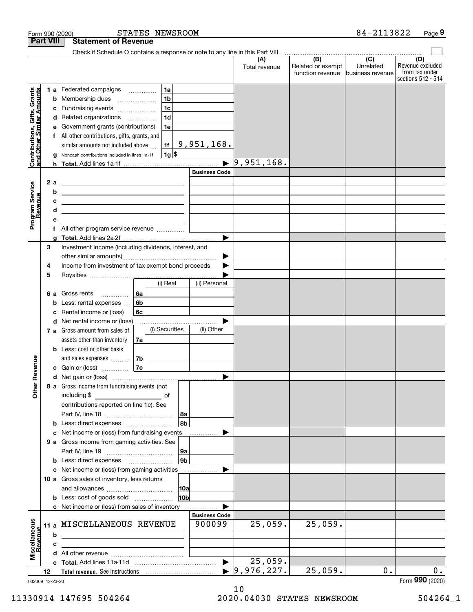|                                                           |                  | STATES NEWSROOM<br>Form 990 (2020)                                                                                                                                                                                                   |                       |                                  |                                              | 84-2113822                                      | Page 9                                                          |
|-----------------------------------------------------------|------------------|--------------------------------------------------------------------------------------------------------------------------------------------------------------------------------------------------------------------------------------|-----------------------|----------------------------------|----------------------------------------------|-------------------------------------------------|-----------------------------------------------------------------|
|                                                           | <b>Part VIII</b> | <b>Statement of Revenue</b>                                                                                                                                                                                                          |                       |                                  |                                              |                                                 |                                                                 |
|                                                           |                  | Check if Schedule O contains a response or note to any line in this Part VIII                                                                                                                                                        |                       |                                  |                                              |                                                 |                                                                 |
|                                                           |                  |                                                                                                                                                                                                                                      |                       | (A)<br>Total revenue             | (B)<br>Related or exempt<br>function revenue | $\overline{C}$<br>Unrelated<br>business revenue | (D)<br>Revenue excluded<br>from tax under<br>sections 512 - 514 |
|                                                           |                  | 1a<br>1 a Federated campaigns                                                                                                                                                                                                        |                       |                                  |                                              |                                                 |                                                                 |
| Contributions, Gifts, Grants<br>and Other Similar Amounts | b                | 1 <sub>b</sub><br>Membership dues<br>$\overline{\phantom{a}}$                                                                                                                                                                        |                       |                                  |                                              |                                                 |                                                                 |
|                                                           | c                | 1 <sub>c</sub><br>Fundraising events                                                                                                                                                                                                 |                       |                                  |                                              |                                                 |                                                                 |
|                                                           | d                | 1 <sub>d</sub><br>Related organizations <i>manuming</i>                                                                                                                                                                              |                       |                                  |                                              |                                                 |                                                                 |
|                                                           | е                | 1e<br>Government grants (contributions)                                                                                                                                                                                              |                       |                                  |                                              |                                                 |                                                                 |
|                                                           | f                | All other contributions, gifts, grants, and                                                                                                                                                                                          |                       |                                  |                                              |                                                 |                                                                 |
|                                                           |                  | 1f<br>similar amounts not included above                                                                                                                                                                                             | 9,951,168.            |                                  |                                              |                                                 |                                                                 |
|                                                           | a                | $1g$ \$<br>Noncash contributions included in lines 1a-1f                                                                                                                                                                             |                       |                                  |                                              |                                                 |                                                                 |
|                                                           |                  |                                                                                                                                                                                                                                      |                       | <u>p,951,168.</u>                |                                              |                                                 |                                                                 |
|                                                           |                  |                                                                                                                                                                                                                                      | <b>Business Code</b>  |                                  |                                              |                                                 |                                                                 |
|                                                           | 2 a              | <u> 2008 - An Dùbhlachd ann an Dùbhlachd ann an Dùbhlachd ann an Dùbhlachd ann an Dùbhlachd ann an Dùbhlachd ann an Dùbhlachd ann an Dùbhlachd ann an Dùbhlachd ann an Dùbhlachd ann an Dùbhlachd ann an Dùbhlachd ann an Dùbhla</u> |                       |                                  |                                              |                                                 |                                                                 |
|                                                           | b                | <u> 1980 - John Stone, Amerikaansk politiker (</u>                                                                                                                                                                                   |                       |                                  |                                              |                                                 |                                                                 |
|                                                           | c                | <u> 2000 - Jan Barbara (j. 1918)</u>                                                                                                                                                                                                 |                       |                                  |                                              |                                                 |                                                                 |
| Program Service<br>Revenue                                | d                | <u> 1989 - Johann Barn, amerikansk politiker (d. 1989)</u>                                                                                                                                                                           |                       |                                  |                                              |                                                 |                                                                 |
|                                                           | е                |                                                                                                                                                                                                                                      |                       |                                  |                                              |                                                 |                                                                 |
|                                                           |                  | f All other program service revenue                                                                                                                                                                                                  |                       |                                  |                                              |                                                 |                                                                 |
|                                                           | g                |                                                                                                                                                                                                                                      |                       |                                  |                                              |                                                 |                                                                 |
|                                                           | 3                | Investment income (including dividends, interest, and                                                                                                                                                                                |                       |                                  |                                              |                                                 |                                                                 |
|                                                           |                  |                                                                                                                                                                                                                                      | ▶                     |                                  |                                              |                                                 |                                                                 |
|                                                           | 4                | Income from investment of tax-exempt bond proceeds                                                                                                                                                                                   | ▶                     |                                  |                                              |                                                 |                                                                 |
|                                                           | 5                |                                                                                                                                                                                                                                      |                       |                                  |                                              |                                                 |                                                                 |
|                                                           |                  | (i) Real                                                                                                                                                                                                                             | (ii) Personal         |                                  |                                              |                                                 |                                                                 |
|                                                           | 6а               | 6a<br>Gross rents                                                                                                                                                                                                                    |                       |                                  |                                              |                                                 |                                                                 |
|                                                           | b                | 6b<br>Less: rental expenses                                                                                                                                                                                                          |                       |                                  |                                              |                                                 |                                                                 |
|                                                           | c                | <b>6c</b><br>Rental income or (loss)                                                                                                                                                                                                 |                       |                                  |                                              |                                                 |                                                                 |
|                                                           |                  | d Net rental income or (loss)                                                                                                                                                                                                        |                       |                                  |                                              |                                                 |                                                                 |
|                                                           |                  | (i) Securities<br>7 a Gross amount from sales of                                                                                                                                                                                     | (ii) Other            |                                  |                                              |                                                 |                                                                 |
|                                                           |                  | assets other than inventory<br>7a                                                                                                                                                                                                    |                       |                                  |                                              |                                                 |                                                                 |
|                                                           |                  | <b>b</b> Less: cost or other basis                                                                                                                                                                                                   |                       |                                  |                                              |                                                 |                                                                 |
|                                                           |                  | 7b<br>and sales expenses                                                                                                                                                                                                             |                       |                                  |                                              |                                                 |                                                                 |
| evenue                                                    |                  | 7c<br>c Gain or (loss)                                                                                                                                                                                                               |                       |                                  |                                              |                                                 |                                                                 |
| Œ                                                         |                  |                                                                                                                                                                                                                                      |                       |                                  |                                              |                                                 |                                                                 |
| Other                                                     |                  | 8 a Gross income from fundraising events (not                                                                                                                                                                                        |                       |                                  |                                              |                                                 |                                                                 |
|                                                           |                  |                                                                                                                                                                                                                                      |                       |                                  |                                              |                                                 |                                                                 |
|                                                           |                  | contributions reported on line 1c). See                                                                                                                                                                                              |                       |                                  |                                              |                                                 |                                                                 |
|                                                           |                  |                                                                                                                                                                                                                                      | 8a                    |                                  |                                              |                                                 |                                                                 |
|                                                           |                  | <b>b</b> Less: direct expenses <b>constants b</b>                                                                                                                                                                                    | 8b                    |                                  |                                              |                                                 |                                                                 |
|                                                           |                  | c Net income or (loss) from fundraising events                                                                                                                                                                                       |                       |                                  |                                              |                                                 |                                                                 |
|                                                           |                  | 9 a Gross income from gaming activities. See                                                                                                                                                                                         |                       |                                  |                                              |                                                 |                                                                 |
|                                                           |                  |                                                                                                                                                                                                                                      | 9а                    |                                  |                                              |                                                 |                                                                 |
|                                                           |                  |                                                                                                                                                                                                                                      | 9 <sub>b</sub>        |                                  |                                              |                                                 |                                                                 |
|                                                           |                  | c Net income or (loss) from gaming activities                                                                                                                                                                                        |                       |                                  |                                              |                                                 |                                                                 |
|                                                           |                  | 10 a Gross sales of inventory, less returns                                                                                                                                                                                          |                       |                                  |                                              |                                                 |                                                                 |
|                                                           |                  |                                                                                                                                                                                                                                      | 10a                   |                                  |                                              |                                                 |                                                                 |
|                                                           |                  | <b>b</b> Less: cost of goods sold                                                                                                                                                                                                    | 10 <sub>b</sub>       |                                  |                                              |                                                 |                                                                 |
|                                                           |                  | c Net income or (loss) from sales of inventory                                                                                                                                                                                       |                       |                                  |                                              |                                                 |                                                                 |
|                                                           |                  |                                                                                                                                                                                                                                      | <b>Business Code</b>  |                                  |                                              |                                                 |                                                                 |
|                                                           |                  | 11 a MISCELLANEOUS REVENUE                                                                                                                                                                                                           | 900099                | 25,059.                          | 25,059.                                      |                                                 |                                                                 |
| Revenue                                                   | b                |                                                                                                                                                                                                                                      |                       |                                  |                                              |                                                 |                                                                 |
|                                                           | c                |                                                                                                                                                                                                                                      |                       |                                  |                                              |                                                 |                                                                 |
| Miscellaneous                                             |                  |                                                                                                                                                                                                                                      |                       |                                  |                                              |                                                 |                                                                 |
|                                                           |                  |                                                                                                                                                                                                                                      | $\blacktriangleright$ | 25,059.                          |                                              |                                                 |                                                                 |
|                                                           | 12               |                                                                                                                                                                                                                                      |                       | $\blacktriangleright$ 9,976,227. | 25,059.                                      | 0.                                              | 0.                                                              |
|                                                           | 032009 12-23-20  |                                                                                                                                                                                                                                      |                       |                                  |                                              |                                                 | Form 990 (2020)                                                 |

032009 12-23-20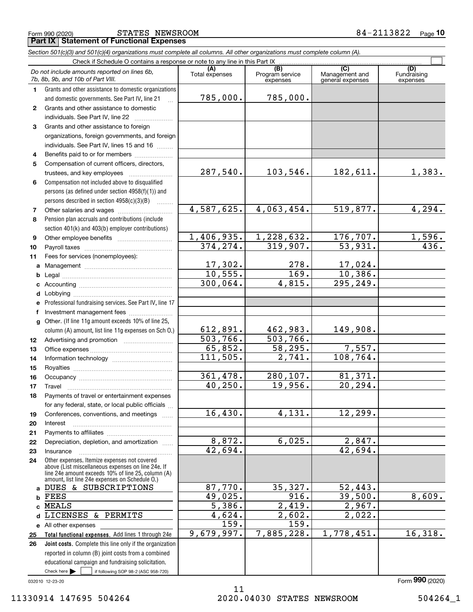Form 990 (2020) STATES NEWSROOM 8 4-2113822 <sub>Page</sub> **Part IX Statement of Functional Expenses**

|    | Section 501(c)(3) and 501(c)(4) organizations must complete all columns. All other organizations must complete column (A).                                                                                 |                            |                                    |                                           |                                |
|----|------------------------------------------------------------------------------------------------------------------------------------------------------------------------------------------------------------|----------------------------|------------------------------------|-------------------------------------------|--------------------------------|
|    | Check if Schedule O contains a response or note to any line in this Part IX                                                                                                                                |                            |                                    |                                           |                                |
|    | Do not include amounts reported on lines 6b,<br>7b, 8b, 9b, and 10b of Part VIII.                                                                                                                          | (A)<br>Total expenses      | (B)<br>Program service<br>expenses | (C)<br>Management and<br>general expenses | (D)<br>Fundraising<br>expenses |
| 1. | Grants and other assistance to domestic organizations                                                                                                                                                      |                            |                                    |                                           |                                |
|    | and domestic governments. See Part IV, line 21                                                                                                                                                             | 785,000.                   | 785,000.                           |                                           |                                |
| 2  | Grants and other assistance to domestic                                                                                                                                                                    |                            |                                    |                                           |                                |
|    | individuals. See Part IV, line 22                                                                                                                                                                          |                            |                                    |                                           |                                |
| 3  | Grants and other assistance to foreign                                                                                                                                                                     |                            |                                    |                                           |                                |
|    | organizations, foreign governments, and foreign                                                                                                                                                            |                            |                                    |                                           |                                |
|    | individuals. See Part IV, lines 15 and 16                                                                                                                                                                  |                            |                                    |                                           |                                |
| 4  | Benefits paid to or for members                                                                                                                                                                            |                            |                                    |                                           |                                |
| 5  | Compensation of current officers, directors,                                                                                                                                                               |                            |                                    |                                           |                                |
|    |                                                                                                                                                                                                            | 287,540.                   | 103,546.                           | 182,611.                                  | 1,383.                         |
| 6  | Compensation not included above to disqualified                                                                                                                                                            |                            |                                    |                                           |                                |
|    | persons (as defined under section 4958(f)(1)) and                                                                                                                                                          |                            |                                    |                                           |                                |
|    | persons described in section 4958(c)(3)(B)                                                                                                                                                                 |                            |                                    |                                           |                                |
| 7  |                                                                                                                                                                                                            | 4,587,625.                 | 4,063,454.                         | 519, 877.                                 | 4,294.                         |
| 8  | Pension plan accruals and contributions (include                                                                                                                                                           |                            |                                    |                                           |                                |
|    | section 401(k) and 403(b) employer contributions)                                                                                                                                                          |                            |                                    |                                           |                                |
| 9  |                                                                                                                                                                                                            | 1,406,935.                 | 1,228,632.                         | $\frac{176,707.}{53,931.}$                | 1,596.                         |
| 10 |                                                                                                                                                                                                            | 374, 274.                  | 319,907.                           |                                           | 436.                           |
| 11 | Fees for services (nonemployees):                                                                                                                                                                          |                            |                                    |                                           |                                |
| а  |                                                                                                                                                                                                            | 17,302.                    | 278.                               |                                           |                                |
| b  |                                                                                                                                                                                                            | 10,555.                    | $\overline{169}$ .                 | $\frac{17,024}{10,386}$ .                 |                                |
| c  |                                                                                                                                                                                                            | 300,064.                   | 4,815.                             | 295, 249.                                 |                                |
| d  |                                                                                                                                                                                                            |                            |                                    |                                           |                                |
|    | Professional fundraising services. See Part IV, line 17                                                                                                                                                    |                            |                                    |                                           |                                |
| f  |                                                                                                                                                                                                            |                            |                                    |                                           |                                |
| g  | Other. (If line 11g amount exceeds 10% of line 25,                                                                                                                                                         |                            |                                    |                                           |                                |
|    | column (A) amount, list line 11g expenses on Sch O.)                                                                                                                                                       | 612,891.                   | 462,983.                           | 149,908.                                  |                                |
| 12 |                                                                                                                                                                                                            | 503,766.                   | 503,766.                           |                                           |                                |
| 13 |                                                                                                                                                                                                            |                            | $\overline{58,295}$ .              | 7,557.                                    |                                |
| 14 |                                                                                                                                                                                                            | $\frac{65,852.}{111,505.}$ | 2,741.                             | 108, 764.                                 |                                |
| 15 |                                                                                                                                                                                                            |                            |                                    |                                           |                                |
| 16 |                                                                                                                                                                                                            | 361,478.                   | 280,107.                           | 81,371.                                   |                                |
| 17 |                                                                                                                                                                                                            | 40, 250.                   | 19,956.                            | 20, 294.                                  |                                |
| 18 | Payments of travel or entertainment expenses                                                                                                                                                               |                            |                                    |                                           |                                |
|    | for any federal, state, or local public officials                                                                                                                                                          |                            |                                    |                                           |                                |
| 19 | Conferences, conventions, and meetings                                                                                                                                                                     | 16,430.                    | 4,131.                             | 12,299.                                   |                                |
| 20 | Interest                                                                                                                                                                                                   |                            |                                    |                                           |                                |
| 21 |                                                                                                                                                                                                            |                            |                                    |                                           |                                |
| 22 | Depreciation, depletion, and amortization                                                                                                                                                                  | 8,872.                     | 6,025.                             | 2,847.                                    |                                |
| 23 | Insurance                                                                                                                                                                                                  | 42,694.                    |                                    | 42,694.                                   |                                |
| 24 | Other expenses. Itemize expenses not covered<br>above (List miscellaneous expenses on line 24e. If<br>line 24e amount exceeds 10% of line 25, column (A)<br>amount, list line 24e expenses on Schedule O.) |                            |                                    |                                           |                                |
| a  | DUES & SUBSCRIPTIONS                                                                                                                                                                                       | 87,770.                    | 35,327.                            | 52,443.                                   |                                |
| b  | FEES                                                                                                                                                                                                       | 49,025.                    | 916.                               | 39,500.                                   | 8,609.                         |
| C  | <b>MEALS</b>                                                                                                                                                                                               | $\overline{5,386}$ .       | 2,419.                             | 2,967.                                    |                                |
| d  | LICENSES & PERMITS                                                                                                                                                                                         | 4,624.                     | 2,602.                             | 2,022.                                    |                                |
|    | e All other expenses                                                                                                                                                                                       | 159.                       | $\overline{159}$ .                 |                                           |                                |
| 25 | Total functional expenses. Add lines 1 through 24e                                                                                                                                                         | 9,679,997.                 | 7,885,228.                         | 1,778,451.                                | 16,318.                        |
| 26 | Joint costs. Complete this line only if the organization                                                                                                                                                   |                            |                                    |                                           |                                |
|    | reported in column (B) joint costs from a combined                                                                                                                                                         |                            |                                    |                                           |                                |
|    | educational campaign and fundraising solicitation.                                                                                                                                                         |                            |                                    |                                           |                                |

032010 12-23-20

Check here

 $\mathcal{L}^{\text{max}}$ 

if following SOP 98-2 (ASC 958-720)

Form (2020) **990**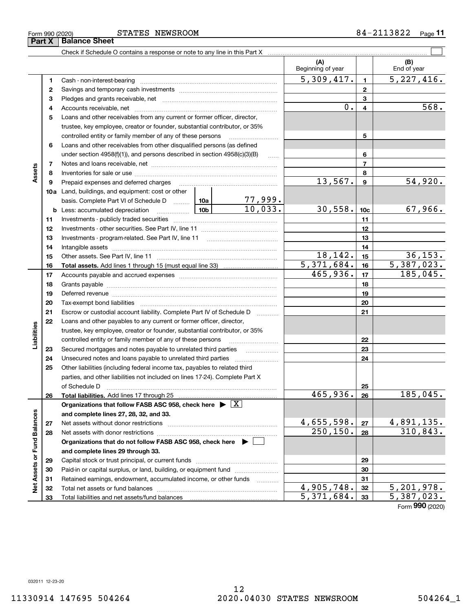#### Form 990 (2020) **STATES** NEWSROOM 8 4-2113822 <sub>Page</sub> 11 STATES NEWSROOM

**Part X Balance Sheet**

Check if Schedule O contains a response or note to any line in this Part X

|                             |    |                                                                                                                                                                                                                               |  |                           | (A)<br>Beginning of year |                  | (B)<br>End of year            |
|-----------------------------|----|-------------------------------------------------------------------------------------------------------------------------------------------------------------------------------------------------------------------------------|--|---------------------------|--------------------------|------------------|-------------------------------|
|                             | 1  |                                                                                                                                                                                                                               |  |                           | 5,309,417.               | $\mathbf{1}$     | 5,227,416.                    |
|                             | 2  |                                                                                                                                                                                                                               |  |                           |                          | 2                |                               |
|                             | з  |                                                                                                                                                                                                                               |  |                           |                          | 3                |                               |
|                             | 4  |                                                                                                                                                                                                                               |  |                           | 0.                       | 4                | 568.                          |
|                             | 5  | Loans and other receivables from any current or former officer, director,                                                                                                                                                     |  |                           |                          |                  |                               |
|                             |    | trustee, key employee, creator or founder, substantial contributor, or 35%                                                                                                                                                    |  |                           |                          |                  |                               |
|                             |    | controlled entity or family member of any of these persons                                                                                                                                                                    |  |                           |                          | 5                |                               |
|                             | 6  | Loans and other receivables from other disqualified persons (as defined                                                                                                                                                       |  |                           |                          |                  |                               |
|                             |    | under section $4958(f)(1)$ , and persons described in section $4958(c)(3)(B)$                                                                                                                                                 |  | 1.1.1.1                   |                          | 6                |                               |
|                             | 7  |                                                                                                                                                                                                                               |  |                           |                          | $\overline{7}$   |                               |
| Assets                      | 8  |                                                                                                                                                                                                                               |  |                           |                          | 8                |                               |
|                             | 9  | Prepaid expenses and deferred charges                                                                                                                                                                                         |  |                           | 13,567.                  | 9                | 54,920.                       |
|                             |    | 10a Land, buildings, and equipment: cost or other                                                                                                                                                                             |  |                           |                          |                  |                               |
|                             |    | basis. Complete Part VI of Schedule D  10a                                                                                                                                                                                    |  | $\frac{77,999}{10,033}$ . |                          |                  |                               |
|                             |    | <u>  1</u> 0b  <br><b>b</b> Less: accumulated depreciation                                                                                                                                                                    |  |                           | 30,558.                  | 10 <sub>c</sub>  | 67,966.                       |
|                             | 11 |                                                                                                                                                                                                                               |  | 11                        |                          |                  |                               |
|                             | 12 |                                                                                                                                                                                                                               |  |                           | 12                       |                  |                               |
|                             | 13 | Investments - program-related. See Part IV, line 11                                                                                                                                                                           |  | 13                        |                          |                  |                               |
|                             | 14 |                                                                                                                                                                                                                               |  |                           |                          | 14               |                               |
|                             | 15 |                                                                                                                                                                                                                               |  |                           | 18,142.                  | 15               | 36, 153.                      |
|                             | 16 |                                                                                                                                                                                                                               |  |                           | 5,371,684.               | 16               | 5,387,023.                    |
|                             | 17 |                                                                                                                                                                                                                               |  |                           | 465,936.                 | 17               | 185,045.                      |
|                             | 18 |                                                                                                                                                                                                                               |  |                           |                          | 18               |                               |
|                             | 19 | Deferred revenue manual contracts and contracts are all the manual contracts and contracts are all the contracts of the contracts of the contracts of the contracts of the contracts of the contracts of the contracts of the |  |                           |                          | 19               |                               |
|                             | 20 |                                                                                                                                                                                                                               |  |                           |                          | 20               |                               |
|                             | 21 | Escrow or custodial account liability. Complete Part IV of Schedule D                                                                                                                                                         |  | 1.1.1.1.1.1.1.1.1.1       |                          | 21               |                               |
|                             | 22 | Loans and other payables to any current or former officer, director,                                                                                                                                                          |  |                           |                          |                  |                               |
| abilities                   |    | trustee, key employee, creator or founder, substantial contributor, or 35%                                                                                                                                                    |  |                           |                          |                  |                               |
|                             |    | controlled entity or family member of any of these persons                                                                                                                                                                    |  |                           |                          | 22               |                               |
|                             | 23 | Secured mortgages and notes payable to unrelated third parties                                                                                                                                                                |  |                           |                          | 23               |                               |
|                             | 24 |                                                                                                                                                                                                                               |  |                           |                          | 24               |                               |
|                             | 25 | Other liabilities (including federal income tax, payables to related third                                                                                                                                                    |  |                           |                          |                  |                               |
|                             |    | parties, and other liabilities not included on lines 17-24). Complete Part X                                                                                                                                                  |  |                           |                          |                  |                               |
|                             |    | of Schedule D                                                                                                                                                                                                                 |  |                           |                          | 25               |                               |
|                             | 26 |                                                                                                                                                                                                                               |  |                           | 465,936.                 | 26               | 185,045.                      |
|                             |    | Organizations that follow FASB ASC 958, check here $\blacktriangleright \boxed{\text{X}}$                                                                                                                                     |  |                           |                          |                  |                               |
|                             |    | and complete lines 27, 28, 32, and 33.                                                                                                                                                                                        |  |                           | 4,655,598.               |                  |                               |
|                             | 27 | Net assets without donor restrictions                                                                                                                                                                                         |  |                           | 250, 150.                | ${\bf 27}$<br>28 | $\frac{4,891,135.}{310,843.}$ |
|                             | 28 | Organizations that do not follow FASB ASC 958, check here $\blacktriangleright$                                                                                                                                               |  |                           |                          |                  |                               |
|                             |    | and complete lines 29 through 33.                                                                                                                                                                                             |  |                           |                          |                  |                               |
| Net Assets or Fund Balances | 29 |                                                                                                                                                                                                                               |  |                           |                          | 29               |                               |
|                             | 30 | Paid-in or capital surplus, or land, building, or equipment fund                                                                                                                                                              |  |                           |                          | 30               |                               |
|                             | 31 | Retained earnings, endowment, accumulated income, or other funds                                                                                                                                                              |  |                           |                          | 31               |                               |
|                             | 32 |                                                                                                                                                                                                                               |  |                           | 4,905,748.               | 32               | 5, 201, 978.                  |
|                             | 33 |                                                                                                                                                                                                                               |  |                           | 5,371,684.               | 33               | 5,387,023.                    |
|                             |    |                                                                                                                                                                                                                               |  |                           |                          |                  |                               |

 $\mathcal{L}^{\text{max}}$ 

Form (2020) **990**

$$
f_{\rm{max}}(x)=\frac{1}{2}x
$$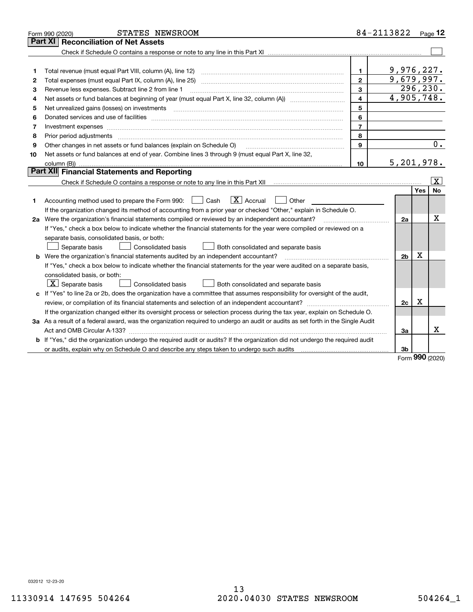| Part XI<br><b>Reconciliation of Net Assets</b><br>9,976,227.<br>1.<br>1<br>9,679,997.<br>$\mathbf{2}$<br>2<br>296, 230.<br>Revenue less expenses. Subtract line 2 from line 1<br>3<br>з |              |
|-----------------------------------------------------------------------------------------------------------------------------------------------------------------------------------------|--------------|
|                                                                                                                                                                                         |              |
|                                                                                                                                                                                         |              |
|                                                                                                                                                                                         |              |
|                                                                                                                                                                                         |              |
|                                                                                                                                                                                         |              |
|                                                                                                                                                                                         |              |
| 4,905,748.<br>4<br>4                                                                                                                                                                    |              |
| 5<br>5<br>Net unrealized gains (losses) on investments                                                                                                                                  |              |
| 6<br>6                                                                                                                                                                                  |              |
| $\overline{7}$<br>Investment expenses<br>7                                                                                                                                              |              |
| 8<br>8                                                                                                                                                                                  |              |
| 9<br>Other changes in net assets or fund balances (explain on Schedule O)<br>9                                                                                                          | 0.           |
| Net assets or fund balances at end of year. Combine lines 3 through 9 (must equal Part X, line 32,<br>10                                                                                |              |
| 5,201,978.<br>10                                                                                                                                                                        |              |
| Part XII Financial Statements and Reporting                                                                                                                                             |              |
|                                                                                                                                                                                         | $\mathbf{X}$ |
| Yes                                                                                                                                                                                     | <b>No</b>    |
| $\boxed{\mathbf{X}}$ Accrual<br>Accounting method used to prepare the Form 990: <u>June</u> Cash<br>Other<br>1                                                                          |              |
| If the organization changed its method of accounting from a prior year or checked "Other," explain in Schedule O.                                                                       |              |
| 2a Were the organization's financial statements compiled or reviewed by an independent accountant?<br>2a                                                                                | x            |
| If "Yes," check a box below to indicate whether the financial statements for the year were compiled or reviewed on a                                                                    |              |
| separate basis, consolidated basis, or both:                                                                                                                                            |              |
| Both consolidated and separate basis<br>Separate basis<br>Consolidated basis                                                                                                            |              |
| Х<br><b>b</b> Were the organization's financial statements audited by an independent accountant?<br>2 <sub>b</sub>                                                                      |              |
| If "Yes," check a box below to indicate whether the financial statements for the year were audited on a separate basis,                                                                 |              |
| consolidated basis, or both:                                                                                                                                                            |              |
| $\boxed{\textbf{X}}$ Separate basis<br>Consolidated basis<br>Both consolidated and separate basis                                                                                       |              |
| c If "Yes" to line 2a or 2b, does the organization have a committee that assumes responsibility for oversight of the audit,                                                             |              |
| х<br>2c                                                                                                                                                                                 |              |
| If the organization changed either its oversight process or selection process during the tax year, explain on Schedule O.                                                               |              |
| 3a As a result of a federal award, was the organization required to undergo an audit or audits as set forth in the Single Audit                                                         |              |
| За                                                                                                                                                                                      | x            |
| b If "Yes," did the organization undergo the required audit or audits? If the organization did not undergo the required audit                                                           |              |
| 3b<br>nnn.                                                                                                                                                                              |              |

Form (2020) **990**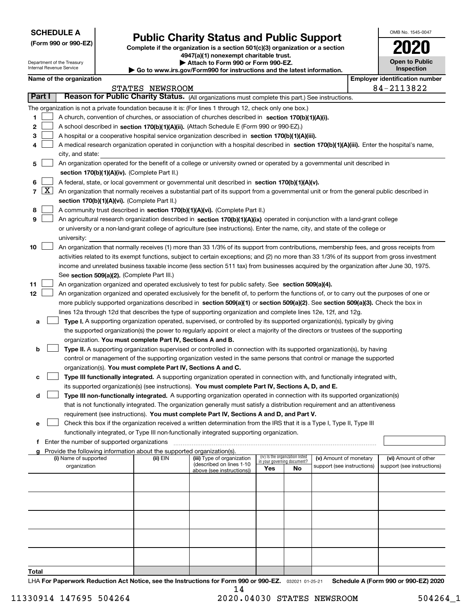| <b>SCHEDULE A</b> |  |
|-------------------|--|
|-------------------|--|

Department of the Treasury Internal Revenue Service

**(Form 990 or 990-EZ)**

# **Public Charity Status and Public Support**

**Complete if the organization is a section 501(c)(3) organization or a section 4947(a)(1) nonexempt charitable trust. | Attach to Form 990 or Form 990-EZ.** 

| $\blacktriangleright$ and a control of the set of the set of the set of $\blacktriangleright$ |
|-----------------------------------------------------------------------------------------------|
| ▶ Go to www.irs.gov/Form990 for instructions and the latest information.                      |
|                                                                                               |

| OMB No. 1545-0047                   |
|-------------------------------------|
| 112<br>W                            |
| <b>Open to Public</b><br>Inspection |

|       | Name of the organization<br><b>Employer identification number</b> |                                                                                                                                                                                       |                 |                                                        |                             |                                 |                            |  |                            |  |  |
|-------|-------------------------------------------------------------------|---------------------------------------------------------------------------------------------------------------------------------------------------------------------------------------|-----------------|--------------------------------------------------------|-----------------------------|---------------------------------|----------------------------|--|----------------------------|--|--|
|       | Part I                                                            |                                                                                                                                                                                       | STATES NEWSROOM |                                                        |                             |                                 |                            |  | 84-2113822                 |  |  |
|       |                                                                   | Reason for Public Charity Status. (All organizations must complete this part.) See instructions.                                                                                      |                 |                                                        |                             |                                 |                            |  |                            |  |  |
|       |                                                                   | The organization is not a private foundation because it is: (For lines 1 through 12, check only one box.)                                                                             |                 |                                                        |                             |                                 |                            |  |                            |  |  |
| 1     |                                                                   | A church, convention of churches, or association of churches described in section 170(b)(1)(A)(i).                                                                                    |                 |                                                        |                             |                                 |                            |  |                            |  |  |
| 2     |                                                                   | A school described in section 170(b)(1)(A)(ii). (Attach Schedule E (Form 990 or 990-EZ).)                                                                                             |                 |                                                        |                             |                                 |                            |  |                            |  |  |
| 3     |                                                                   | A hospital or a cooperative hospital service organization described in section $170(b)(1)(A)(iii)$ .                                                                                  |                 |                                                        |                             |                                 |                            |  |                            |  |  |
|       |                                                                   | A medical research organization operated in conjunction with a hospital described in section 170(b)(1)(A)(iii). Enter the hospital's name,                                            |                 |                                                        |                             |                                 |                            |  |                            |  |  |
|       |                                                                   | city, and state:                                                                                                                                                                      |                 |                                                        |                             |                                 |                            |  |                            |  |  |
| 5     |                                                                   | An organization operated for the benefit of a college or university owned or operated by a governmental unit described in<br>section 170(b)(1)(A)(iv). (Complete Part II.)            |                 |                                                        |                             |                                 |                            |  |                            |  |  |
| 6     |                                                                   | A federal, state, or local government or governmental unit described in section 170(b)(1)(A)(v).                                                                                      |                 |                                                        |                             |                                 |                            |  |                            |  |  |
| 7     | $\lfloor x \rfloor$                                               | An organization that normally receives a substantial part of its support from a governmental unit or from the general public described in                                             |                 |                                                        |                             |                                 |                            |  |                            |  |  |
|       |                                                                   | section 170(b)(1)(A)(vi). (Complete Part II.)                                                                                                                                         |                 |                                                        |                             |                                 |                            |  |                            |  |  |
| 8     |                                                                   | A community trust described in section 170(b)(1)(A)(vi). (Complete Part II.)                                                                                                          |                 |                                                        |                             |                                 |                            |  |                            |  |  |
| 9     |                                                                   | An agricultural research organization described in section 170(b)(1)(A)(ix) operated in conjunction with a land-grant college                                                         |                 |                                                        |                             |                                 |                            |  |                            |  |  |
|       |                                                                   | or university or a non-land-grant college of agriculture (see instructions). Enter the name, city, and state of the college or                                                        |                 |                                                        |                             |                                 |                            |  |                            |  |  |
|       |                                                                   | university:                                                                                                                                                                           |                 |                                                        |                             |                                 |                            |  |                            |  |  |
| 10    |                                                                   | An organization that normally receives (1) more than 33 1/3% of its support from contributions, membership fees, and gross receipts from                                              |                 |                                                        |                             |                                 |                            |  |                            |  |  |
|       |                                                                   | activities related to its exempt functions, subject to certain exceptions; and (2) no more than 33 1/3% of its support from gross investment                                          |                 |                                                        |                             |                                 |                            |  |                            |  |  |
|       |                                                                   | income and unrelated business taxable income (less section 511 tax) from businesses acquired by the organization after June 30, 1975.                                                 |                 |                                                        |                             |                                 |                            |  |                            |  |  |
|       |                                                                   | See section 509(a)(2). (Complete Part III.)                                                                                                                                           |                 |                                                        |                             |                                 |                            |  |                            |  |  |
| 11    |                                                                   | An organization organized and operated exclusively to test for public safety. See section 509(a)(4).                                                                                  |                 |                                                        |                             |                                 |                            |  |                            |  |  |
| 12    |                                                                   | An organization organized and operated exclusively for the benefit of, to perform the functions of, or to carry out the purposes of one or                                            |                 |                                                        |                             |                                 |                            |  |                            |  |  |
|       |                                                                   | more publicly supported organizations described in section 509(a)(1) or section 509(a)(2). See section 509(a)(3). Check the box in                                                    |                 |                                                        |                             |                                 |                            |  |                            |  |  |
|       |                                                                   | lines 12a through 12d that describes the type of supporting organization and complete lines 12e, 12f, and 12g.                                                                        |                 |                                                        |                             |                                 |                            |  |                            |  |  |
| a     |                                                                   | Type I. A supporting organization operated, supervised, or controlled by its supported organization(s), typically by giving                                                           |                 |                                                        |                             |                                 |                            |  |                            |  |  |
|       |                                                                   | the supported organization(s) the power to regularly appoint or elect a majority of the directors or trustees of the supporting                                                       |                 |                                                        |                             |                                 |                            |  |                            |  |  |
|       |                                                                   | organization. You must complete Part IV, Sections A and B.                                                                                                                            |                 |                                                        |                             |                                 |                            |  |                            |  |  |
| b     |                                                                   | Type II. A supporting organization supervised or controlled in connection with its supported organization(s), by having                                                               |                 |                                                        |                             |                                 |                            |  |                            |  |  |
|       |                                                                   | control or management of the supporting organization vested in the same persons that control or manage the supported<br>organization(s). You must complete Part IV, Sections A and C. |                 |                                                        |                             |                                 |                            |  |                            |  |  |
| c     |                                                                   | Type III functionally integrated. A supporting organization operated in connection with, and functionally integrated with,                                                            |                 |                                                        |                             |                                 |                            |  |                            |  |  |
|       |                                                                   | its supported organization(s) (see instructions). You must complete Part IV, Sections A, D, and E.                                                                                    |                 |                                                        |                             |                                 |                            |  |                            |  |  |
| d     |                                                                   | Type III non-functionally integrated. A supporting organization operated in connection with its supported organization(s)                                                             |                 |                                                        |                             |                                 |                            |  |                            |  |  |
|       |                                                                   | that is not functionally integrated. The organization generally must satisfy a distribution requirement and an attentiveness                                                          |                 |                                                        |                             |                                 |                            |  |                            |  |  |
|       |                                                                   | requirement (see instructions). You must complete Part IV, Sections A and D, and Part V.                                                                                              |                 |                                                        |                             |                                 |                            |  |                            |  |  |
|       |                                                                   | Check this box if the organization received a written determination from the IRS that it is a Type I, Type II, Type III                                                               |                 |                                                        |                             |                                 |                            |  |                            |  |  |
|       |                                                                   | functionally integrated, or Type III non-functionally integrated supporting organization.                                                                                             |                 |                                                        |                             |                                 |                            |  |                            |  |  |
|       |                                                                   | f Enter the number of supported organizations                                                                                                                                         |                 |                                                        |                             |                                 |                            |  |                            |  |  |
|       |                                                                   | g Provide the following information about the supported organization(s).                                                                                                              |                 |                                                        |                             |                                 |                            |  |                            |  |  |
|       |                                                                   | (i) Name of supported                                                                                                                                                                 | (ii) EIN        | (iii) Type of organization<br>(described on lines 1-10 | in your governing document? | (iv) Is the organization listed | (v) Amount of monetary     |  | (vi) Amount of other       |  |  |
|       |                                                                   | organization                                                                                                                                                                          |                 | above (see instructions))                              | Yes                         | No                              | support (see instructions) |  | support (see instructions) |  |  |
|       |                                                                   |                                                                                                                                                                                       |                 |                                                        |                             |                                 |                            |  |                            |  |  |
|       |                                                                   |                                                                                                                                                                                       |                 |                                                        |                             |                                 |                            |  |                            |  |  |
|       |                                                                   |                                                                                                                                                                                       |                 |                                                        |                             |                                 |                            |  |                            |  |  |
|       |                                                                   |                                                                                                                                                                                       |                 |                                                        |                             |                                 |                            |  |                            |  |  |
|       |                                                                   |                                                                                                                                                                                       |                 |                                                        |                             |                                 |                            |  |                            |  |  |
|       |                                                                   |                                                                                                                                                                                       |                 |                                                        |                             |                                 |                            |  |                            |  |  |
|       |                                                                   |                                                                                                                                                                                       |                 |                                                        |                             |                                 |                            |  |                            |  |  |
|       |                                                                   |                                                                                                                                                                                       |                 |                                                        |                             |                                 |                            |  |                            |  |  |
|       |                                                                   |                                                                                                                                                                                       |                 |                                                        |                             |                                 |                            |  |                            |  |  |
| Total |                                                                   |                                                                                                                                                                                       |                 |                                                        |                             |                                 |                            |  |                            |  |  |

LHA For Paperwork Reduction Act Notice, see the Instructions for Form 990 or 990-EZ. <sub>032021</sub> o1-25-21 Schedule A (Form 990 or 990-EZ) 2020 14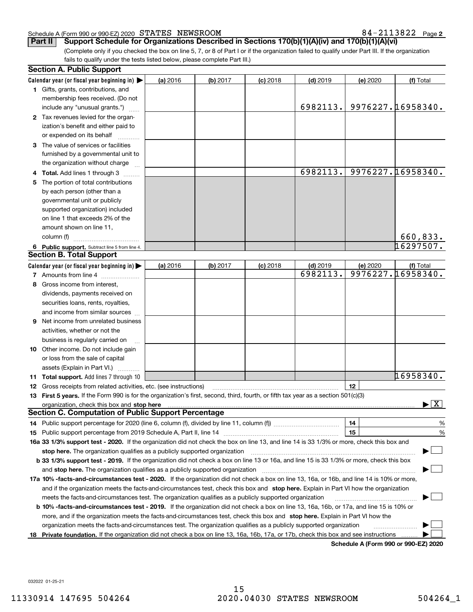#### Schedule A (Form 990 or 990-EZ) 2020 Page STATES NEWSROOM 84-2113822

**2**

(Complete only if you checked the box on line 5, 7, or 8 of Part I or if the organization failed to qualify under Part III. If the organization fails to qualify under the tests listed below, please complete Part III.) **Part II** Support Schedule for Organizations Described in Sections 170(b)(1)(A)(iv) and 170(b)(1)(A)(vi)

|    | <b>Section A. Public Support</b>                                                                                                               |          |          |            |                        |          |                                |
|----|------------------------------------------------------------------------------------------------------------------------------------------------|----------|----------|------------|------------------------|----------|--------------------------------|
|    | Calendar year (or fiscal year beginning in) $\blacktriangleright$                                                                              | (a) 2016 | (b) 2017 | $(c)$ 2018 | $(d)$ 2019             | (e) 2020 | (f) Total                      |
|    | <b>1</b> Gifts, grants, contributions, and                                                                                                     |          |          |            |                        |          |                                |
|    | membership fees received. (Do not                                                                                                              |          |          |            |                        |          |                                |
|    | include any "unusual grants.")                                                                                                                 |          |          |            | 6982113.               |          | 9976227.16958340.              |
|    | 2 Tax revenues levied for the organ-                                                                                                           |          |          |            |                        |          |                                |
|    | ization's benefit and either paid to                                                                                                           |          |          |            |                        |          |                                |
|    | or expended on its behalf                                                                                                                      |          |          |            |                        |          |                                |
|    | 3 The value of services or facilities                                                                                                          |          |          |            |                        |          |                                |
|    | furnished by a governmental unit to                                                                                                            |          |          |            |                        |          |                                |
|    | the organization without charge                                                                                                                |          |          |            |                        |          |                                |
|    | 4 Total. Add lines 1 through 3                                                                                                                 |          |          |            | 6982113.               |          | 9976227.16958340.              |
| 5  | The portion of total contributions                                                                                                             |          |          |            |                        |          |                                |
|    | by each person (other than a                                                                                                                   |          |          |            |                        |          |                                |
|    | governmental unit or publicly                                                                                                                  |          |          |            |                        |          |                                |
|    | supported organization) included                                                                                                               |          |          |            |                        |          |                                |
|    | on line 1 that exceeds 2% of the                                                                                                               |          |          |            |                        |          |                                |
|    |                                                                                                                                                |          |          |            |                        |          |                                |
|    | amount shown on line 11,                                                                                                                       |          |          |            |                        |          |                                |
|    | column (f)                                                                                                                                     |          |          |            |                        |          | 660,833.                       |
|    | 6 Public support. Subtract line 5 from line 4.                                                                                                 |          |          |            |                        |          | 16297507.                      |
|    | <b>Section B. Total Support</b>                                                                                                                |          |          |            |                        |          |                                |
|    | Calendar year (or fiscal year beginning in) $\blacktriangleright$                                                                              | (a) 2016 | (b) 2017 | $(c)$ 2018 | $(d)$ 2019<br>6982113. | (e) 2020 | (f) Total<br>9976227.16958340. |
|    | 7 Amounts from line 4                                                                                                                          |          |          |            |                        |          |                                |
| 8  | Gross income from interest.                                                                                                                    |          |          |            |                        |          |                                |
|    | dividends, payments received on                                                                                                                |          |          |            |                        |          |                                |
|    | securities loans, rents, royalties,                                                                                                            |          |          |            |                        |          |                                |
|    | and income from similar sources                                                                                                                |          |          |            |                        |          |                                |
| 9  | Net income from unrelated business                                                                                                             |          |          |            |                        |          |                                |
|    | activities, whether or not the                                                                                                                 |          |          |            |                        |          |                                |
|    | business is regularly carried on                                                                                                               |          |          |            |                        |          |                                |
|    | <b>10</b> Other income. Do not include gain                                                                                                    |          |          |            |                        |          |                                |
|    | or loss from the sale of capital                                                                                                               |          |          |            |                        |          |                                |
|    | assets (Explain in Part VI.)                                                                                                                   |          |          |            |                        |          |                                |
|    | 11 Total support. Add lines 7 through 10                                                                                                       |          |          |            |                        |          | 16958340.                      |
|    | 12 Gross receipts from related activities, etc. (see instructions)                                                                             |          |          |            |                        | 12       |                                |
|    | 13 First 5 years. If the Form 990 is for the organization's first, second, third, fourth, or fifth tax year as a section 501(c)(3)             |          |          |            |                        |          |                                |
|    |                                                                                                                                                |          |          |            |                        |          | $\overline{\mathbf{x}}$        |
|    | <b>Section C. Computation of Public Support Percentage</b>                                                                                     |          |          |            |                        |          |                                |
|    | 14 Public support percentage for 2020 (line 6, column (f), divided by line 11, column (f) <i>mummumumum</i>                                    |          |          |            |                        | 14       | %                              |
|    | 15 Public support percentage from 2019 Schedule A, Part II, line 14                                                                            |          |          |            |                        | 15       | %                              |
|    | 16a 33 1/3% support test - 2020. If the organization did not check the box on line 13, and line 14 is 33 1/3% or more, check this box and      |          |          |            |                        |          |                                |
|    | stop here. The organization qualifies as a publicly supported organization                                                                     |          |          |            |                        |          |                                |
|    | b 33 1/3% support test - 2019. If the organization did not check a box on line 13 or 16a, and line 15 is 33 1/3% or more, check this box       |          |          |            |                        |          |                                |
|    | and stop here. The organization qualifies as a publicly supported organization                                                                 |          |          |            |                        |          |                                |
|    | 17a 10% -facts-and-circumstances test - 2020. If the organization did not check a box on line 13, 16a, or 16b, and line 14 is 10% or more,     |          |          |            |                        |          |                                |
|    | and if the organization meets the facts-and-circumstances test, check this box and stop here. Explain in Part VI how the organization          |          |          |            |                        |          |                                |
|    | meets the facts-and-circumstances test. The organization qualifies as a publicly supported organization                                        |          |          |            |                        |          |                                |
|    | <b>b 10% -facts-and-circumstances test - 2019.</b> If the organization did not check a box on line 13, 16a, 16b, or 17a, and line 15 is 10% or |          |          |            |                        |          |                                |
|    | more, and if the organization meets the facts-and-circumstances test, check this box and stop here. Explain in Part VI how the                 |          |          |            |                        |          |                                |
|    | organization meets the facts-and-circumstances test. The organization qualifies as a publicly supported organization                           |          |          |            |                        |          |                                |
| 18 | Private foundation. If the organization did not check a box on line 13, 16a, 16b, 17a, or 17b, check this box and see instructions             |          |          |            |                        |          |                                |
|    |                                                                                                                                                |          |          |            |                        |          |                                |

**Schedule A (Form 990 or 990-EZ) 2020**

032022 01-25-21

15 11330914 147695 504264 2020.04030 STATES NEWSROOM 504264\_1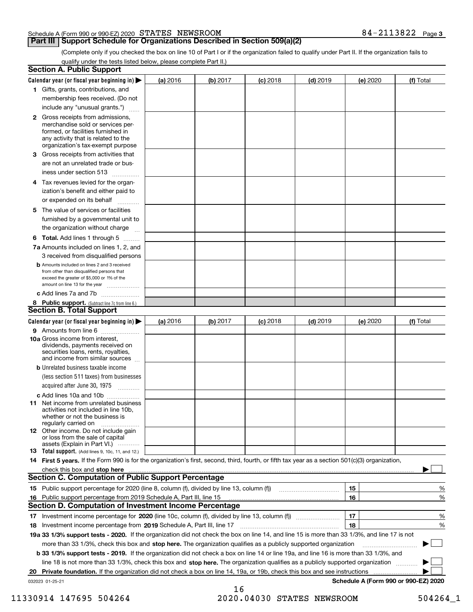#### Schedule A (Form 990 or 990-EZ) 2020 Page STATES NEWSROOM 84-2113822

#### **Part III Support Schedule for Organizations Described in Section 509(a)(2)**

**3**

(Complete only if you checked the box on line 10 of Part I or if the organization failed to qualify under Part II. If the organization fails to qualify under the tests listed below, please complete Part II.)

| <b>Section A. Public Support</b>                                                                                                                                                                                                                                                             |          |          |            |            |                 |                                      |
|----------------------------------------------------------------------------------------------------------------------------------------------------------------------------------------------------------------------------------------------------------------------------------------------|----------|----------|------------|------------|-----------------|--------------------------------------|
| Calendar year (or fiscal year beginning in) $\blacktriangleright$                                                                                                                                                                                                                            | (a) 2016 | (b) 2017 | $(c)$ 2018 | $(d)$ 2019 | <b>(e)</b> 2020 | (f) Total                            |
| 1 Gifts, grants, contributions, and                                                                                                                                                                                                                                                          |          |          |            |            |                 |                                      |
| membership fees received. (Do not                                                                                                                                                                                                                                                            |          |          |            |            |                 |                                      |
| include any "unusual grants.")                                                                                                                                                                                                                                                               |          |          |            |            |                 |                                      |
| <b>2</b> Gross receipts from admissions,<br>merchandise sold or services per-<br>formed, or facilities furnished in<br>any activity that is related to the<br>organization's tax-exempt purpose                                                                                              |          |          |            |            |                 |                                      |
| 3 Gross receipts from activities that<br>are not an unrelated trade or bus-<br>iness under section 513                                                                                                                                                                                       |          |          |            |            |                 |                                      |
| 4 Tax revenues levied for the organ-<br>ization's benefit and either paid to<br>or expended on its behalf                                                                                                                                                                                    |          |          |            |            |                 |                                      |
| 5 The value of services or facilities<br>furnished by a governmental unit to<br>the organization without charge                                                                                                                                                                              |          |          |            |            |                 |                                      |
| <b>6 Total.</b> Add lines 1 through 5                                                                                                                                                                                                                                                        |          |          |            |            |                 |                                      |
| 7a Amounts included on lines 1, 2, and<br>3 received from disqualified persons                                                                                                                                                                                                               |          |          |            |            |                 |                                      |
| <b>b</b> Amounts included on lines 2 and 3 received<br>from other than disqualified persons that<br>exceed the greater of \$5,000 or 1% of the<br>amount on line 13 for the year                                                                                                             |          |          |            |            |                 |                                      |
| c Add lines 7a and 7b                                                                                                                                                                                                                                                                        |          |          |            |            |                 |                                      |
| 8 Public support. (Subtract line 7c from line 6.)<br><b>Section B. Total Support</b>                                                                                                                                                                                                         |          |          |            |            |                 |                                      |
| Calendar year (or fiscal year beginning in) $\blacktriangleright$                                                                                                                                                                                                                            | (a) 2016 | (b) 2017 | $(c)$ 2018 | $(d)$ 2019 | (e) 2020        | (f) Total                            |
| 9 Amounts from line 6                                                                                                                                                                                                                                                                        |          |          |            |            |                 |                                      |
| <b>10a</b> Gross income from interest,<br>dividends, payments received on<br>securities loans, rents, royalties,<br>and income from similar sources                                                                                                                                          |          |          |            |            |                 |                                      |
| <b>b</b> Unrelated business taxable income<br>(less section 511 taxes) from businesses<br>acquired after June 30, 1975                                                                                                                                                                       |          |          |            |            |                 |                                      |
| c Add lines 10a and 10b                                                                                                                                                                                                                                                                      |          |          |            |            |                 |                                      |
| 11 Net income from unrelated business<br>activities not included in line 10b,<br>whether or not the business is<br>regularly carried on                                                                                                                                                      |          |          |            |            |                 |                                      |
| <b>12</b> Other income. Do not include gain<br>or loss from the sale of capital<br>assets (Explain in Part VI.)                                                                                                                                                                              |          |          |            |            |                 |                                      |
| <b>13</b> Total support. (Add lines 9, 10c, 11, and 12.)                                                                                                                                                                                                                                     |          |          |            |            |                 |                                      |
| 14 First 5 years. If the Form 990 is for the organization's first, second, third, fourth, or fifth tax year as a section 501(c)(3) organization,                                                                                                                                             |          |          |            |            |                 |                                      |
| check this box and stop here communication and content to the state of the state of the state of the state of the state of the state of the state of the state of the state of the state of the state of the state of the stat<br><b>Section C. Computation of Public Support Percentage</b> |          |          |            |            |                 |                                      |
| 15 Public support percentage for 2020 (line 8, column (f), divided by line 13, column (f))                                                                                                                                                                                                   |          |          |            |            | 15              |                                      |
| 16 Public support percentage from 2019 Schedule A, Part III, line 15                                                                                                                                                                                                                         |          |          |            |            | 16              | %<br>%                               |
| <b>Section D. Computation of Investment Income Percentage</b>                                                                                                                                                                                                                                |          |          |            |            |                 |                                      |
|                                                                                                                                                                                                                                                                                              |          |          |            |            | 17              | %                                    |
| 18 Investment income percentage from 2019 Schedule A, Part III, line 17                                                                                                                                                                                                                      |          |          |            |            | 18              | %                                    |
| 19a 33 1/3% support tests - 2020. If the organization did not check the box on line 14, and line 15 is more than 33 1/3%, and line 17 is not                                                                                                                                                 |          |          |            |            |                 |                                      |
| more than 33 1/3%, check this box and stop here. The organization qualifies as a publicly supported organization                                                                                                                                                                             |          |          |            |            |                 | $\sim$                               |
| b 33 1/3% support tests - 2019. If the organization did not check a box on line 14 or line 19a, and line 16 is more than 33 1/3%, and                                                                                                                                                        |          |          |            |            |                 |                                      |
| line 18 is not more than 33 1/3%, check this box and stop here. The organization qualifies as a publicly supported organization                                                                                                                                                              |          |          |            |            |                 |                                      |
| 20 Private foundation. If the organization did not check a box on line 14, 19a, or 19b, check this box and see instructions                                                                                                                                                                  |          |          |            |            |                 |                                      |
| 032023 01-25-21                                                                                                                                                                                                                                                                              |          |          |            |            |                 | Schedule A (Form 990 or 990-EZ) 2020 |
|                                                                                                                                                                                                                                                                                              |          | 16       |            |            |                 |                                      |

11330914 147695 504264 2020.04030 STATES NEWSROOM 504264\_1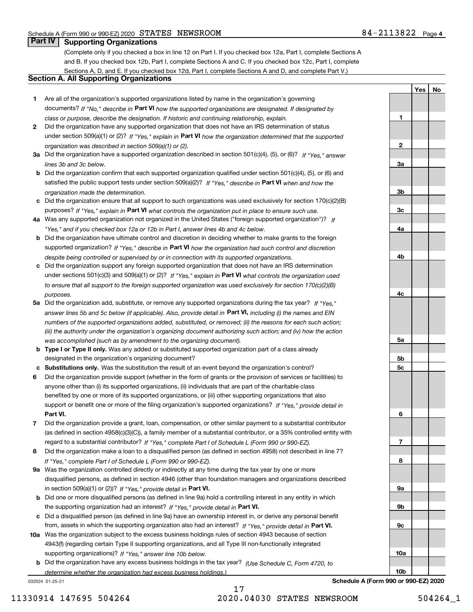**1**

**2**

**3a**

**YesNo**

### **Part IV Supporting Organizations**

(Complete only if you checked a box in line 12 on Part I. If you checked box 12a, Part I, complete Sections A and B. If you checked box 12b, Part I, complete Sections A and C. If you checked box 12c, Part I, complete Sections A, D, and E. If you checked box 12d, Part I, complete Sections A and D, and complete Part V.)

### **Section A. All Supporting Organizations**

- **1** Are all of the organization's supported organizations listed by name in the organization's governing documents? If "No," describe in **Part VI** how the supported organizations are designated. If designated by *class or purpose, describe the designation. If historic and continuing relationship, explain.*
- **2** Did the organization have any supported organization that does not have an IRS determination of status under section 509(a)(1) or (2)? If "Yes," explain in Part VI how the organization determined that the supported *organization was described in section 509(a)(1) or (2).*
- **3a** Did the organization have a supported organization described in section 501(c)(4), (5), or (6)? If "Yes," answer *lines 3b and 3c below.*
- **b** Did the organization confirm that each supported organization qualified under section 501(c)(4), (5), or (6) and satisfied the public support tests under section 509(a)(2)? If "Yes," describe in **Part VI** when and how the *organization made the determination.*
- **c**Did the organization ensure that all support to such organizations was used exclusively for section 170(c)(2)(B) purposes? If "Yes," explain in **Part VI** what controls the organization put in place to ensure such use.
- **4a***If* Was any supported organization not organized in the United States ("foreign supported organization")? *"Yes," and if you checked box 12a or 12b in Part I, answer lines 4b and 4c below.*
- **b** Did the organization have ultimate control and discretion in deciding whether to make grants to the foreign supported organization? If "Yes," describe in **Part VI** how the organization had such control and discretion *despite being controlled or supervised by or in connection with its supported organizations.*
- **c** Did the organization support any foreign supported organization that does not have an IRS determination under sections 501(c)(3) and 509(a)(1) or (2)? If "Yes," explain in **Part VI** what controls the organization used *to ensure that all support to the foreign supported organization was used exclusively for section 170(c)(2)(B) purposes.*
- **5a** Did the organization add, substitute, or remove any supported organizations during the tax year? If "Yes," answer lines 5b and 5c below (if applicable). Also, provide detail in **Part VI,** including (i) the names and EIN *numbers of the supported organizations added, substituted, or removed; (ii) the reasons for each such action; (iii) the authority under the organization's organizing document authorizing such action; and (iv) how the action was accomplished (such as by amendment to the organizing document).*
- **b** Type I or Type II only. Was any added or substituted supported organization part of a class already designated in the organization's organizing document?
- **cSubstitutions only.**  Was the substitution the result of an event beyond the organization's control?
- **6** Did the organization provide support (whether in the form of grants or the provision of services or facilities) to **Part VI.** *If "Yes," provide detail in* support or benefit one or more of the filing organization's supported organizations? anyone other than (i) its supported organizations, (ii) individuals that are part of the charitable class benefited by one or more of its supported organizations, or (iii) other supporting organizations that also
- **7**Did the organization provide a grant, loan, compensation, or other similar payment to a substantial contributor *If "Yes," complete Part I of Schedule L (Form 990 or 990-EZ).* regard to a substantial contributor? (as defined in section 4958(c)(3)(C)), a family member of a substantial contributor, or a 35% controlled entity with
- **8** Did the organization make a loan to a disqualified person (as defined in section 4958) not described in line 7? *If "Yes," complete Part I of Schedule L (Form 990 or 990-EZ).*
- **9a** Was the organization controlled directly or indirectly at any time during the tax year by one or more in section 509(a)(1) or (2))? If "Yes," *provide detail in* <code>Part VI.</code> disqualified persons, as defined in section 4946 (other than foundation managers and organizations described
- **b** Did one or more disqualified persons (as defined in line 9a) hold a controlling interest in any entity in which the supporting organization had an interest? If "Yes," provide detail in P**art VI**.
- **c**Did a disqualified person (as defined in line 9a) have an ownership interest in, or derive any personal benefit from, assets in which the supporting organization also had an interest? If "Yes," provide detail in P**art VI.**
- **10a** Was the organization subject to the excess business holdings rules of section 4943 because of section supporting organizations)? If "Yes," answer line 10b below. 4943(f) (regarding certain Type II supporting organizations, and all Type III non-functionally integrated
- **b** Did the organization have any excess business holdings in the tax year? (Use Schedule C, Form 4720, to *determine whether the organization had excess business holdings.)*

032024 01-25-21



17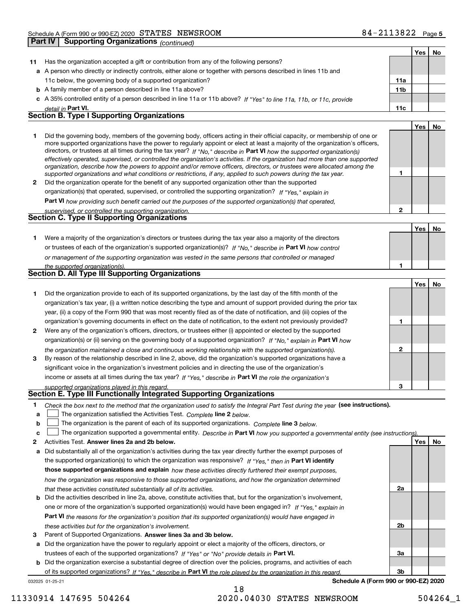|              | Part IV | <b>Supporting Organizations (continued)</b>                                                                                                                                                                                                                                                                                                                                                                                                                                                                                                                                                                                                          |                 |     |    |
|--------------|---------|------------------------------------------------------------------------------------------------------------------------------------------------------------------------------------------------------------------------------------------------------------------------------------------------------------------------------------------------------------------------------------------------------------------------------------------------------------------------------------------------------------------------------------------------------------------------------------------------------------------------------------------------------|-----------------|-----|----|
|              |         |                                                                                                                                                                                                                                                                                                                                                                                                                                                                                                                                                                                                                                                      |                 | Yes | No |
| 11           |         | Has the organization accepted a gift or contribution from any of the following persons?                                                                                                                                                                                                                                                                                                                                                                                                                                                                                                                                                              |                 |     |    |
|              |         | a A person who directly or indirectly controls, either alone or together with persons described in lines 11b and                                                                                                                                                                                                                                                                                                                                                                                                                                                                                                                                     |                 |     |    |
|              |         | 11c below, the governing body of a supported organization?                                                                                                                                                                                                                                                                                                                                                                                                                                                                                                                                                                                           | 11a             |     |    |
|              |         | <b>b</b> A family member of a person described in line 11a above?                                                                                                                                                                                                                                                                                                                                                                                                                                                                                                                                                                                    | 11 <sub>b</sub> |     |    |
|              |         | c A 35% controlled entity of a person described in line 11a or 11b above? If "Yes" to line 11a, 11b, or 11c, provide                                                                                                                                                                                                                                                                                                                                                                                                                                                                                                                                 |                 |     |    |
|              |         | detail in Part VI.                                                                                                                                                                                                                                                                                                                                                                                                                                                                                                                                                                                                                                   | 11c             |     |    |
|              |         | <b>Section B. Type I Supporting Organizations</b>                                                                                                                                                                                                                                                                                                                                                                                                                                                                                                                                                                                                    |                 |     |    |
|              |         |                                                                                                                                                                                                                                                                                                                                                                                                                                                                                                                                                                                                                                                      |                 | Yes | No |
| 1            |         | Did the governing body, members of the governing body, officers acting in their official capacity, or membership of one or<br>more supported organizations have the power to regularly appoint or elect at least a majority of the organization's officers,<br>directors, or trustees at all times during the tax year? If "No," describe in Part VI how the supported organization(s)<br>effectively operated, supervised, or controlled the organization's activities. If the organization had more than one supported<br>organization, describe how the powers to appoint and/or remove officers, directors, or trustees were allocated among the |                 |     |    |
|              |         | supported organizations and what conditions or restrictions, if any, applied to such powers during the tax year.                                                                                                                                                                                                                                                                                                                                                                                                                                                                                                                                     | 1               |     |    |
| 2            |         | Did the organization operate for the benefit of any supported organization other than the supported                                                                                                                                                                                                                                                                                                                                                                                                                                                                                                                                                  |                 |     |    |
|              |         | organization(s) that operated, supervised, or controlled the supporting organization? If "Yes," explain in                                                                                                                                                                                                                                                                                                                                                                                                                                                                                                                                           |                 |     |    |
|              |         | Part VI how providing such benefit carried out the purposes of the supported organization(s) that operated,                                                                                                                                                                                                                                                                                                                                                                                                                                                                                                                                          |                 |     |    |
|              |         | supervised, or controlled the supporting organization.                                                                                                                                                                                                                                                                                                                                                                                                                                                                                                                                                                                               | $\overline{2}$  |     |    |
|              |         | Section C. Type II Supporting Organizations                                                                                                                                                                                                                                                                                                                                                                                                                                                                                                                                                                                                          |                 |     |    |
|              |         |                                                                                                                                                                                                                                                                                                                                                                                                                                                                                                                                                                                                                                                      |                 | Yes | No |
| 1            |         | Were a majority of the organization's directors or trustees during the tax year also a majority of the directors                                                                                                                                                                                                                                                                                                                                                                                                                                                                                                                                     |                 |     |    |
|              |         | or trustees of each of the organization's supported organization(s)? If "No," describe in Part VI how control                                                                                                                                                                                                                                                                                                                                                                                                                                                                                                                                        |                 |     |    |
|              |         | or management of the supporting organization was vested in the same persons that controlled or managed                                                                                                                                                                                                                                                                                                                                                                                                                                                                                                                                               |                 |     |    |
|              |         | the supported organization(s).<br>Section D. All Type III Supporting Organizations                                                                                                                                                                                                                                                                                                                                                                                                                                                                                                                                                                   | 1               |     |    |
|              |         |                                                                                                                                                                                                                                                                                                                                                                                                                                                                                                                                                                                                                                                      |                 |     |    |
|              |         |                                                                                                                                                                                                                                                                                                                                                                                                                                                                                                                                                                                                                                                      |                 | Yes | No |
| 1            |         | Did the organization provide to each of its supported organizations, by the last day of the fifth month of the                                                                                                                                                                                                                                                                                                                                                                                                                                                                                                                                       |                 |     |    |
|              |         | organization's tax year, (i) a written notice describing the type and amount of support provided during the prior tax                                                                                                                                                                                                                                                                                                                                                                                                                                                                                                                                |                 |     |    |
|              |         | year, (ii) a copy of the Form 990 that was most recently filed as of the date of notification, and (iii) copies of the                                                                                                                                                                                                                                                                                                                                                                                                                                                                                                                               |                 |     |    |
|              |         | organization's governing documents in effect on the date of notification, to the extent not previously provided?                                                                                                                                                                                                                                                                                                                                                                                                                                                                                                                                     | 1               |     |    |
| 2            |         | Were any of the organization's officers, directors, or trustees either (i) appointed or elected by the supported                                                                                                                                                                                                                                                                                                                                                                                                                                                                                                                                     |                 |     |    |
|              |         | organization(s) or (ii) serving on the governing body of a supported organization? If "No," explain in Part VI how                                                                                                                                                                                                                                                                                                                                                                                                                                                                                                                                   | $\mathbf 2$     |     |    |
| 3            |         | the organization maintained a close and continuous working relationship with the supported organization(s).                                                                                                                                                                                                                                                                                                                                                                                                                                                                                                                                          |                 |     |    |
|              |         | By reason of the relationship described in line 2, above, did the organization's supported organizations have a<br>significant voice in the organization's investment policies and in directing the use of the organization's                                                                                                                                                                                                                                                                                                                                                                                                                        |                 |     |    |
|              |         |                                                                                                                                                                                                                                                                                                                                                                                                                                                                                                                                                                                                                                                      |                 |     |    |
|              |         | income or assets at all times during the tax year? If "Yes," describe in Part VI the role the organization's                                                                                                                                                                                                                                                                                                                                                                                                                                                                                                                                         | 3               |     |    |
|              |         | supported organizations played in this regard.<br>Section E. Type III Functionally Integrated Supporting Organizations                                                                                                                                                                                                                                                                                                                                                                                                                                                                                                                               |                 |     |    |
| 1.<br>а<br>b |         | Check the box next to the method that the organization used to satisfy the Integral Part Test during the year (see instructions).<br>The organization satisfied the Activities Test. Complete line 2 below.<br>The organization is the parent of each of its supported organizations. Complete line 3 below.                                                                                                                                                                                                                                                                                                                                         |                 |     |    |
| с            |         | The organization supported a governmental entity. Describe in Part VI how you supported a governmental entity (see instructions)                                                                                                                                                                                                                                                                                                                                                                                                                                                                                                                     |                 |     |    |
| $\mathbf{2}$ |         | Activities Test. Answer lines 2a and 2b below.                                                                                                                                                                                                                                                                                                                                                                                                                                                                                                                                                                                                       |                 | Yes | No |
| а            |         | Did substantially all of the organization's activities during the tax year directly further the exempt purposes of                                                                                                                                                                                                                                                                                                                                                                                                                                                                                                                                   |                 |     |    |
|              |         | the supported organization(s) to which the organization was responsive? If "Yes," then in Part VI identify                                                                                                                                                                                                                                                                                                                                                                                                                                                                                                                                           |                 |     |    |
|              |         | those supported organizations and explain how these activities directly furthered their exempt purposes,                                                                                                                                                                                                                                                                                                                                                                                                                                                                                                                                             |                 |     |    |
|              |         | how the organization was responsive to those supported organizations, and how the organization determined                                                                                                                                                                                                                                                                                                                                                                                                                                                                                                                                            |                 |     |    |
|              |         | that these activities constituted substantially all of its activities.                                                                                                                                                                                                                                                                                                                                                                                                                                                                                                                                                                               | 2a              |     |    |
| b            |         | Did the activities described in line 2a, above, constitute activities that, but for the organization's involvement,                                                                                                                                                                                                                                                                                                                                                                                                                                                                                                                                  |                 |     |    |
|              |         | one or more of the organization's supported organization(s) would have been engaged in? If "Yes," explain in                                                                                                                                                                                                                                                                                                                                                                                                                                                                                                                                         |                 |     |    |
|              |         | Part VI the reasons for the organization's position that its supported organization(s) would have engaged in                                                                                                                                                                                                                                                                                                                                                                                                                                                                                                                                         |                 |     |    |

- *these activities but for the organization's involvement.*
- **3** Parent of Supported Organizations. Answer lines 3a and 3b below.

**a** Did the organization have the power to regularly appoint or elect a majority of the officers, directors, or trustees of each of the supported organizations? If "Yes" or "No" provide details in **Part VI.** 

032025 01-25-21 **b** Did the organization exercise a substantial degree of direction over the policies, programs, and activities of each of its supported organizations? If "Yes," describe in Part VI the role played by the organization in this regard.

18

**Schedule A (Form 990 or 990-EZ) 2020**

**2b**

**3a**

**3b**

11330914 147695 504264 2020.04030 STATES NEWSROOM 504264\_1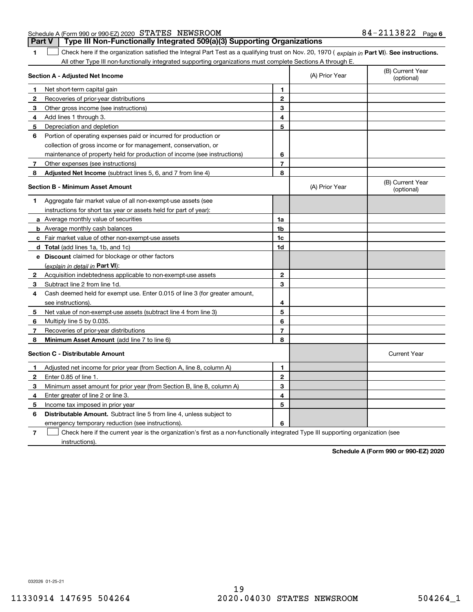|              | Section A - Adjusted Net Income                                             |                | (A) Prior Year | (B) Current Year<br>(optional) |
|--------------|-----------------------------------------------------------------------------|----------------|----------------|--------------------------------|
| 1            | Net short-term capital gain                                                 | 1              |                |                                |
| 2            | Recoveries of prior-year distributions                                      | $\mathbf{2}$   |                |                                |
| 3            | Other gross income (see instructions)                                       | 3              |                |                                |
| 4            | Add lines 1 through 3.                                                      | 4              |                |                                |
| 5            | Depreciation and depletion                                                  | 5              |                |                                |
| 6            | Portion of operating expenses paid or incurred for production or            |                |                |                                |
|              | collection of gross income or for management, conservation, or              |                |                |                                |
|              | maintenance of property held for production of income (see instructions)    | 6              |                |                                |
| 7            | Other expenses (see instructions)                                           | 7              |                |                                |
| 8            | <b>Adjusted Net Income</b> (subtract lines 5, 6, and 7 from line 4)         | 8              |                |                                |
|              | Section B - Minimum Asset Amount                                            |                | (A) Prior Year | (B) Current Year<br>(optional) |
| 1            | Aggregate fair market value of all non-exempt-use assets (see               |                |                |                                |
|              | instructions for short tax year or assets held for part of year):           |                |                |                                |
|              | a Average monthly value of securities                                       | 1a             |                |                                |
|              | <b>b</b> Average monthly cash balances                                      | 1b             |                |                                |
|              | c Fair market value of other non-exempt-use assets                          | 1c             |                |                                |
|              | <b>d</b> Total (add lines 1a, 1b, and 1c)                                   | 1d             |                |                                |
|              | e Discount claimed for blockage or other factors                            |                |                |                                |
|              | (explain in detail in Part VI):                                             |                |                |                                |
| 2            | Acquisition indebtedness applicable to non-exempt-use assets                | $\mathbf{2}$   |                |                                |
| 3            | Subtract line 2 from line 1d.                                               | $\mathbf{a}$   |                |                                |
| 4            | Cash deemed held for exempt use. Enter 0.015 of line 3 (for greater amount, |                |                |                                |
|              | see instructions).                                                          | 4              |                |                                |
| 5            | Net value of non-exempt-use assets (subtract line 4 from line 3)            | 5              |                |                                |
| 6            | Multiply line 5 by 0.035.                                                   | 6              |                |                                |
| 7            | Recoveries of prior-year distributions                                      | $\overline{7}$ |                |                                |
| 8            | Minimum Asset Amount (add line 7 to line 6)                                 | 8              |                |                                |
|              | Section C - Distributable Amount                                            |                |                | <b>Current Year</b>            |
| 1            | Adjusted net income for prior year (from Section A, line 8, column A)       | 1              |                |                                |
| $\mathbf{2}$ | Enter 0.85 of line 1.                                                       | $\mathbf{2}$   |                |                                |
| 3            | Minimum asset amount for prior year (from Section B, line 8, column A)      | 3              |                |                                |
| 4            | Enter greater of line 2 or line 3.                                          | 4              |                |                                |
| 5            | Income tax imposed in prior year                                            | 5              |                |                                |
| 6            | <b>Distributable Amount.</b> Subtract line 5 from line 4, unless subject to |                |                |                                |
|              | emergency temporary reduction (see instructions).                           | 6              |                |                                |

**1Part V Type III Non-Functionally Integrated 509(a)(3) Supporting Organizations** 

1 Check here if the organization satisfied the Integral Part Test as a qualifying trust on Nov. 20, 1970 (explain in Part VI). See instructions. All other Type III non-functionally integrated supporting organizations must complete Sections A through E.

**7**Check here if the current year is the organization's first as a non-functionally integrated Type III supporting organization (see instructions).

**Schedule A (Form 990 or 990-EZ) 2020**

032026 01-25-21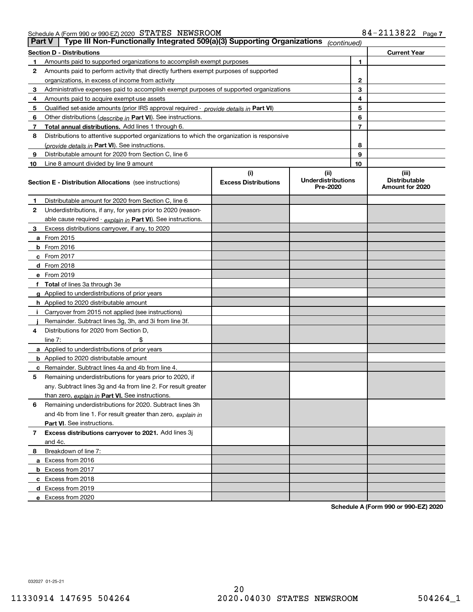Schedule A (Form 990 or 990-EZ) 2020 Page STATES NEWSROOM 84-2113822

| <b>Part V</b> | Type III Non-Functionally Integrated 509(a)(3) Supporting Organizations                    |                             | (continued)                           |    |                                         |
|---------------|--------------------------------------------------------------------------------------------|-----------------------------|---------------------------------------|----|-----------------------------------------|
|               | <b>Section D - Distributions</b>                                                           |                             |                                       |    | <b>Current Year</b>                     |
| 1             | Amounts paid to supported organizations to accomplish exempt purposes                      |                             |                                       | 1  |                                         |
| 2             | Amounts paid to perform activity that directly furthers exempt purposes of supported       |                             |                                       |    |                                         |
|               | organizations, in excess of income from activity                                           |                             |                                       |    |                                         |
| 3             | Administrative expenses paid to accomplish exempt purposes of supported organizations      |                             |                                       | 3  |                                         |
| 4             | Amounts paid to acquire exempt-use assets                                                  |                             |                                       | 4  |                                         |
| 5             | Qualified set-aside amounts (prior IRS approval required - provide details in Part VI)     |                             |                                       | 5  |                                         |
| 6             | Other distributions (describe in Part VI). See instructions.                               |                             |                                       | 6  |                                         |
| 7             | Total annual distributions. Add lines 1 through 6.                                         |                             |                                       | 7  |                                         |
| 8             | Distributions to attentive supported organizations to which the organization is responsive |                             |                                       |    |                                         |
|               | (provide details in Part VI). See instructions.                                            |                             |                                       | 8  |                                         |
| 9             | Distributable amount for 2020 from Section C, line 6                                       |                             |                                       | 9  |                                         |
| 10            | Line 8 amount divided by line 9 amount                                                     |                             |                                       | 10 |                                         |
|               |                                                                                            | (i)                         | (ii)                                  |    | (iii)                                   |
|               | <b>Section E - Distribution Allocations</b> (see instructions)                             | <b>Excess Distributions</b> | <b>Underdistributions</b><br>Pre-2020 |    | <b>Distributable</b><br>Amount for 2020 |
| 1             | Distributable amount for 2020 from Section C, line 6                                       |                             |                                       |    |                                         |
| 2             | Underdistributions, if any, for years prior to 2020 (reason-                               |                             |                                       |    |                                         |
|               | able cause required - explain in Part VI). See instructions.                               |                             |                                       |    |                                         |
| 3             | Excess distributions carryover, if any, to 2020                                            |                             |                                       |    |                                         |
|               | <b>a</b> From 2015                                                                         |                             |                                       |    |                                         |
|               | <b>b</b> From 2016                                                                         |                             |                                       |    |                                         |
|               | c From 2017                                                                                |                             |                                       |    |                                         |
|               | <b>d</b> From 2018                                                                         |                             |                                       |    |                                         |
|               | e From 2019                                                                                |                             |                                       |    |                                         |
|               | f Total of lines 3a through 3e                                                             |                             |                                       |    |                                         |
|               | g Applied to underdistributions of prior years                                             |                             |                                       |    |                                         |
|               | <b>h</b> Applied to 2020 distributable amount                                              |                             |                                       |    |                                         |
|               | Carryover from 2015 not applied (see instructions)                                         |                             |                                       |    |                                         |
|               | Remainder. Subtract lines 3g, 3h, and 3i from line 3f.                                     |                             |                                       |    |                                         |
| 4             | Distributions for 2020 from Section D,                                                     |                             |                                       |    |                                         |
|               | line $7:$                                                                                  |                             |                                       |    |                                         |
|               | a Applied to underdistributions of prior years                                             |                             |                                       |    |                                         |
|               | <b>b</b> Applied to 2020 distributable amount                                              |                             |                                       |    |                                         |
|               | c Remainder. Subtract lines 4a and 4b from line 4.                                         |                             |                                       |    |                                         |
| 5             | Remaining underdistributions for years prior to 2020, if                                   |                             |                                       |    |                                         |
|               | any. Subtract lines 3g and 4a from line 2. For result greater                              |                             |                                       |    |                                         |
|               | than zero, explain in Part VI. See instructions.                                           |                             |                                       |    |                                         |
| 6             | Remaining underdistributions for 2020. Subtract lines 3h                                   |                             |                                       |    |                                         |
|               | and 4b from line 1. For result greater than zero, explain in                               |                             |                                       |    |                                         |
|               | Part VI. See instructions.                                                                 |                             |                                       |    |                                         |
| 7             | Excess distributions carryover to 2021. Add lines 3j                                       |                             |                                       |    |                                         |
|               | and 4c.                                                                                    |                             |                                       |    |                                         |
| 8             | Breakdown of line 7:                                                                       |                             |                                       |    |                                         |
|               | a Excess from 2016                                                                         |                             |                                       |    |                                         |
|               | <b>b</b> Excess from 2017                                                                  |                             |                                       |    |                                         |
|               | c Excess from 2018                                                                         |                             |                                       |    |                                         |
|               | d Excess from 2019                                                                         |                             |                                       |    |                                         |
|               | e Excess from 2020                                                                         |                             |                                       |    |                                         |

**Schedule A (Form 990 or 990-EZ) 2020**

032027 01-25-21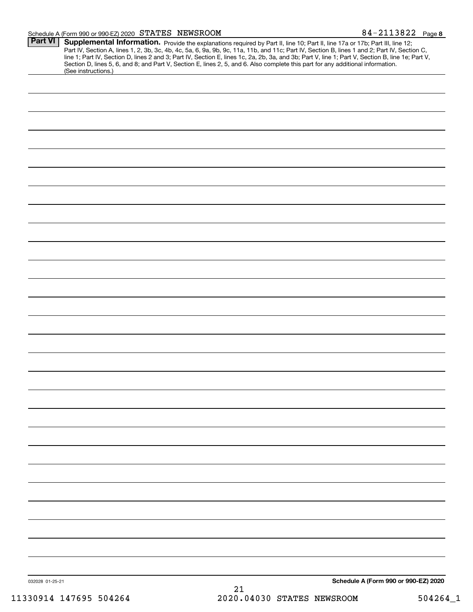#### Schedule A (Form 990 or 990-EZ) 2020 Page STATES NEWSROOM 84-2113822

| <b>Part VI</b>  | Supplemental Information. Provide the explanations required by Part II, line 10; Part II, line 17a or 17b; Part III, line 12;<br>Part IV, Section A, lines 1, 2, 3b, 3c, 4b, 4c, 5a, 6, 9a, 9b, 9c, 11a, 11b, and 11c; Part IV, Section B, lines 1 and 2; Part IV, Section C, line 1; Part IV, Section D, lines 2 and 3; Part IV, Section E, lines 1c, 2a, 2b,<br>Section D, lines 5, 6, and 8; and Part V, Section E, lines 2, 5, and 6. Also complete this part for any additional information.<br>(See instructions.) |                                      |
|-----------------|--------------------------------------------------------------------------------------------------------------------------------------------------------------------------------------------------------------------------------------------------------------------------------------------------------------------------------------------------------------------------------------------------------------------------------------------------------------------------------------------------------------------------|--------------------------------------|
|                 |                                                                                                                                                                                                                                                                                                                                                                                                                                                                                                                          |                                      |
|                 |                                                                                                                                                                                                                                                                                                                                                                                                                                                                                                                          |                                      |
|                 |                                                                                                                                                                                                                                                                                                                                                                                                                                                                                                                          |                                      |
|                 |                                                                                                                                                                                                                                                                                                                                                                                                                                                                                                                          |                                      |
|                 |                                                                                                                                                                                                                                                                                                                                                                                                                                                                                                                          |                                      |
|                 |                                                                                                                                                                                                                                                                                                                                                                                                                                                                                                                          |                                      |
|                 |                                                                                                                                                                                                                                                                                                                                                                                                                                                                                                                          |                                      |
|                 |                                                                                                                                                                                                                                                                                                                                                                                                                                                                                                                          |                                      |
|                 |                                                                                                                                                                                                                                                                                                                                                                                                                                                                                                                          |                                      |
|                 |                                                                                                                                                                                                                                                                                                                                                                                                                                                                                                                          |                                      |
|                 |                                                                                                                                                                                                                                                                                                                                                                                                                                                                                                                          |                                      |
|                 |                                                                                                                                                                                                                                                                                                                                                                                                                                                                                                                          |                                      |
|                 |                                                                                                                                                                                                                                                                                                                                                                                                                                                                                                                          |                                      |
|                 |                                                                                                                                                                                                                                                                                                                                                                                                                                                                                                                          |                                      |
|                 |                                                                                                                                                                                                                                                                                                                                                                                                                                                                                                                          |                                      |
|                 |                                                                                                                                                                                                                                                                                                                                                                                                                                                                                                                          |                                      |
|                 |                                                                                                                                                                                                                                                                                                                                                                                                                                                                                                                          |                                      |
|                 |                                                                                                                                                                                                                                                                                                                                                                                                                                                                                                                          |                                      |
|                 |                                                                                                                                                                                                                                                                                                                                                                                                                                                                                                                          |                                      |
|                 |                                                                                                                                                                                                                                                                                                                                                                                                                                                                                                                          |                                      |
|                 |                                                                                                                                                                                                                                                                                                                                                                                                                                                                                                                          |                                      |
|                 |                                                                                                                                                                                                                                                                                                                                                                                                                                                                                                                          |                                      |
|                 |                                                                                                                                                                                                                                                                                                                                                                                                                                                                                                                          |                                      |
|                 |                                                                                                                                                                                                                                                                                                                                                                                                                                                                                                                          |                                      |
|                 |                                                                                                                                                                                                                                                                                                                                                                                                                                                                                                                          |                                      |
|                 |                                                                                                                                                                                                                                                                                                                                                                                                                                                                                                                          |                                      |
|                 |                                                                                                                                                                                                                                                                                                                                                                                                                                                                                                                          |                                      |
|                 |                                                                                                                                                                                                                                                                                                                                                                                                                                                                                                                          |                                      |
|                 |                                                                                                                                                                                                                                                                                                                                                                                                                                                                                                                          |                                      |
| 032028 01-25-21 |                                                                                                                                                                                                                                                                                                                                                                                                                                                                                                                          | Schedule A (Form 990 or 990-EZ) 2020 |
|                 | 21                                                                                                                                                                                                                                                                                                                                                                                                                                                                                                                       |                                      |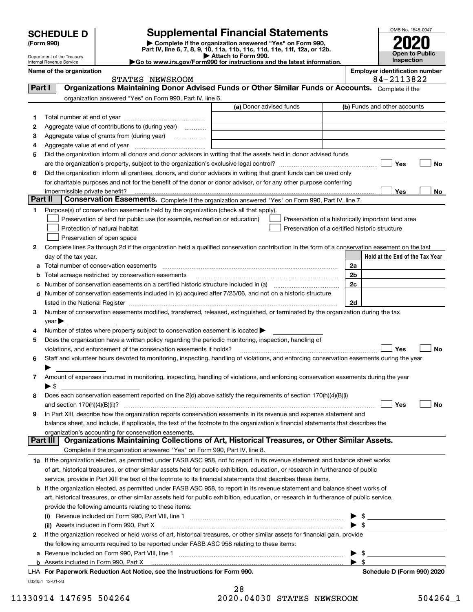| <b>SCHEDULE D</b> |  |
|-------------------|--|
|-------------------|--|

Department of the Treasury Internal Revenue Service

| (Form 990) |  |
|------------|--|
|------------|--|

# **Supplemental Financial Statements**

(Form 990)<br>
Pepartment of the Treasury<br>
Department of the Treasury<br>
Department of the Treasury<br>
Department of the Treasury<br> **Co to www.irs.gov/Form990 for instructions and the latest information.**<br> **Co to www.irs.gov/Form9** 

|  | <br>a, or 12b. |  |
|--|----------------|--|
|  |                |  |

| Name of the organization | Employer identification number |
|--------------------------|--------------------------------|
|--------------------------|--------------------------------|

OMB No. 1545-0047

**2020**

**Open to Public Inspection**

| 84-2113822 |
|------------|
|            |

|         | STATES NEWSROOM                                                                                                                                                                                                                                                      |                                                |                         | 84-2113822                                         |
|---------|----------------------------------------------------------------------------------------------------------------------------------------------------------------------------------------------------------------------------------------------------------------------|------------------------------------------------|-------------------------|----------------------------------------------------|
| Part I  | Organizations Maintaining Donor Advised Funds or Other Similar Funds or Accounts. Complete if the                                                                                                                                                                    |                                                |                         |                                                    |
|         | organization answered "Yes" on Form 990, Part IV, line 6.                                                                                                                                                                                                            |                                                |                         |                                                    |
|         |                                                                                                                                                                                                                                                                      | (a) Donor advised funds                        |                         | (b) Funds and other accounts                       |
| 1       |                                                                                                                                                                                                                                                                      |                                                |                         |                                                    |
| 2       | Aggregate value of contributions to (during year)                                                                                                                                                                                                                    |                                                |                         |                                                    |
| з       |                                                                                                                                                                                                                                                                      |                                                |                         |                                                    |
| 4       |                                                                                                                                                                                                                                                                      |                                                |                         |                                                    |
| 5       | Did the organization inform all donors and donor advisors in writing that the assets held in donor advised funds                                                                                                                                                     |                                                |                         |                                                    |
|         |                                                                                                                                                                                                                                                                      |                                                |                         | — ∣ Yes<br>No                                      |
| 6       | Did the organization inform all grantees, donors, and donor advisors in writing that grant funds can be used only                                                                                                                                                    |                                                |                         |                                                    |
|         | for charitable purposes and not for the benefit of the donor or donor advisor, or for any other purpose conferring                                                                                                                                                   |                                                |                         |                                                    |
|         | impermissible private benefit?                                                                                                                                                                                                                                       |                                                |                         | Yes                                                |
| Part II | Conservation Easements. Complete if the organization answered "Yes" on Form 990, Part IV, line 7.                                                                                                                                                                    |                                                |                         | No                                                 |
|         |                                                                                                                                                                                                                                                                      |                                                |                         |                                                    |
| 1.      | Purpose(s) of conservation easements held by the organization (check all that apply).                                                                                                                                                                                |                                                |                         |                                                    |
|         | Preservation of land for public use (for example, recreation or education)                                                                                                                                                                                           |                                                |                         | Preservation of a historically important land area |
|         | Protection of natural habitat                                                                                                                                                                                                                                        | Preservation of a certified historic structure |                         |                                                    |
|         | Preservation of open space                                                                                                                                                                                                                                           |                                                |                         |                                                    |
| 2       | Complete lines 2a through 2d if the organization held a qualified conservation contribution in the form of a conservation easement on the last                                                                                                                       |                                                |                         |                                                    |
|         | day of the tax year.                                                                                                                                                                                                                                                 |                                                |                         | Held at the End of the Tax Year                    |
|         | a Total number of conservation easements                                                                                                                                                                                                                             |                                                | 2a                      |                                                    |
|         | <b>b</b> Total acreage restricted by conservation easements                                                                                                                                                                                                          |                                                | 2 <sub>b</sub>          |                                                    |
|         | c Number of conservation easements on a certified historic structure included in (a)                                                                                                                                                                                 |                                                | 2c                      |                                                    |
|         | d Number of conservation easements included in (c) acquired after 7/25/06, and not on a historic structure                                                                                                                                                           |                                                |                         |                                                    |
|         | listed in the National Register [11, 1200] [12] The National Register [11, 1200] [12] The National Register [11, 1200] [12] The National Register [11, 1200] [12] The National Register [11, 1200] [12] The National Register                                        |                                                | 2d                      |                                                    |
| 3       | Number of conservation easements modified, transferred, released, extinguished, or terminated by the organization during the tax                                                                                                                                     |                                                |                         |                                                    |
|         | $\vee$ ear $\blacktriangleright$                                                                                                                                                                                                                                     |                                                |                         |                                                    |
| 4       | Number of states where property subject to conservation easement is located >                                                                                                                                                                                        |                                                |                         |                                                    |
| 5       | Does the organization have a written policy regarding the periodic monitoring, inspection, handling of                                                                                                                                                               |                                                |                         |                                                    |
|         | violations, and enforcement of the conservation easements it holds?                                                                                                                                                                                                  |                                                |                         | Yes<br>No                                          |
| 6       | Staff and volunteer hours devoted to monitoring, inspecting, handling of violations, and enforcing conservation easements during the year                                                                                                                            |                                                |                         |                                                    |
|         |                                                                                                                                                                                                                                                                      |                                                |                         |                                                    |
| 7.      | Amount of expenses incurred in monitoring, inspecting, handling of violations, and enforcing conservation easements during the year                                                                                                                                  |                                                |                         |                                                    |
|         | ▶ \$                                                                                                                                                                                                                                                                 |                                                |                         |                                                    |
| 8       | Does each conservation easement reported on line 2(d) above satisfy the requirements of section 170(h)(4)(B)(i)                                                                                                                                                      |                                                |                         |                                                    |
|         | and section 170(h)(4)(B)(ii)?                                                                                                                                                                                                                                        |                                                |                         | Yes<br>No                                          |
| 9       | In Part XIII, describe how the organization reports conservation easements in its revenue and expense statement and                                                                                                                                                  |                                                |                         |                                                    |
|         | balance sheet, and include, if applicable, the text of the footnote to the organization's financial statements that describes the                                                                                                                                    |                                                |                         |                                                    |
|         | organization's accounting for conservation easements.<br>Organizations Maintaining Collections of Art, Historical Treasures, or Other Similar Assets.<br>Part III                                                                                                    |                                                |                         |                                                    |
|         | Complete if the organization answered "Yes" on Form 990, Part IV, line 8.                                                                                                                                                                                            |                                                |                         |                                                    |
|         |                                                                                                                                                                                                                                                                      |                                                |                         |                                                    |
|         | 1a If the organization elected, as permitted under FASB ASC 958, not to report in its revenue statement and balance sheet works<br>of art, historical treasures, or other similar assets held for public exhibition, education, or research in furtherance of public |                                                |                         |                                                    |
|         |                                                                                                                                                                                                                                                                      |                                                |                         |                                                    |
|         | service, provide in Part XIII the text of the footnote to its financial statements that describes these items.<br><b>b</b> If the organization elected, as permitted under FASB ASC 958, to report in its revenue statement and balance sheet works of               |                                                |                         |                                                    |
|         | art, historical treasures, or other similar assets held for public exhibition, education, or research in furtherance of public service,                                                                                                                              |                                                |                         |                                                    |
|         |                                                                                                                                                                                                                                                                      |                                                |                         |                                                    |
|         | provide the following amounts relating to these items:                                                                                                                                                                                                               |                                                |                         |                                                    |
|         |                                                                                                                                                                                                                                                                      |                                                |                         | \$                                                 |
|         | (ii) Assets included in Form 990, Part X                                                                                                                                                                                                                             |                                                | $\blacktriangleright$ s |                                                    |
| 2       | If the organization received or held works of art, historical treasures, or other similar assets for financial gain, provide                                                                                                                                         |                                                |                         |                                                    |
|         | the following amounts required to be reported under FASB ASC 958 relating to these items:                                                                                                                                                                            |                                                |                         |                                                    |
|         |                                                                                                                                                                                                                                                                      |                                                |                         | \$                                                 |
|         |                                                                                                                                                                                                                                                                      |                                                | $\blacktriangleright$ s |                                                    |
|         | LHA For Paperwork Reduction Act Notice, see the Instructions for Form 990.<br>032051 12-01-20                                                                                                                                                                        |                                                |                         | Schedule D (Form 990) 2020                         |
|         |                                                                                                                                                                                                                                                                      |                                                |                         |                                                    |

28 11330914 147695 504264 2020.04030 STATES NEWSROOM 504264\_1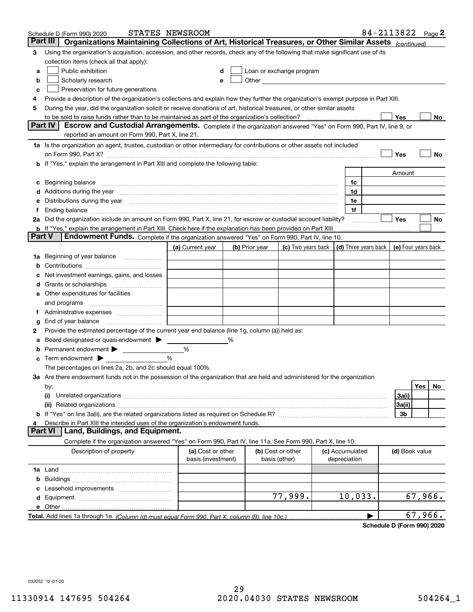| Part III<br>Organizations Maintaining Collections of Art, Historical Treasures, or Other Similar Assets (continued)<br>Using the organization's acquisition, accession, and other records, check any of the following that make significant use of its<br>3<br>collection items (check all that apply):<br>Public exhibition<br>Loan or exchange program<br>a<br>Other and the contract of the contract of the contract of the contract of the contract of the contract of the contract of the contract of the contract of the contract of the contract of the contract of the contract of the<br>Scholarly research<br>b<br>Preservation for future generations<br>с<br>Provide a description of the organization's collections and explain how they further the organization's exempt purpose in Part XIII.<br>4<br>During the year, did the organization solicit or receive donations of art, historical treasures, or other similar assets<br>5<br>to be sold to raise funds rather than to be maintained as part of the organization's collection?<br>Yes<br><b>Part IV</b><br>Escrow and Custodial Arrangements. Complete if the organization answered "Yes" on Form 990, Part IV, line 9, or<br>reported an amount on Form 990, Part X, line 21.<br>1a Is the organization an agent, trustee, custodian or other intermediary for contributions or other assets not included<br>Yes |    |
|--------------------------------------------------------------------------------------------------------------------------------------------------------------------------------------------------------------------------------------------------------------------------------------------------------------------------------------------------------------------------------------------------------------------------------------------------------------------------------------------------------------------------------------------------------------------------------------------------------------------------------------------------------------------------------------------------------------------------------------------------------------------------------------------------------------------------------------------------------------------------------------------------------------------------------------------------------------------------------------------------------------------------------------------------------------------------------------------------------------------------------------------------------------------------------------------------------------------------------------------------------------------------------------------------------------------------------------------------------------------------------------------|----|
|                                                                                                                                                                                                                                                                                                                                                                                                                                                                                                                                                                                                                                                                                                                                                                                                                                                                                                                                                                                                                                                                                                                                                                                                                                                                                                                                                                                            |    |
|                                                                                                                                                                                                                                                                                                                                                                                                                                                                                                                                                                                                                                                                                                                                                                                                                                                                                                                                                                                                                                                                                                                                                                                                                                                                                                                                                                                            |    |
|                                                                                                                                                                                                                                                                                                                                                                                                                                                                                                                                                                                                                                                                                                                                                                                                                                                                                                                                                                                                                                                                                                                                                                                                                                                                                                                                                                                            |    |
|                                                                                                                                                                                                                                                                                                                                                                                                                                                                                                                                                                                                                                                                                                                                                                                                                                                                                                                                                                                                                                                                                                                                                                                                                                                                                                                                                                                            |    |
|                                                                                                                                                                                                                                                                                                                                                                                                                                                                                                                                                                                                                                                                                                                                                                                                                                                                                                                                                                                                                                                                                                                                                                                                                                                                                                                                                                                            |    |
|                                                                                                                                                                                                                                                                                                                                                                                                                                                                                                                                                                                                                                                                                                                                                                                                                                                                                                                                                                                                                                                                                                                                                                                                                                                                                                                                                                                            |    |
|                                                                                                                                                                                                                                                                                                                                                                                                                                                                                                                                                                                                                                                                                                                                                                                                                                                                                                                                                                                                                                                                                                                                                                                                                                                                                                                                                                                            |    |
|                                                                                                                                                                                                                                                                                                                                                                                                                                                                                                                                                                                                                                                                                                                                                                                                                                                                                                                                                                                                                                                                                                                                                                                                                                                                                                                                                                                            |    |
|                                                                                                                                                                                                                                                                                                                                                                                                                                                                                                                                                                                                                                                                                                                                                                                                                                                                                                                                                                                                                                                                                                                                                                                                                                                                                                                                                                                            | No |
|                                                                                                                                                                                                                                                                                                                                                                                                                                                                                                                                                                                                                                                                                                                                                                                                                                                                                                                                                                                                                                                                                                                                                                                                                                                                                                                                                                                            |    |
|                                                                                                                                                                                                                                                                                                                                                                                                                                                                                                                                                                                                                                                                                                                                                                                                                                                                                                                                                                                                                                                                                                                                                                                                                                                                                                                                                                                            |    |
|                                                                                                                                                                                                                                                                                                                                                                                                                                                                                                                                                                                                                                                                                                                                                                                                                                                                                                                                                                                                                                                                                                                                                                                                                                                                                                                                                                                            |    |
| on Form 990, Part X? [11] matter contracts and contracts and contracts are contracted as a form 990, Part X?                                                                                                                                                                                                                                                                                                                                                                                                                                                                                                                                                                                                                                                                                                                                                                                                                                                                                                                                                                                                                                                                                                                                                                                                                                                                               | No |
| <b>b</b> If "Yes," explain the arrangement in Part XIII and complete the following table:                                                                                                                                                                                                                                                                                                                                                                                                                                                                                                                                                                                                                                                                                                                                                                                                                                                                                                                                                                                                                                                                                                                                                                                                                                                                                                  |    |
| Amount                                                                                                                                                                                                                                                                                                                                                                                                                                                                                                                                                                                                                                                                                                                                                                                                                                                                                                                                                                                                                                                                                                                                                                                                                                                                                                                                                                                     |    |
| Beginning balance <u>manual membershare communication</u> and the set of the set of the set of the set of the set of the set of the set of the set of the set of the set of the set of the set of the set of the set of the set of<br>1c<br>c                                                                                                                                                                                                                                                                                                                                                                                                                                                                                                                                                                                                                                                                                                                                                                                                                                                                                                                                                                                                                                                                                                                                              |    |
| 1d                                                                                                                                                                                                                                                                                                                                                                                                                                                                                                                                                                                                                                                                                                                                                                                                                                                                                                                                                                                                                                                                                                                                                                                                                                                                                                                                                                                         |    |
| Distributions during the year manufactured and an account of the state of the state of the state of the state o<br>1e<br>е                                                                                                                                                                                                                                                                                                                                                                                                                                                                                                                                                                                                                                                                                                                                                                                                                                                                                                                                                                                                                                                                                                                                                                                                                                                                 |    |
| 1f                                                                                                                                                                                                                                                                                                                                                                                                                                                                                                                                                                                                                                                                                                                                                                                                                                                                                                                                                                                                                                                                                                                                                                                                                                                                                                                                                                                         |    |
| 2a Did the organization include an amount on Form 990, Part X, line 21, for escrow or custodial account liability?<br>Yes                                                                                                                                                                                                                                                                                                                                                                                                                                                                                                                                                                                                                                                                                                                                                                                                                                                                                                                                                                                                                                                                                                                                                                                                                                                                  | No |
| <b>b</b> If "Yes," explain the arrangement in Part XIII. Check here if the explanation has been provided on Part XIII<br>Part V<br>Endowment Funds. Complete if the organization answered "Yes" on Form 990, Part IV, line 10.                                                                                                                                                                                                                                                                                                                                                                                                                                                                                                                                                                                                                                                                                                                                                                                                                                                                                                                                                                                                                                                                                                                                                             |    |
| (c) Two years back $\vert$ (d) Three years back $\vert$<br>(a) Current year<br>(b) Prior year<br>(e) Four years back                                                                                                                                                                                                                                                                                                                                                                                                                                                                                                                                                                                                                                                                                                                                                                                                                                                                                                                                                                                                                                                                                                                                                                                                                                                                       |    |
|                                                                                                                                                                                                                                                                                                                                                                                                                                                                                                                                                                                                                                                                                                                                                                                                                                                                                                                                                                                                                                                                                                                                                                                                                                                                                                                                                                                            |    |
| 1a Beginning of year balance                                                                                                                                                                                                                                                                                                                                                                                                                                                                                                                                                                                                                                                                                                                                                                                                                                                                                                                                                                                                                                                                                                                                                                                                                                                                                                                                                               |    |
| b<br>Net investment earnings, gains, and losses                                                                                                                                                                                                                                                                                                                                                                                                                                                                                                                                                                                                                                                                                                                                                                                                                                                                                                                                                                                                                                                                                                                                                                                                                                                                                                                                            |    |
|                                                                                                                                                                                                                                                                                                                                                                                                                                                                                                                                                                                                                                                                                                                                                                                                                                                                                                                                                                                                                                                                                                                                                                                                                                                                                                                                                                                            |    |
| e Other expenditures for facilities                                                                                                                                                                                                                                                                                                                                                                                                                                                                                                                                                                                                                                                                                                                                                                                                                                                                                                                                                                                                                                                                                                                                                                                                                                                                                                                                                        |    |
| and programs                                                                                                                                                                                                                                                                                                                                                                                                                                                                                                                                                                                                                                                                                                                                                                                                                                                                                                                                                                                                                                                                                                                                                                                                                                                                                                                                                                               |    |
| f Administrative expenses                                                                                                                                                                                                                                                                                                                                                                                                                                                                                                                                                                                                                                                                                                                                                                                                                                                                                                                                                                                                                                                                                                                                                                                                                                                                                                                                                                  |    |
| End of year balance <i>manually contained</i><br>g                                                                                                                                                                                                                                                                                                                                                                                                                                                                                                                                                                                                                                                                                                                                                                                                                                                                                                                                                                                                                                                                                                                                                                                                                                                                                                                                         |    |
| Provide the estimated percentage of the current year end balance (line 1g, column (a)) held as:<br>2                                                                                                                                                                                                                                                                                                                                                                                                                                                                                                                                                                                                                                                                                                                                                                                                                                                                                                                                                                                                                                                                                                                                                                                                                                                                                       |    |
| Board designated or quasi-endowment<br>%<br>а                                                                                                                                                                                                                                                                                                                                                                                                                                                                                                                                                                                                                                                                                                                                                                                                                                                                                                                                                                                                                                                                                                                                                                                                                                                                                                                                              |    |
| Permanent endowment ><br>%<br>b                                                                                                                                                                                                                                                                                                                                                                                                                                                                                                                                                                                                                                                                                                                                                                                                                                                                                                                                                                                                                                                                                                                                                                                                                                                                                                                                                            |    |
| Term endowment $\blacktriangleright$<br>%<br>c                                                                                                                                                                                                                                                                                                                                                                                                                                                                                                                                                                                                                                                                                                                                                                                                                                                                                                                                                                                                                                                                                                                                                                                                                                                                                                                                             |    |
| The percentages on lines 2a, 2b, and 2c should equal 100%.                                                                                                                                                                                                                                                                                                                                                                                                                                                                                                                                                                                                                                                                                                                                                                                                                                                                                                                                                                                                                                                                                                                                                                                                                                                                                                                                 |    |
| 3a Are there endowment funds not in the possession of the organization that are held and administered for the organization                                                                                                                                                                                                                                                                                                                                                                                                                                                                                                                                                                                                                                                                                                                                                                                                                                                                                                                                                                                                                                                                                                                                                                                                                                                                 |    |
| Yes<br>by:                                                                                                                                                                                                                                                                                                                                                                                                                                                                                                                                                                                                                                                                                                                                                                                                                                                                                                                                                                                                                                                                                                                                                                                                                                                                                                                                                                                 | No |
| 3a(i)<br>(i)                                                                                                                                                                                                                                                                                                                                                                                                                                                                                                                                                                                                                                                                                                                                                                                                                                                                                                                                                                                                                                                                                                                                                                                                                                                                                                                                                                               |    |
| 3a(ii)                                                                                                                                                                                                                                                                                                                                                                                                                                                                                                                                                                                                                                                                                                                                                                                                                                                                                                                                                                                                                                                                                                                                                                                                                                                                                                                                                                                     |    |
| 3b                                                                                                                                                                                                                                                                                                                                                                                                                                                                                                                                                                                                                                                                                                                                                                                                                                                                                                                                                                                                                                                                                                                                                                                                                                                                                                                                                                                         |    |
| Describe in Part XIII the intended uses of the organization's endowment funds.                                                                                                                                                                                                                                                                                                                                                                                                                                                                                                                                                                                                                                                                                                                                                                                                                                                                                                                                                                                                                                                                                                                                                                                                                                                                                                             |    |
| Land, Buildings, and Equipment.<br>Part VI                                                                                                                                                                                                                                                                                                                                                                                                                                                                                                                                                                                                                                                                                                                                                                                                                                                                                                                                                                                                                                                                                                                                                                                                                                                                                                                                                 |    |
| Complete if the organization answered "Yes" on Form 990, Part IV, line 11a. See Form 990, Part X, line 10.                                                                                                                                                                                                                                                                                                                                                                                                                                                                                                                                                                                                                                                                                                                                                                                                                                                                                                                                                                                                                                                                                                                                                                                                                                                                                 |    |
| Description of property<br>(a) Cost or other<br>(b) Cost or other<br>(c) Accumulated<br>(d) Book value<br>basis (investment)<br>basis (other)<br>depreciation                                                                                                                                                                                                                                                                                                                                                                                                                                                                                                                                                                                                                                                                                                                                                                                                                                                                                                                                                                                                                                                                                                                                                                                                                              |    |
|                                                                                                                                                                                                                                                                                                                                                                                                                                                                                                                                                                                                                                                                                                                                                                                                                                                                                                                                                                                                                                                                                                                                                                                                                                                                                                                                                                                            |    |
| b                                                                                                                                                                                                                                                                                                                                                                                                                                                                                                                                                                                                                                                                                                                                                                                                                                                                                                                                                                                                                                                                                                                                                                                                                                                                                                                                                                                          |    |
|                                                                                                                                                                                                                                                                                                                                                                                                                                                                                                                                                                                                                                                                                                                                                                                                                                                                                                                                                                                                                                                                                                                                                                                                                                                                                                                                                                                            |    |
| 67,966.<br>77,999.<br>10,033.                                                                                                                                                                                                                                                                                                                                                                                                                                                                                                                                                                                                                                                                                                                                                                                                                                                                                                                                                                                                                                                                                                                                                                                                                                                                                                                                                              |    |
|                                                                                                                                                                                                                                                                                                                                                                                                                                                                                                                                                                                                                                                                                                                                                                                                                                                                                                                                                                                                                                                                                                                                                                                                                                                                                                                                                                                            |    |
| 67,966.<br>▶                                                                                                                                                                                                                                                                                                                                                                                                                                                                                                                                                                                                                                                                                                                                                                                                                                                                                                                                                                                                                                                                                                                                                                                                                                                                                                                                                                               |    |

**Schedule D (Form 990) 2020**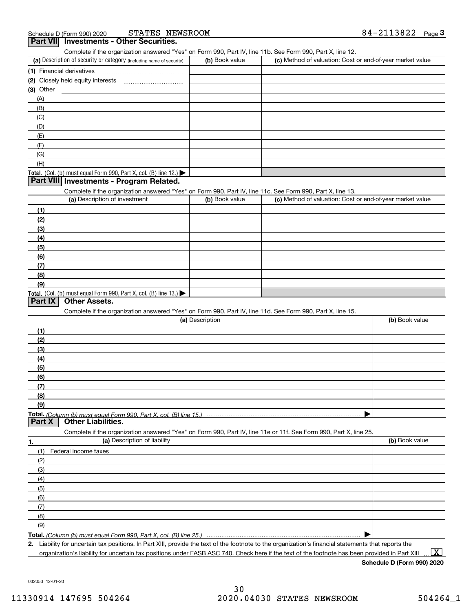| STATES NEWSROOM<br>Schedule D (Form 990) 2020                                                                                 |                |                                                           | $84 - 2113822$ Page 3 |
|-------------------------------------------------------------------------------------------------------------------------------|----------------|-----------------------------------------------------------|-----------------------|
| Part VII Investments - Other Securities.                                                                                      |                |                                                           |                       |
| Complete if the organization answered "Yes" on Form 990, Part IV, line 11b. See Form 990, Part X, line 12.                    |                |                                                           |                       |
| (a) Description of security or category (including name of security)                                                          | (b) Book value | (c) Method of valuation: Cost or end-of-year market value |                       |
|                                                                                                                               |                |                                                           |                       |
|                                                                                                                               |                |                                                           |                       |
| $(3)$ Other                                                                                                                   |                |                                                           |                       |
| (A)                                                                                                                           |                |                                                           |                       |
| (B)                                                                                                                           |                |                                                           |                       |
| (C)                                                                                                                           |                |                                                           |                       |
| (D)                                                                                                                           |                |                                                           |                       |
| (E)                                                                                                                           |                |                                                           |                       |
| (F)                                                                                                                           |                |                                                           |                       |
| (G)                                                                                                                           |                |                                                           |                       |
| (H)                                                                                                                           |                |                                                           |                       |
| Total. (Col. (b) must equal Form 990, Part X, col. (B) line 12.) $\blacktriangleright$                                        |                |                                                           |                       |
| Part VIII Investments - Program Related.                                                                                      |                |                                                           |                       |
| Complete if the organization answered "Yes" on Form 990, Part IV, line 11c. See Form 990, Part X, line 13.                    |                |                                                           |                       |
| (a) Description of investment                                                                                                 | (b) Book value | (c) Method of valuation: Cost or end-of-year market value |                       |
| (1)                                                                                                                           |                |                                                           |                       |
| (2)                                                                                                                           |                |                                                           |                       |
| (3)                                                                                                                           |                |                                                           |                       |
| (4)                                                                                                                           |                |                                                           |                       |
| (5)                                                                                                                           |                |                                                           |                       |
| (6)                                                                                                                           |                |                                                           |                       |
| (7)                                                                                                                           |                |                                                           |                       |
| (8)                                                                                                                           |                |                                                           |                       |
| (9)                                                                                                                           |                |                                                           |                       |
| Total. (Col. (b) must equal Form 990, Part X, col. (B) line $13.$ )                                                           |                |                                                           |                       |
| Part IX<br><b>Other Assets.</b>                                                                                               |                |                                                           |                       |
| Complete if the organization answered "Yes" on Form 990, Part IV, line 11d. See Form 990, Part X, line 15.                    |                |                                                           |                       |
| (a) Description                                                                                                               |                |                                                           | (b) Book value        |
| (1)                                                                                                                           |                |                                                           |                       |
| (2)                                                                                                                           |                |                                                           |                       |
| (3)                                                                                                                           |                |                                                           |                       |
| (4)                                                                                                                           |                |                                                           |                       |
| (5)                                                                                                                           |                |                                                           |                       |
| (6)                                                                                                                           |                |                                                           |                       |
| (7)                                                                                                                           |                |                                                           |                       |
| (8)                                                                                                                           |                |                                                           |                       |
| (9)                                                                                                                           |                |                                                           |                       |
| Total. (Column (b) must equal Form 990. Part X, col. (B) line 15.)                                                            |                |                                                           |                       |
| <b>Other Liabilities.</b><br>Part X                                                                                           |                |                                                           |                       |
| Complete if the organization answered "Yes" on Form 990, Part IV, line 11e or 11f. See Form 990, Part X, line 25.             |                |                                                           |                       |
| (a) Description of liability<br>1.                                                                                            |                |                                                           | (b) Book value        |
| (1)<br>Federal income taxes                                                                                                   |                |                                                           |                       |
| (2)                                                                                                                           |                |                                                           |                       |
| (3)                                                                                                                           |                |                                                           |                       |
| (4)                                                                                                                           |                |                                                           |                       |
|                                                                                                                               |                |                                                           |                       |
| (5)                                                                                                                           |                |                                                           |                       |
| (6)                                                                                                                           |                |                                                           |                       |
| (7)                                                                                                                           |                |                                                           |                       |
| (8)                                                                                                                           |                |                                                           |                       |
| (9)                                                                                                                           |                |                                                           |                       |
| Total. (Column (b) must equal Form 990. Part X, col. (B) line 25.)<br>upoortoin tax pooitions. In Dart VIII, provide the taxt |                |                                                           |                       |

**2.** Liability for uncertain tax positions. In Part XIII, provide the text of the footnote to the organization's financial statements that reports the organization's liability for uncertain tax positions under FASB ASC 740. Check here if the text of the footnote has been provided in Part XIII

**Schedule D (Form 990) 2020**

032053 12-01-20

 $\boxed{\text{X}}$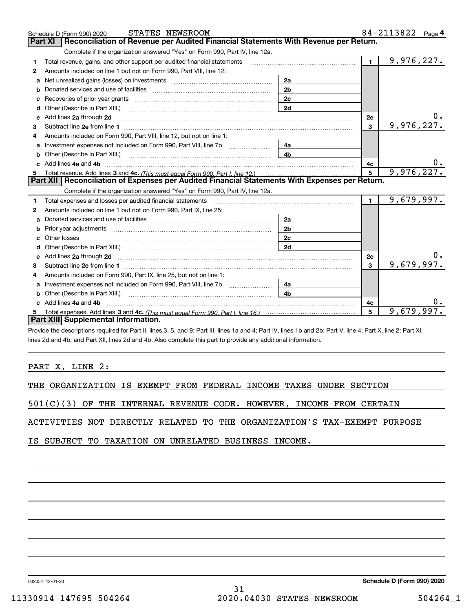|    | STATES NEWSROOM<br>Schedule D (Form 990) 2020                                                                                                                                                                                        |                |                         | 84-2113822 Page 4 |
|----|--------------------------------------------------------------------------------------------------------------------------------------------------------------------------------------------------------------------------------------|----------------|-------------------------|-------------------|
|    | Reconciliation of Revenue per Audited Financial Statements With Revenue per Return.<br><b>Part XI</b>                                                                                                                                |                |                         |                   |
|    | Complete if the organization answered "Yes" on Form 990, Part IV, line 12a.                                                                                                                                                          |                |                         |                   |
| 1  | Total revenue, gains, and other support per audited financial statements                                                                                                                                                             |                | 1 <sup>1</sup>          | 9,976,227.        |
| 2  | Amounts included on line 1 but not on Form 990, Part VIII, line 12:                                                                                                                                                                  |                |                         |                   |
| a  | Net unrealized gains (losses) on investments [11] matter contracts and the unrealized gains (losses) on investments                                                                                                                  | 2a             |                         |                   |
| b  |                                                                                                                                                                                                                                      | 2 <sub>b</sub> |                         |                   |
| c  | Recoveries of prior year grants [11,111] [12] Recoveries of prior year grants [11] [12] [12] [12] [12] [12] [1                                                                                                                       | 2c             |                         |                   |
| d  | Other (Describe in Part XIII.)                                                                                                                                                                                                       | 2d             |                         |                   |
| е  | Add lines 2a through 2d                                                                                                                                                                                                              |                | <b>2e</b>               |                   |
| 3  |                                                                                                                                                                                                                                      |                | $\mathbf{3}$            | 9,976,227.        |
| 4  | Amounts included on Form 990, Part VIII, line 12, but not on line 1:                                                                                                                                                                 |                |                         |                   |
| a  | Investment expenses not included on Form 990, Part VIII, line 7b                                                                                                                                                                     | 4a             |                         |                   |
| b  | Other (Describe in Part XIII.) <b>Construction Contract Construction</b> Construction Construction Construction Const                                                                                                                | 4 <sub>b</sub> |                         |                   |
| C. | Add lines 4a and 4b                                                                                                                                                                                                                  |                | 4с                      |                   |
| 5  |                                                                                                                                                                                                                                      |                | $5\phantom{a}$          | 9,976,227.        |
|    | Part XII   Reconciliation of Expenses per Audited Financial Statements With Expenses per Return.                                                                                                                                     |                |                         |                   |
|    | Complete if the organization answered "Yes" on Form 990, Part IV, line 12a.                                                                                                                                                          |                |                         |                   |
| 1  |                                                                                                                                                                                                                                      |                | $\blacksquare$          | 9,679,997.        |
| 2  | Amounts included on line 1 but not on Form 990, Part IX, line 25:                                                                                                                                                                    |                |                         |                   |
| a  |                                                                                                                                                                                                                                      | 2a             |                         |                   |
|    |                                                                                                                                                                                                                                      | 2 <sub>b</sub> |                         |                   |
| c  |                                                                                                                                                                                                                                      | 2c             |                         |                   |
| d  |                                                                                                                                                                                                                                      | 2d             |                         |                   |
|    | Add lines 2a through 2d <b>contained a contained a contained a contained a contained a contained a contained a contained a contact a contact a contact a contact a contact a contact a contact a contact a contact a contact a c</b> |                | 2e                      |                   |
| 3  |                                                                                                                                                                                                                                      |                | $\overline{\mathbf{3}}$ | 9,679,997.        |
| 4  | Amounts included on Form 990, Part IX, line 25, but not on line 1:                                                                                                                                                                   |                |                         |                   |
|    | Investment expenses not included on Form 990, Part VIII, line 7b [1000000000000000000000000000000000                                                                                                                                 | 4a             |                         |                   |
| b  | Other (Describe in Part XIII.) <b>Construction Construction</b> Chern Construction Chern Chern Chern Chern Chern Chern                                                                                                               | 4b.            |                         |                   |
|    | c Add lines 4a and 4b                                                                                                                                                                                                                |                | 4c                      |                   |
|    |                                                                                                                                                                                                                                      |                | 5                       | 9,679,997.        |
|    | Part XIII Supplemental Information.                                                                                                                                                                                                  |                |                         |                   |

Provide the descriptions required for Part II, lines 3, 5, and 9; Part III, lines 1a and 4; Part IV, lines 1b and 2b; Part V, line 4; Part X, line 2; Part XI, lines 2d and 4b; and Part XII, lines 2d and 4b. Also complete this part to provide any additional information.

PART X, LINE 2:

THE ORGANIZATION IS EXEMPT FROM FEDERAL INCOME TAXES UNDER SECTION

501(C)(3) OF THE INTERNAL REVENUE CODE. HOWEVER, INCOME FROM CERTAIN

ACTIVITIES NOT DIRECTLY RELATED TO THE ORGANIZATION'S TAX-EXEMPT PURPOSE

IS SUBJECT TO TAXATION ON UNRELATED BUSINESS INCOME.

032054 12-01-20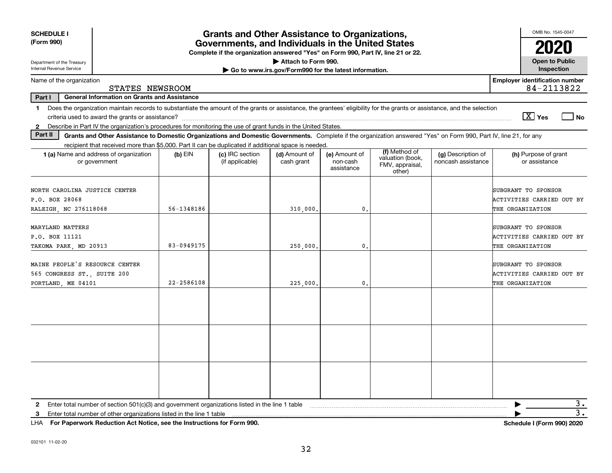| <b>SCHEDULE I</b><br><b>Grants and Other Assistance to Organizations,</b><br>(Form 990)<br>Governments, and Individuals in the United States<br>Complete if the organization answered "Yes" on Form 990, Part IV, line 21 or 22.<br>Attach to Form 990.<br>Department of the Treasury                                     |                |                                    |                                                       |                                         |                                                                |                                          |                                                                      |
|---------------------------------------------------------------------------------------------------------------------------------------------------------------------------------------------------------------------------------------------------------------------------------------------------------------------------|----------------|------------------------------------|-------------------------------------------------------|-----------------------------------------|----------------------------------------------------------------|------------------------------------------|----------------------------------------------------------------------|
| Internal Revenue Service                                                                                                                                                                                                                                                                                                  |                |                                    | Go to www.irs.gov/Form990 for the latest information. |                                         |                                                                |                                          | Inspection                                                           |
| Name of the organization<br>STATES NEWSROOM                                                                                                                                                                                                                                                                               |                |                                    |                                                       |                                         |                                                                |                                          | <b>Employer identification number</b><br>84-2113822                  |
| Part I<br><b>General Information on Grants and Assistance</b>                                                                                                                                                                                                                                                             |                |                                    |                                                       |                                         |                                                                |                                          |                                                                      |
| Does the organization maintain records to substantiate the amount of the grants or assistance, the grantees' eligibility for the grants or assistance, and the selection<br>$\mathbf{1}$<br>Describe in Part IV the organization's procedures for monitoring the use of grant funds in the United States.<br>$\mathbf{2}$ |                |                                    |                                                       |                                         |                                                                |                                          | $\boxed{\text{X}}$ Yes<br>  No                                       |
| Part II<br>Grants and Other Assistance to Domestic Organizations and Domestic Governments. Complete if the organization answered "Yes" on Form 990, Part IV, line 21, for any                                                                                                                                             |                |                                    |                                                       |                                         |                                                                |                                          |                                                                      |
| recipient that received more than \$5,000. Part II can be duplicated if additional space is needed.                                                                                                                                                                                                                       |                |                                    |                                                       |                                         |                                                                |                                          |                                                                      |
| 1 (a) Name and address of organization<br>or government                                                                                                                                                                                                                                                                   | $(b)$ EIN      | (c) IRC section<br>(if applicable) | (d) Amount of<br>cash grant                           | (e) Amount of<br>non-cash<br>assistance | (f) Method of<br>valuation (book,<br>FMV, appraisal,<br>other) | (g) Description of<br>noncash assistance | (h) Purpose of grant<br>or assistance                                |
| NORTH CAROLINA JUSTICE CENTER<br>P.O. BOX 28068<br>RALEIGH, NC 276118068                                                                                                                                                                                                                                                  | 56-1348186     |                                    | 310,000.                                              | $\mathbf{0}$                            |                                                                |                                          | SUBGRANT TO SPONSOR<br>ACTIVITIES CARRIED OUT BY<br>THE ORGANIZATION |
| <b>MARYLAND MATTERS</b><br>P.O. BOX 11121<br>TAKOMA PARK, MD 20913                                                                                                                                                                                                                                                        | 83-0949175     |                                    | 250,000,                                              | $\mathbf{0}$ .                          |                                                                |                                          | SUBGRANT TO SPONSOR<br>ACTIVITIES CARRIED OUT BY<br>THE ORGANIZATION |
| MAINE PEOPLE'S RESOURCE CENTER<br>565 CONGRESS ST., SUITE 200<br>PORTLAND, ME 04101                                                                                                                                                                                                                                       | $22 - 2586108$ |                                    | 225,000.                                              | $\mathbf{0}$ .                          |                                                                |                                          | SUBGRANT TO SPONSOR<br>ACTIVITIES CARRIED OUT BY<br>THE ORGANIZATION |
|                                                                                                                                                                                                                                                                                                                           |                |                                    |                                                       |                                         |                                                                |                                          |                                                                      |
|                                                                                                                                                                                                                                                                                                                           |                |                                    |                                                       |                                         |                                                                |                                          |                                                                      |
|                                                                                                                                                                                                                                                                                                                           |                |                                    |                                                       |                                         |                                                                |                                          |                                                                      |
|                                                                                                                                                                                                                                                                                                                           |                |                                    |                                                       |                                         |                                                                |                                          |                                                                      |
| Enter total number of section 501(c)(3) and government organizations listed in the line 1 table<br>2                                                                                                                                                                                                                      |                |                                    |                                                       |                                         |                                                                |                                          | 3.<br>$\overline{3}$ .                                               |
| Enter total number of other organizations listed in the line 1 table<br>3                                                                                                                                                                                                                                                 |                |                                    |                                                       |                                         |                                                                |                                          |                                                                      |

**For Paperwork Reduction Act Notice, see the Instructions for Form 990. Schedule I (Form 990) 2020** LHA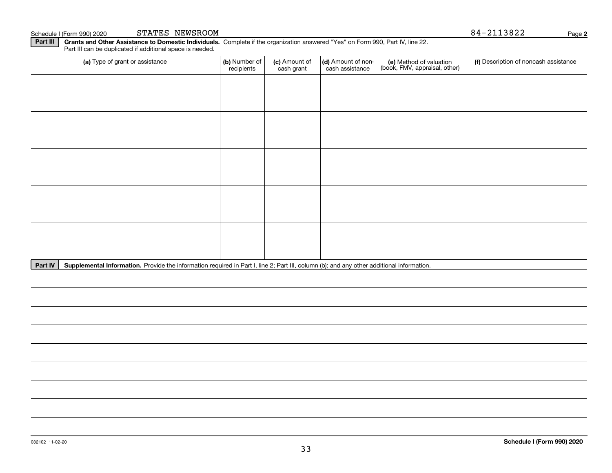| (a) Type of grant or assistance                                                                                                                      | (b) Number of<br>recipients | (c) Amount of<br>cash grant | (d) Amount of non-<br>cash assistance | (e) Method of valuation<br>(book, FMV, appraisal, other) | (f) Description of noncash assistance |  |  |  |
|------------------------------------------------------------------------------------------------------------------------------------------------------|-----------------------------|-----------------------------|---------------------------------------|----------------------------------------------------------|---------------------------------------|--|--|--|
|                                                                                                                                                      |                             |                             |                                       |                                                          |                                       |  |  |  |
|                                                                                                                                                      |                             |                             |                                       |                                                          |                                       |  |  |  |
|                                                                                                                                                      |                             |                             |                                       |                                                          |                                       |  |  |  |
|                                                                                                                                                      |                             |                             |                                       |                                                          |                                       |  |  |  |
|                                                                                                                                                      |                             |                             |                                       |                                                          |                                       |  |  |  |
|                                                                                                                                                      |                             |                             |                                       |                                                          |                                       |  |  |  |
|                                                                                                                                                      |                             |                             |                                       |                                                          |                                       |  |  |  |
|                                                                                                                                                      |                             |                             |                                       |                                                          |                                       |  |  |  |
|                                                                                                                                                      |                             |                             |                                       |                                                          |                                       |  |  |  |
|                                                                                                                                                      |                             |                             |                                       |                                                          |                                       |  |  |  |
| Part IV<br>Supplemental Information. Provide the information required in Part I, line 2; Part III, column (b); and any other additional information. |                             |                             |                                       |                                                          |                                       |  |  |  |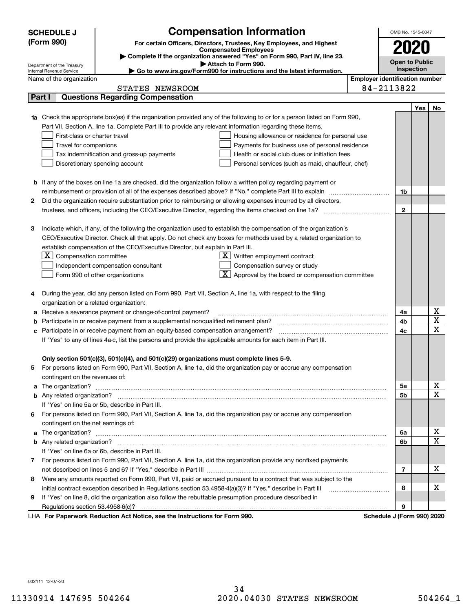| <b>SCHEDULE J</b>                                                                                                                |                                                                                                                                                                                                                                     | <b>Compensation Information</b>                                      |                                       | OMB No. 1545-0047          |      |                  |  |
|----------------------------------------------------------------------------------------------------------------------------------|-------------------------------------------------------------------------------------------------------------------------------------------------------------------------------------------------------------------------------------|----------------------------------------------------------------------|---------------------------------------|----------------------------|------|------------------|--|
| (Form 990)                                                                                                                       | For certain Officers, Directors, Trustees, Key Employees, and Highest                                                                                                                                                               |                                                                      |                                       |                            |      |                  |  |
|                                                                                                                                  | <b>Compensated Employees</b>                                                                                                                                                                                                        |                                                                      |                                       |                            | 2020 |                  |  |
|                                                                                                                                  | Complete if the organization answered "Yes" on Form 990, Part IV, line 23.<br><b>Open to Public</b>                                                                                                                                 |                                                                      |                                       |                            |      |                  |  |
| Department of the Treasury<br>Internal Revenue Service                                                                           | Attach to Form 990.<br>Inspection<br>Go to www.irs.gov/Form990 for instructions and the latest information.                                                                                                                         |                                                                      |                                       |                            |      |                  |  |
| Name of the organization                                                                                                         |                                                                                                                                                                                                                                     |                                                                      | <b>Employer identification number</b> |                            |      |                  |  |
|                                                                                                                                  | STATES NEWSROOM                                                                                                                                                                                                                     |                                                                      |                                       | 84-2113822                 |      |                  |  |
| Part I                                                                                                                           | <b>Questions Regarding Compensation</b>                                                                                                                                                                                             |                                                                      |                                       |                            |      |                  |  |
|                                                                                                                                  |                                                                                                                                                                                                                                     |                                                                      |                                       |                            | Yes  | No               |  |
|                                                                                                                                  | Check the appropriate box(es) if the organization provided any of the following to or for a person listed on Form 990,                                                                                                              |                                                                      |                                       |                            |      |                  |  |
|                                                                                                                                  | Part VII, Section A, line 1a. Complete Part III to provide any relevant information regarding these items.                                                                                                                          |                                                                      |                                       |                            |      |                  |  |
|                                                                                                                                  | First-class or charter travel                                                                                                                                                                                                       | Housing allowance or residence for personal use                      |                                       |                            |      |                  |  |
| Travel for companions                                                                                                            |                                                                                                                                                                                                                                     | Payments for business use of personal residence                      |                                       |                            |      |                  |  |
|                                                                                                                                  | Tax indemnification and gross-up payments                                                                                                                                                                                           | Health or social club dues or initiation fees                        |                                       |                            |      |                  |  |
|                                                                                                                                  | Discretionary spending account                                                                                                                                                                                                      | Personal services (such as maid, chauffeur, chef)                    |                                       |                            |      |                  |  |
|                                                                                                                                  |                                                                                                                                                                                                                                     |                                                                      |                                       |                            |      |                  |  |
|                                                                                                                                  | <b>b</b> If any of the boxes on line 1a are checked, did the organization follow a written policy regarding payment or                                                                                                              |                                                                      |                                       |                            |      |                  |  |
|                                                                                                                                  | reimbursement or provision of all of the expenses described above? If "No," complete Part III to explain                                                                                                                            |                                                                      |                                       | 1b                         |      |                  |  |
| 2                                                                                                                                | Did the organization require substantiation prior to reimbursing or allowing expenses incurred by all directors,                                                                                                                    |                                                                      |                                       |                            |      |                  |  |
|                                                                                                                                  |                                                                                                                                                                                                                                     |                                                                      |                                       | $\mathbf{2}$               |      |                  |  |
|                                                                                                                                  |                                                                                                                                                                                                                                     |                                                                      |                                       |                            |      |                  |  |
| з                                                                                                                                | Indicate which, if any, of the following the organization used to establish the compensation of the organization's                                                                                                                  |                                                                      |                                       |                            |      |                  |  |
|                                                                                                                                  | CEO/Executive Director. Check all that apply. Do not check any boxes for methods used by a related organization to                                                                                                                  |                                                                      |                                       |                            |      |                  |  |
|                                                                                                                                  | establish compensation of the CEO/Executive Director, but explain in Part III.                                                                                                                                                      |                                                                      |                                       |                            |      |                  |  |
| $ \mathbf{X} $ Compensation committee                                                                                            |                                                                                                                                                                                                                                     | $X$ Written employment contract                                      |                                       |                            |      |                  |  |
|                                                                                                                                  | Independent compensation consultant                                                                                                                                                                                                 | Compensation survey or study                                         |                                       |                            |      |                  |  |
|                                                                                                                                  | Form 990 of other organizations                                                                                                                                                                                                     | $\boxed{\textbf{X}}$ Approval by the board or compensation committee |                                       |                            |      |                  |  |
|                                                                                                                                  |                                                                                                                                                                                                                                     |                                                                      |                                       |                            |      |                  |  |
| 4                                                                                                                                | During the year, did any person listed on Form 990, Part VII, Section A, line 1a, with respect to the filing                                                                                                                        |                                                                      |                                       |                            |      |                  |  |
|                                                                                                                                  | organization or a related organization:                                                                                                                                                                                             |                                                                      |                                       |                            |      |                  |  |
| а                                                                                                                                | Receive a severance payment or change-of-control payment?                                                                                                                                                                           |                                                                      |                                       | 4a                         |      | х                |  |
| b                                                                                                                                | Participate in or receive payment from a supplemental nonqualified retirement plan?                                                                                                                                                 |                                                                      |                                       | 4b                         |      | X                |  |
| с                                                                                                                                | Participate in or receive payment from an equity-based compensation arrangement?                                                                                                                                                    |                                                                      |                                       | 4c                         |      | X                |  |
| If "Yes" to any of lines 4a-c, list the persons and provide the applicable amounts for each item in Part III.                    |                                                                                                                                                                                                                                     |                                                                      |                                       |                            |      |                  |  |
|                                                                                                                                  |                                                                                                                                                                                                                                     |                                                                      |                                       |                            |      |                  |  |
|                                                                                                                                  | Only section 501(c)(3), 501(c)(4), and 501(c)(29) organizations must complete lines 5-9.                                                                                                                                            |                                                                      |                                       |                            |      |                  |  |
|                                                                                                                                  | For persons listed on Form 990, Part VII, Section A, line 1a, did the organization pay or accrue any compensation                                                                                                                   |                                                                      |                                       |                            |      |                  |  |
| contingent on the revenues of:                                                                                                   |                                                                                                                                                                                                                                     |                                                                      |                                       |                            |      |                  |  |
| a                                                                                                                                | The organization? <b>Process and Construction Construction</b> and Construction and Construction and Construction and Construction and Construction and Construction and Construction and Construction and Construction and Constru |                                                                      |                                       | 5a                         |      | X                |  |
|                                                                                                                                  |                                                                                                                                                                                                                                     |                                                                      |                                       | 5b                         |      | Χ                |  |
|                                                                                                                                  | If "Yes" on line 5a or 5b, describe in Part III.                                                                                                                                                                                    |                                                                      |                                       |                            |      |                  |  |
|                                                                                                                                  | 6 For persons listed on Form 990, Part VII, Section A, line 1a, did the organization pay or accrue any compensation                                                                                                                 |                                                                      |                                       |                            |      |                  |  |
|                                                                                                                                  | contingent on the net earnings of:                                                                                                                                                                                                  |                                                                      |                                       |                            |      |                  |  |
| The organization? <b>With the organization</b> ? <b>With the organization with the organization? With the organization?</b><br>a |                                                                                                                                                                                                                                     |                                                                      |                                       | 6a                         |      | X<br>$\mathbf X$ |  |
|                                                                                                                                  |                                                                                                                                                                                                                                     |                                                                      |                                       | 6b                         |      |                  |  |
|                                                                                                                                  | If "Yes" on line 6a or 6b, describe in Part III.                                                                                                                                                                                    |                                                                      |                                       |                            |      |                  |  |
|                                                                                                                                  | 7 For persons listed on Form 990, Part VII, Section A, line 1a, did the organization provide any nonfixed payments                                                                                                                  |                                                                      |                                       |                            |      |                  |  |
|                                                                                                                                  |                                                                                                                                                                                                                                     |                                                                      |                                       | $\overline{7}$             |      | x                |  |
|                                                                                                                                  | Were any amounts reported on Form 990, Part VII, paid or accrued pursuant to a contract that was subject to the<br>8                                                                                                                |                                                                      |                                       |                            |      |                  |  |
| initial contract exception described in Regulations section 53.4958-4(a)(3)? If "Yes," describe in Part III<br>8                 |                                                                                                                                                                                                                                     |                                                                      |                                       |                            |      | х                |  |
| If "Yes" on line 8, did the organization also follow the rebuttable presumption procedure described in<br>9                      |                                                                                                                                                                                                                                     |                                                                      |                                       |                            |      |                  |  |
|                                                                                                                                  |                                                                                                                                                                                                                                     |                                                                      |                                       | 9                          |      |                  |  |
|                                                                                                                                  | LHA For Paperwork Reduction Act Notice, see the Instructions for Form 990.                                                                                                                                                          |                                                                      |                                       | Schedule J (Form 990) 2020 |      |                  |  |

032111 12-07-20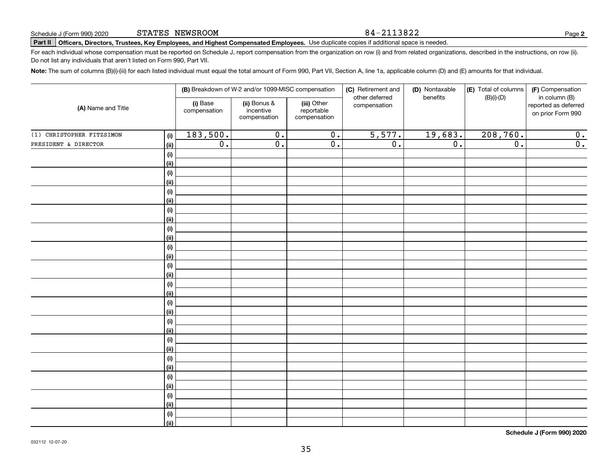#### 84-2113822

# **Part II Officers, Directors, Trustees, Key Employees, and Highest Compensated Employees.**  Schedule J (Form 990) 2020 Page Use duplicate copies if additional space is needed.

For each individual whose compensation must be reported on Schedule J, report compensation from the organization on row (i) and from related organizations, described in the instructions, on row (ii). Do not list any individuals that aren't listed on Form 990, Part VII.

**Note:**  The sum of columns (B)(i)-(iii) for each listed individual must equal the total amount of Form 990, Part VII, Section A, line 1a, applicable column (D) and (E) amounts for that individual.

|                           |                           |                          | (B) Breakdown of W-2 and/or 1099-MISC compensation |                                           | (C) Retirement and<br>other deferred | (D) Nontaxable   | (E) Total of columns | (F) Compensation                                           |
|---------------------------|---------------------------|--------------------------|----------------------------------------------------|-------------------------------------------|--------------------------------------|------------------|----------------------|------------------------------------------------------------|
| (A) Name and Title        |                           | (i) Base<br>compensation | (ii) Bonus &<br>incentive<br>compensation          | (iii) Other<br>reportable<br>compensation | compensation                         | benefits         | $(B)(i)-(D)$         | in column (B)<br>reported as deferred<br>on prior Form 990 |
| (1) CHRISTOPHER FITZSIMON | (i)                       | 183,500.                 | $\overline{0}$ .                                   | $\overline{0}$ .                          | 5,577.                               | 19,683.          | 208,760.             | 0.                                                         |
| PRESIDENT & DIRECTOR      | <u>(ii)</u>               | $\overline{0}$ .         | $\overline{0}$ .                                   | $\overline{0}$ .                          | $\overline{0}$ .                     | $\overline{0}$ . | $\overline{0}$ .     | $\overline{0}$ .                                           |
|                           | (i)                       |                          |                                                    |                                           |                                      |                  |                      |                                                            |
|                           | <u>(ii)</u>               |                          |                                                    |                                           |                                      |                  |                      |                                                            |
|                           | (i)                       |                          |                                                    |                                           |                                      |                  |                      |                                                            |
|                           | <u>(ii)</u>               |                          |                                                    |                                           |                                      |                  |                      |                                                            |
|                           | (i)                       |                          |                                                    |                                           |                                      |                  |                      |                                                            |
|                           | (ii)                      |                          |                                                    |                                           |                                      |                  |                      |                                                            |
|                           | $(\sf{i})$                |                          |                                                    |                                           |                                      |                  |                      |                                                            |
|                           | (ii)                      |                          |                                                    |                                           |                                      |                  |                      |                                                            |
|                           | $(\sf{i})$                |                          |                                                    |                                           |                                      |                  |                      |                                                            |
|                           | (ii)                      |                          |                                                    |                                           |                                      |                  |                      |                                                            |
|                           | $(\sf{i})$<br><u>(ii)</u> |                          |                                                    |                                           |                                      |                  |                      |                                                            |
|                           | $(\sf{i})$                |                          |                                                    |                                           |                                      |                  |                      |                                                            |
|                           | <u>(ii)</u>               |                          |                                                    |                                           |                                      |                  |                      |                                                            |
|                           | $(\sf{i})$                |                          |                                                    |                                           |                                      |                  |                      |                                                            |
|                           | <u>(ii)</u>               |                          |                                                    |                                           |                                      |                  |                      |                                                            |
|                           | (i)                       |                          |                                                    |                                           |                                      |                  |                      |                                                            |
|                           | (ii)                      |                          |                                                    |                                           |                                      |                  |                      |                                                            |
|                           | (i)                       |                          |                                                    |                                           |                                      |                  |                      |                                                            |
|                           | (ii)                      |                          |                                                    |                                           |                                      |                  |                      |                                                            |
|                           | (i)                       |                          |                                                    |                                           |                                      |                  |                      |                                                            |
|                           | (ii)                      |                          |                                                    |                                           |                                      |                  |                      |                                                            |
|                           | (i)                       |                          |                                                    |                                           |                                      |                  |                      |                                                            |
|                           | (ii)                      |                          |                                                    |                                           |                                      |                  |                      |                                                            |
|                           | (i)                       |                          |                                                    |                                           |                                      |                  |                      |                                                            |
|                           | (ii)                      |                          |                                                    |                                           |                                      |                  |                      |                                                            |
|                           | (i)                       |                          |                                                    |                                           |                                      |                  |                      |                                                            |
|                           | <u>(ii)</u>               |                          |                                                    |                                           |                                      |                  |                      |                                                            |
|                           | (i)                       |                          |                                                    |                                           |                                      |                  |                      |                                                            |
|                           | $\overline{}}$            |                          |                                                    |                                           |                                      |                  |                      |                                                            |

**Schedule J (Form 990) 2020**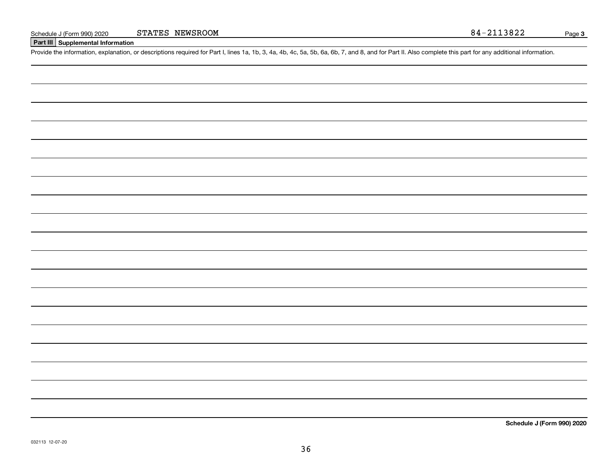#### **Part III Supplemental Information**

Schedule J (Form 990) 2020 STATES NEWSROOM 84-2113822<br>Part III Supplemental Information<br>Provide the information, explanation, or descriptions required for Part I, lines 1a, 1b, 3, 4a, 4b, 4c, 5a, 5b, 6a, 6b, 7, and 8, and

**Schedule J (Form 990) 2020**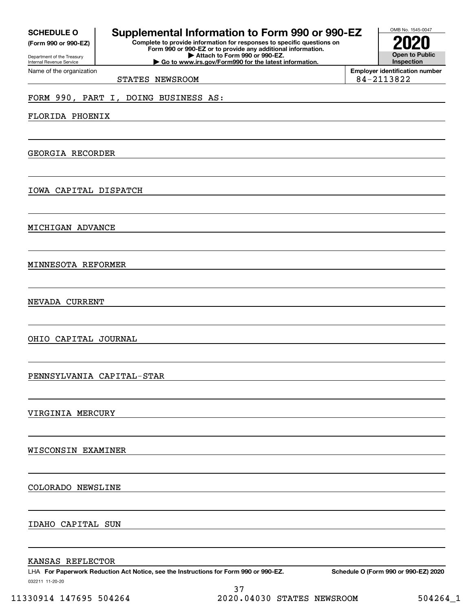| <b>SCHEDULE O</b> |  |
|-------------------|--|
|-------------------|--|

**(Form 990 or 990-EZ)**

# **Supplemental Information to Form 990 or 990-EZ**

**Complete to provide information for responses to specific questions on Form 990 or 990-EZ or to provide any additional information. | Attach to Form 990 or 990-EZ. | Go to www.irs.gov/Form990 for the latest information.**



STATES NEWSROOM 84-2113822

### FORM 990, PART I, DOING BUSINESS AS:

FLORIDA PHOENIX

GEORGIA RECORDER

IOWA CAPITAL DISPATCH

MICHIGAN ADVANCE

MINNESOTA REFORMER

NEVADA CURRENT

OHIO CAPITAL JOURNAL

PENNSYLVANIA CAPITAL-STAR

VIRGINIA MERCURY

WISCONSIN EXAMINER

COLORADO NEWSLINE

IDAHO CAPITAL SUN

KANSAS REFLECTOR

032211 11-20-20 LHA For Paperwork Reduction Act Notice, see the Instructions for Form 990 or 990-EZ. Schedule O (Form 990 or 990-EZ) 2020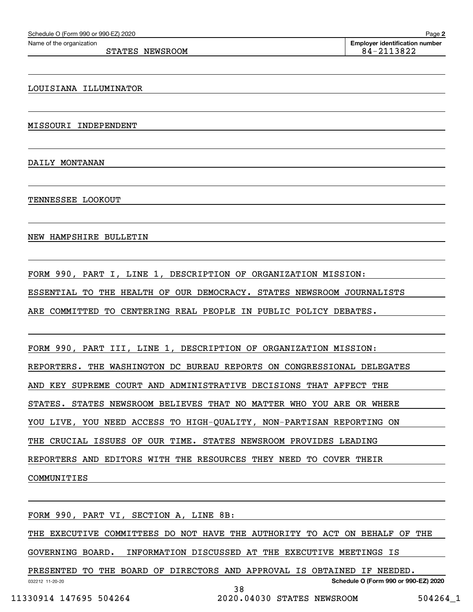| Schedule O (Form 990 or 990-EZ) 2020 | Page 2                                |
|--------------------------------------|---------------------------------------|
| Name of the organization             | <b>Emplover identification number</b> |
| STATES NEWSROOM                      | 84-2113822                            |

### LOUISIANA ILLUMINATOR

MISSOURI INDEPENDENT

DAILY MONTANAN

TENNESSEE LOOKOUT

NEW HAMPSHIRE BULLETIN

FORM 990, PART I, LINE 1, DESCRIPTION OF ORGANIZATION MISSION:

ESSENTIAL TO THE HEALTH OF OUR DEMOCRACY. STATES NEWSROOM JOURNALISTS

ARE COMMITTED TO CENTERING REAL PEOPLE IN PUBLIC POLICY DEBATES.

FORM 990, PART III, LINE 1, DESCRIPTION OF ORGANIZATION MISSION:

REPORTERS. THE WASHINGTON DC BUREAU REPORTS ON CONGRESSIONAL DELEGATES

AND KEY SUPREME COURT AND ADMINISTRATIVE DECISIONS THAT AFFECT THE

STATES. STATES NEWSROOM BELIEVES THAT NO MATTER WHO YOU ARE OR WHERE

YOU LIVE, YOU NEED ACCESS TO HIGH-QUALITY, NON-PARTISAN REPORTING ON

THE CRUCIAL ISSUES OF OUR TIME. STATES NEWSROOM PROVIDES LEADING

REPORTERS AND EDITORS WITH THE RESOURCES THEY NEED TO COVER THEIR

COMMUNITIES

FORM 990, PART VI, SECTION A, LINE 8B:

THE EXECUTIVE COMMITTEES DO NOT HAVE THE AUTHORITY TO ACT ON BEHALF OF THE

GOVERNING BOARD. INFORMATION DISCUSSED AT THE EXECUTIVE MEETINGS IS

032212 11-20-20 PRESENTED TO THE BOARD OF DIRECTORS AND APPROVAL IS OBTAINED IF NEEDED.

38

11330914 147695 504264 2020.04030 STATES NEWSROOM 504264\_1